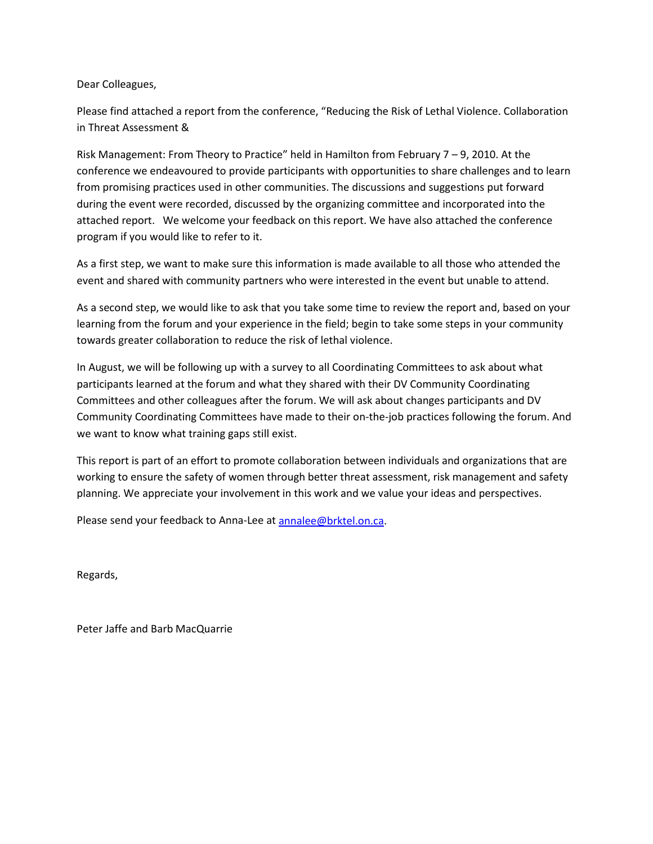Dear Colleagues,

Please find attached a report from the conference, "Reducing the Risk of Lethal Violence. Collaboration in Threat Assessment &

Risk Management: From Theory to Practice" held in Hamilton from February 7 – 9, 2010. At the conference we endeavoured to provide participants with opportunities to share challenges and to learn from promising practices used in other communities. The discussions and suggestions put forward during the event were recorded, discussed by the organizing committee and incorporated into the attached report. We welcome your feedback on this report. We have also attached the conference program if you would like to refer to it.

As a first step, we want to make sure this information is made available to all those who attended the event and shared with community partners who were interested in the event but unable to attend.

As a second step, we would like to ask that you take some time to review the report and, based on your learning from the forum and your experience in the field; begin to take some steps in your community towards greater collaboration to reduce the risk of lethal violence.

In August, we will be following up with a survey to all Coordinating Committees to ask about what participants learned at the forum and what they shared with their DV Community Coordinating Committees and other colleagues after the forum. We will ask about changes participants and DV Community Coordinating Committees have made to their on-the-job practices following the forum. And we want to know what training gaps still exist.

This report is part of an effort to promote collaboration between individuals and organizations that are working to ensure the safety of women through better threat assessment, risk management and safety planning. We appreciate your involvement in this work and we value your ideas and perspectives.

Please send your feedback to Anna-Lee at [annalee@brktel.on.ca.](mailto:annalee@brktel.on.ca)

Regards,

Peter Jaffe and Barb MacQuarrie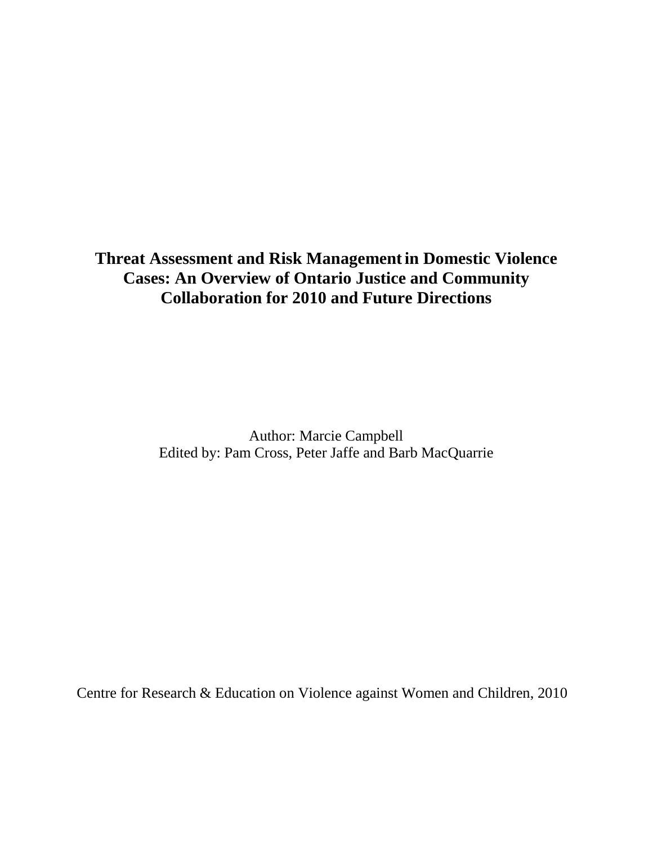## **Threat Assessment and Risk Managementin Domestic Violence Cases: An Overview of Ontario Justice and Community Collaboration for 2010 and Future Directions**

Author: Marcie Campbell Edited by: Pam Cross, Peter Jaffe and Barb MacQuarrie

Centre for Research & Education on Violence against Women and Children, 2010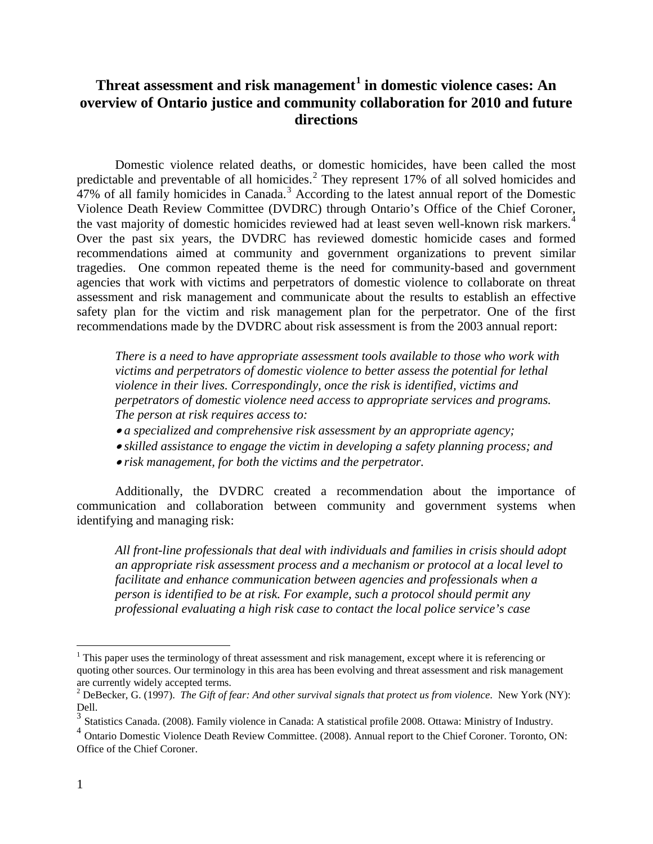#### **Threat assessment and risk management[1](#page-2-0) in domestic violence cases: An overview of Ontario justice and community collaboration for 2010 and future directions**

Domestic violence related deaths, or domestic homicides, have been called the most predictable and preventable of all homicides.<sup>[2](#page-2-1)</sup> They represent 17% of all solved homicides and 47% of all family homicides in Canada.<sup>[3](#page-2-2)</sup> According to the latest annual report of the Domestic Violence Death Review Committee (DVDRC) through Ontario's Office of the Chief Coroner, the vast majority of domestic homicides reviewed had at least seven well-known risk markers.<sup>[4](#page-2-3)</sup> Over the past six years, the DVDRC has reviewed domestic homicide cases and formed recommendations aimed at community and government organizations to prevent similar tragedies. One common repeated theme is the need for community-based and government agencies that work with victims and perpetrators of domestic violence to collaborate on threat assessment and risk management and communicate about the results to establish an effective safety plan for the victim and risk management plan for the perpetrator. One of the first recommendations made by the DVDRC about risk assessment is from the 2003 annual report:

*There is a need to have appropriate assessment tools available to those who work with victims and perpetrators of domestic violence to better assess the potential for lethal violence in their lives. Correspondingly, once the risk is identified, victims and perpetrators of domestic violence need access to appropriate services and programs. The person at risk requires access to:*

- *a specialized and comprehensive risk assessment by an appropriate agency;*
- *skilled assistance to engage the victim in developing a safety planning process; and*
- *risk management, for both the victims and the perpetrator.*

Additionally, the DVDRC created a recommendation about the importance of communication and collaboration between community and government systems when identifying and managing risk:

*All front-line professionals that deal with individuals and families in crisis should adopt an appropriate risk assessment process and a mechanism or protocol at a local level to facilitate and enhance communication between agencies and professionals when a person is identified to be at risk. For example, such a protocol should permit any professional evaluating a high risk case to contact the local police service's case* 

<span id="page-2-0"></span><sup>&</sup>lt;sup>1</sup> This paper uses the terminology of threat assessment and risk management, except where it is referencing or quoting other sources. Our terminology in this area has been evolving and threat assessment and risk management are currently widely accepted terms.

<span id="page-2-1"></span><sup>2</sup> DeBecker, G. (1997). *The Gift of fear: And other survival signals that protect us from violence*. New York (NY): Dell.

<span id="page-2-2"></span><sup>3</sup> Statistics Canada. (2008). Family violence in Canada: A statistical profile 2008. Ottawa: Ministry of Industry.

<span id="page-2-3"></span><sup>&</sup>lt;sup>4</sup> Ontario Domestic Violence Death Review Committee. (2008). Annual report to the Chief Coroner. Toronto, ON: Office of the Chief Coroner.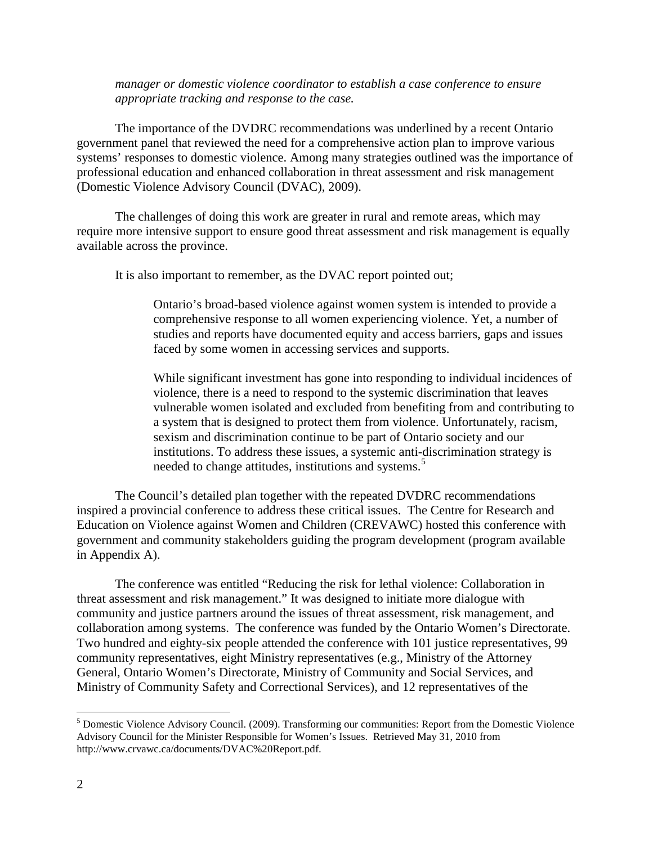*manager or domestic violence coordinator to establish a case conference to ensure appropriate tracking and response to the case.*

The importance of the DVDRC recommendations was underlined by a recent Ontario government panel that reviewed the need for a comprehensive action plan to improve various systems' responses to domestic violence. Among many strategies outlined was the importance of professional education and enhanced collaboration in threat assessment and risk management (Domestic Violence Advisory Council (DVAC), 2009).

The challenges of doing this work are greater in rural and remote areas, which may require more intensive support to ensure good threat assessment and risk management is equally available across the province.

It is also important to remember, as the DVAC report pointed out;

Ontario's broad-based violence against women system is intended to provide a comprehensive response to all women experiencing violence. Yet, a number of studies and reports have documented equity and access barriers, gaps and issues faced by some women in accessing services and supports.

While significant investment has gone into responding to individual incidences of violence, there is a need to respond to the systemic discrimination that leaves vulnerable women isolated and excluded from benefiting from and contributing to a system that is designed to protect them from violence. Unfortunately, racism, sexism and discrimination continue to be part of Ontario society and our institutions. To address these issues, a systemic anti-discrimination strategy is needed to change attitudes, institutions and systems.<sup>[5](#page-3-0)</sup>

The Council's detailed plan together with the repeated DVDRC recommendations inspired a provincial conference to address these critical issues. The Centre for Research and Education on Violence against Women and Children (CREVAWC) hosted this conference with government and community stakeholders guiding the program development (program available in Appendix A).

The conference was entitled "Reducing the risk for lethal violence: Collaboration in threat assessment and risk management." It was designed to initiate more dialogue with community and justice partners around the issues of threat assessment, risk management, and collaboration among systems. The conference was funded by the Ontario Women's Directorate. Two hundred and eighty-six people attended the conference with 101 justice representatives, 99 community representatives, eight Ministry representatives (e.g., Ministry of the Attorney General, Ontario Women's Directorate, Ministry of Community and Social Services, and Ministry of Community Safety and Correctional Services), and 12 representatives of the

<span id="page-3-0"></span> <sup>5</sup> Domestic Violence Advisory Council. (2009). Transforming our communities: Report from the Domestic Violence Advisory Council for the Minister Responsible for Women's Issues. Retrieved May 31, 2010 from http://www.crvawc.ca/documents/DVAC%20Report.pdf.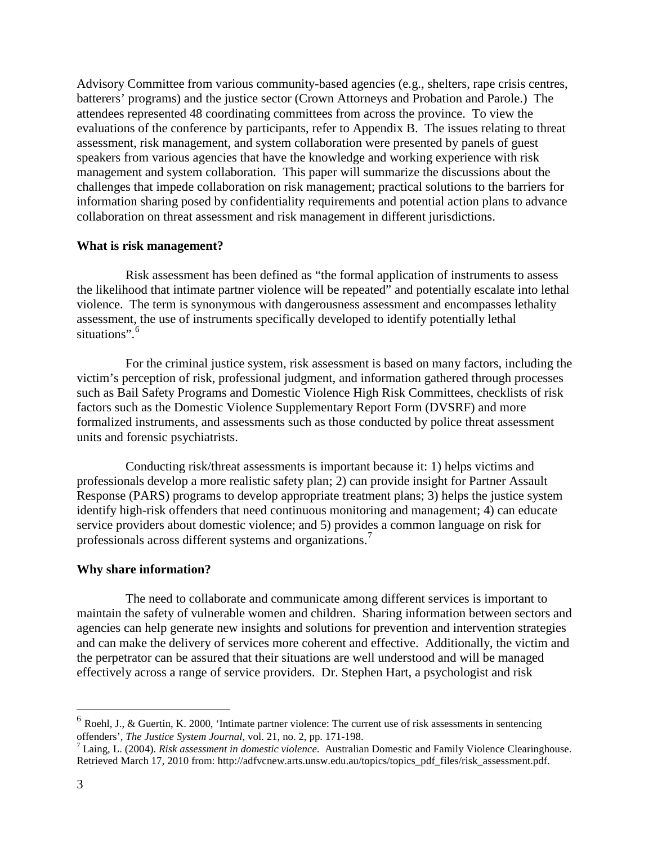Advisory Committee from various community-based agencies (e.g., shelters, rape crisis centres, batterers' programs) and the justice sector (Crown Attorneys and Probation and Parole.) The attendees represented 48 coordinating committees from across the province. To view the evaluations of the conference by participants, refer to Appendix B. The issues relating to threat assessment, risk management, and system collaboration were presented by panels of guest speakers from various agencies that have the knowledge and working experience with risk management and system collaboration. This paper will summarize the discussions about the challenges that impede collaboration on risk management; practical solutions to the barriers for information sharing posed by confidentiality requirements and potential action plans to advance collaboration on threat assessment and risk management in different jurisdictions.

#### **What is risk management?**

Risk assessment has been defined as "the formal application of instruments to assess the likelihood that intimate partner violence will be repeated" and potentially escalate into lethal violence. The term is synonymous with dangerousness assessment and encompasses lethality assessment, the use of instruments specifically developed to identify potentially lethal situations".<sup>[6](#page-4-0)</sup>

For the criminal justice system, risk assessment is based on many factors, including the victim's perception of risk, professional judgment, and information gathered through processes such as Bail Safety Programs and Domestic Violence High Risk Committees, checklists of risk factors such as the Domestic Violence Supplementary Report Form (DVSRF) and more formalized instruments, and assessments such as those conducted by police threat assessment units and forensic psychiatrists.

Conducting risk/threat assessments is important because it: 1) helps victims and professionals develop a more realistic safety plan; 2) can provide insight for Partner Assault Response (PARS) programs to develop appropriate treatment plans; 3) helps the justice system identify high-risk offenders that need continuous monitoring and management; 4) can educate service providers about domestic violence; and 5) provides a common language on risk for professionals across different systems and organizations.<sup>[7](#page-4-1)</sup>

#### **Why share information?**

The need to collaborate and communicate among different services is important to maintain the safety of vulnerable women and children. Sharing information between sectors and agencies can help generate new insights and solutions for prevention and intervention strategies and can make the delivery of services more coherent and effective. Additionally, the victim and the perpetrator can be assured that their situations are well understood and will be managed effectively across a range of service providers. Dr. Stephen Hart, a psychologist and risk

<span id="page-4-0"></span> $<sup>6</sup>$  Roehl, J., & Guertin, K. 2000, 'Intimate partner violence: The current use of risk assessments in sentencing</sup> offenders', *The Justice System Journal*, vol. 21, no. 2, pp. 171-198.<br><sup>7</sup> Laing, L. (2004). *Risk assessment in domestic violence*. Australian Domestic and Family Violence Clearinghouse.

<span id="page-4-1"></span>Retrieved March 17, 2010 from: http://adfvcnew.arts.unsw.edu.au/topics/topics\_pdf\_files/risk\_assessment.pdf.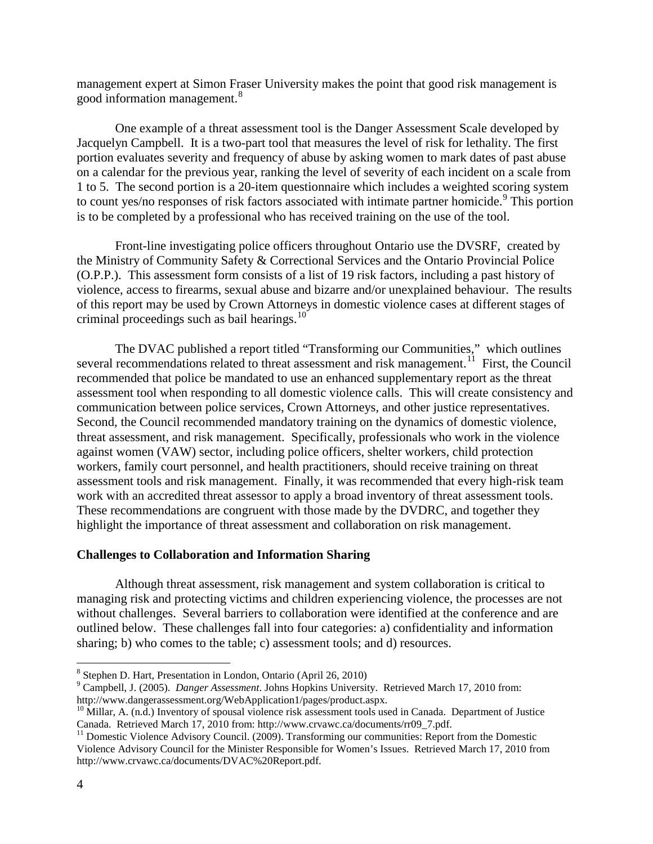management expert at Simon Fraser University makes the point that good risk management is good information management. [8](#page-5-0)

One example of a threat assessment tool is the Danger Assessment Scale developed by Jacquelyn Campbell. It is a two-part tool that measures the level of risk for lethality. The first portion evaluates severity and frequency of abuse by asking women to mark dates of past abuse on a calendar for the previous year, ranking the level of severity of each incident on a scale from 1 to 5. The second portion is a 20-item questionnaire which includes a weighted scoring system to count yes/no responses of risk factors associated with intimate partner homicide.<sup>[9](#page-5-1)</sup> This portion is to be completed by a professional who has received training on the use of the tool.

Front-line investigating police officers throughout Ontario use the DVSRF, created by the Ministry of Community Safety & Correctional Services and the Ontario Provincial Police (O.P.P.). This assessment form consists of a list of 19 risk factors, including a past history of violence, access to firearms, sexual abuse and bizarre and/or unexplained behaviour. The results of this report may be used by Crown Attorneys in domestic violence cases at different stages of criminal proceedings such as bail hearings.<sup>[10](#page-5-2)</sup>

The DVAC published a report titled "Transforming our Communities," which outlines several recommendations related to threat assessment and risk management.<sup>[11](#page-5-3)</sup> First, the Council recommended that police be mandated to use an enhanced supplementary report as the threat assessment tool when responding to all domestic violence calls. This will create consistency and communication between police services, Crown Attorneys, and other justice representatives. Second, the Council recommended mandatory training on the dynamics of domestic violence, threat assessment, and risk management. Specifically, professionals who work in the violence against women (VAW) sector, including police officers, shelter workers, child protection workers, family court personnel, and health practitioners, should receive training on threat assessment tools and risk management. Finally, it was recommended that every high-risk team work with an accredited threat assessor to apply a broad inventory of threat assessment tools. These recommendations are congruent with those made by the DVDRC, and together they highlight the importance of threat assessment and collaboration on risk management.

#### **Challenges to Collaboration and Information Sharing**

Although threat assessment, risk management and system collaboration is critical to managing risk and protecting victims and children experiencing violence, the processes are not without challenges. Several barriers to collaboration were identified at the conference and are outlined below. These challenges fall into four categories: a) confidentiality and information sharing; b) who comes to the table; c) assessment tools; and d) resources.

<span id="page-5-0"></span> <sup>8</sup> Stephen D. Hart, Presentation in London, Ontario (April 26, 2010)

<span id="page-5-1"></span><sup>9</sup> Campbell, J. (2005). *Danger Assessment*. Johns Hopkins University. Retrieved March 17, 2010 from: http://www.dangerassessment.org/WebApplication1/pages/product.aspx.

<span id="page-5-2"></span><sup>&</sup>lt;sup>10</sup> Millar, A. (n.d.) Inventory of spousal violence risk assessment tools used in Canada. Department of Justice Canada. Retrieved March 17, 2010 from: http://www.crvawc.ca/documents/rr09\_7.pdf.

<span id="page-5-3"></span><sup>&</sup>lt;sup>11</sup> Domestic Violence Advisory Council. (2009). Transforming our communities: Report from the Domestic Violence Advisory Council for the Minister Responsible for Women's Issues. Retrieved March 17, 2010 from http://www.crvawc.ca/documents/DVAC%20Report.pdf.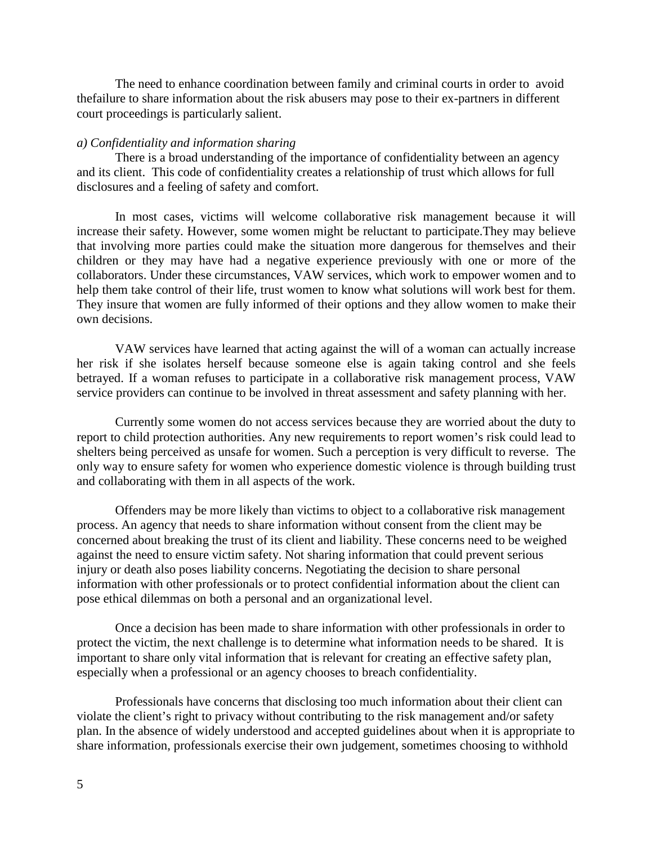The need to enhance coordination between family and criminal courts in order to avoid thefailure to share information about the risk abusers may pose to their ex-partners in different court proceedings is particularly salient.

#### *a) Confidentiality and information sharing*

There is a broad understanding of the importance of confidentiality between an agency and its client. This code of confidentiality creates a relationship of trust which allows for full disclosures and a feeling of safety and comfort.

In most cases, victims will welcome collaborative risk management because it will increase their safety. However, some women might be reluctant to participate.They may believe that involving more parties could make the situation more dangerous for themselves and their children or they may have had a negative experience previously with one or more of the collaborators. Under these circumstances, VAW services, which work to empower women and to help them take control of their life, trust women to know what solutions will work best for them. They insure that women are fully informed of their options and they allow women to make their own decisions.

VAW services have learned that acting against the will of a woman can actually increase her risk if she isolates herself because someone else is again taking control and she feels betrayed. If a woman refuses to participate in a collaborative risk management process, VAW service providers can continue to be involved in threat assessment and safety planning with her.

Currently some women do not access services because they are worried about the duty to report to child protection authorities. Any new requirements to report women's risk could lead to shelters being perceived as unsafe for women. Such a perception is very difficult to reverse. The only way to ensure safety for women who experience domestic violence is through building trust and collaborating with them in all aspects of the work.

Offenders may be more likely than victims to object to a collaborative risk management process. An agency that needs to share information without consent from the client may be concerned about breaking the trust of its client and liability. These concerns need to be weighed against the need to ensure victim safety. Not sharing information that could prevent serious injury or death also poses liability concerns. Negotiating the decision to share personal information with other professionals or to protect confidential information about the client can pose ethical dilemmas on both a personal and an organizational level.

Once a decision has been made to share information with other professionals in order to protect the victim, the next challenge is to determine what information needs to be shared. It is important to share only vital information that is relevant for creating an effective safety plan, especially when a professional or an agency chooses to breach confidentiality.

Professionals have concerns that disclosing too much information about their client can violate the client's right to privacy without contributing to the risk management and/or safety plan. In the absence of widely understood and accepted guidelines about when it is appropriate to share information, professionals exercise their own judgement, sometimes choosing to withhold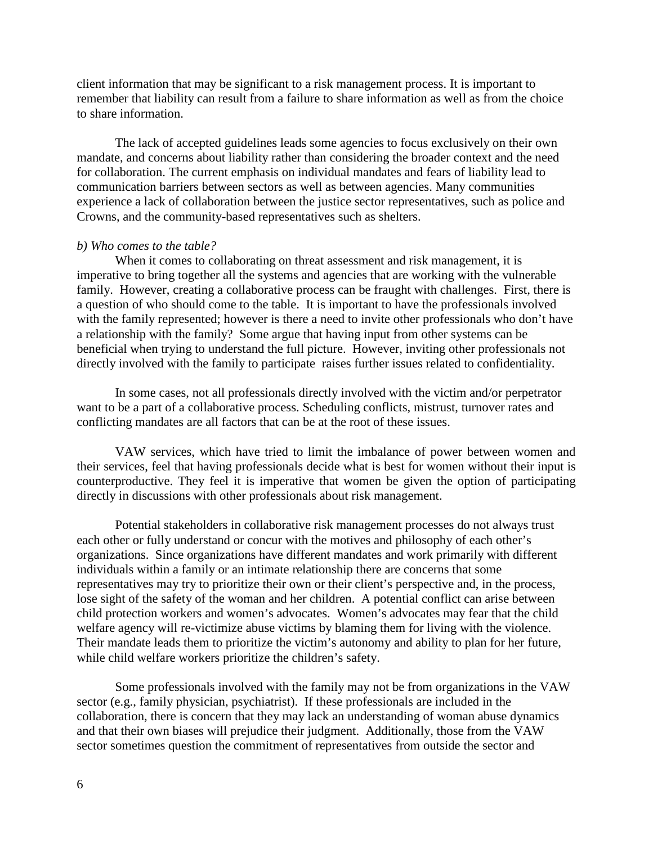client information that may be significant to a risk management process. It is important to remember that liability can result from a failure to share information as well as from the choice to share information.

The lack of accepted guidelines leads some agencies to focus exclusively on their own mandate, and concerns about liability rather than considering the broader context and the need for collaboration. The current emphasis on individual mandates and fears of liability lead to communication barriers between sectors as well as between agencies. Many communities experience a lack of collaboration between the justice sector representatives, such as police and Crowns, and the community-based representatives such as shelters.

#### *b) Who comes to the table?*

When it comes to collaborating on threat assessment and risk management, it is imperative to bring together all the systems and agencies that are working with the vulnerable family. However, creating a collaborative process can be fraught with challenges. First, there is a question of who should come to the table. It is important to have the professionals involved with the family represented; however is there a need to invite other professionals who don't have a relationship with the family? Some argue that having input from other systems can be beneficial when trying to understand the full picture. However, inviting other professionals not directly involved with the family to participate raises further issues related to confidentiality.

In some cases, not all professionals directly involved with the victim and/or perpetrator want to be a part of a collaborative process. Scheduling conflicts, mistrust, turnover rates and conflicting mandates are all factors that can be at the root of these issues.

VAW services, which have tried to limit the imbalance of power between women and their services, feel that having professionals decide what is best for women without their input is counterproductive. They feel it is imperative that women be given the option of participating directly in discussions with other professionals about risk management.

Potential stakeholders in collaborative risk management processes do not always trust each other or fully understand or concur with the motives and philosophy of each other's organizations. Since organizations have different mandates and work primarily with different individuals within a family or an intimate relationship there are concerns that some representatives may try to prioritize their own or their client's perspective and, in the process, lose sight of the safety of the woman and her children. A potential conflict can arise between child protection workers and women's advocates. Women's advocates may fear that the child welfare agency will re-victimize abuse victims by blaming them for living with the violence. Their mandate leads them to prioritize the victim's autonomy and ability to plan for her future, while child welfare workers prioritize the children's safety.

Some professionals involved with the family may not be from organizations in the VAW sector (e.g., family physician, psychiatrist). If these professionals are included in the collaboration, there is concern that they may lack an understanding of woman abuse dynamics and that their own biases will prejudice their judgment. Additionally, those from the VAW sector sometimes question the commitment of representatives from outside the sector and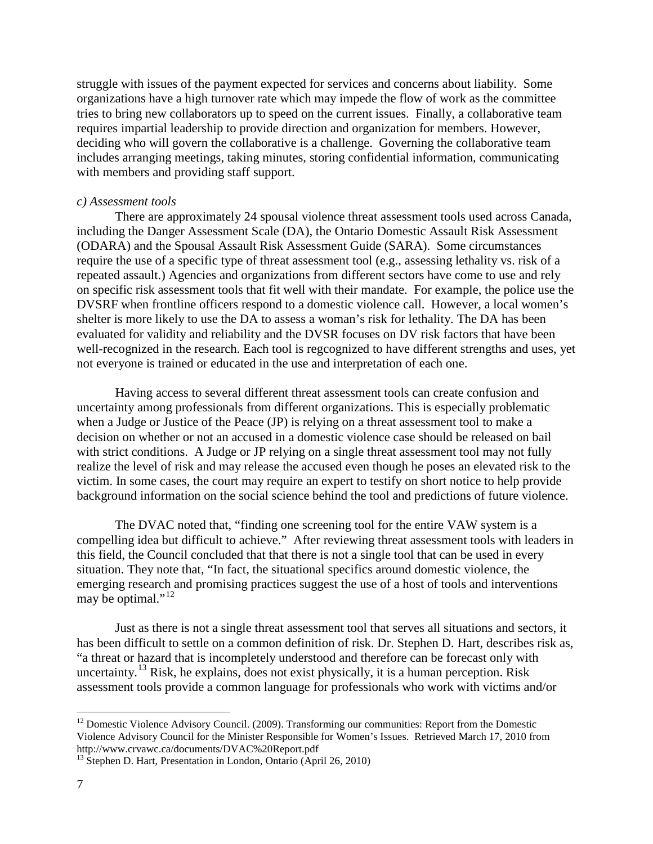struggle with issues of the payment expected for services and concerns about liability. Some organizations have a high turnover rate which may impede the flow of work as the committee tries to bring new collaborators up to speed on the current issues. Finally, a collaborative team requires impartial leadership to provide direction and organization for members. However, deciding who will govern the collaborative is a challenge. Governing the collaborative team includes arranging meetings, taking minutes, storing confidential information, communicating with members and providing staff support.

#### *c) Assessment tools*

There are approximately 24 spousal violence threat assessment tools used across Canada, including the Danger Assessment Scale (DA), the Ontario Domestic Assault Risk Assessment (ODARA) and the Spousal Assault Risk Assessment Guide (SARA). Some circumstances require the use of a specific type of threat assessment tool (e.g., assessing lethality vs. risk of a repeated assault.) Agencies and organizations from different sectors have come to use and rely on specific risk assessment tools that fit well with their mandate. For example, the police use the DVSRF when frontline officers respond to a domestic violence call. However, a local women's shelter is more likely to use the DA to assess a woman's risk for lethality. The DA has been evaluated for validity and reliability and the DVSR focuses on DV risk factors that have been well-recognized in the research. Each tool is regcognized to have different strengths and uses, yet not everyone is trained or educated in the use and interpretation of each one.

Having access to several different threat assessment tools can create confusion and uncertainty among professionals from different organizations. This is especially problematic when a Judge or Justice of the Peace (JP) is relying on a threat assessment tool to make a decision on whether or not an accused in a domestic violence case should be released on bail with strict conditions. A Judge or JP relying on a single threat assessment tool may not fully realize the level of risk and may release the accused even though he poses an elevated risk to the victim. In some cases, the court may require an expert to testify on short notice to help provide background information on the social science behind the tool and predictions of future violence.

The DVAC noted that, "finding one screening tool for the entire VAW system is a compelling idea but difficult to achieve." After reviewing threat assessment tools with leaders in this field, the Council concluded that that there is not a single tool that can be used in every situation. They note that, "In fact, the situational specifics around domestic violence, the emerging research and promising practices suggest the use of a host of tools and interventions may be optimal." $^{12}$  $^{12}$  $^{12}$ 

Just as there is not a single threat assessment tool that serves all situations and sectors, it has been difficult to settle on a common definition of risk. Dr. Stephen D. Hart, describes risk as, "a threat or hazard that is incompletely understood and therefore can be forecast only with uncertainty.<sup>[13](#page-8-1)</sup> Risk, he explains, does not exist physically, it is a human perception. Risk assessment tools provide a common language for professionals who work with victims and/or

<span id="page-8-0"></span><sup>&</sup>lt;sup>12</sup> Domestic Violence Advisory Council. (2009). Transforming our communities: Report from the Domestic Violence Advisory Council for the Minister Responsible for Women's Issues. Retrieved March 17, 2010 from http://www.crvawc.ca/documents/DVAC%20Report.pdf

<span id="page-8-1"></span> $13$  Stephen D. Hart, Presentation in London, Ontario (April 26, 2010)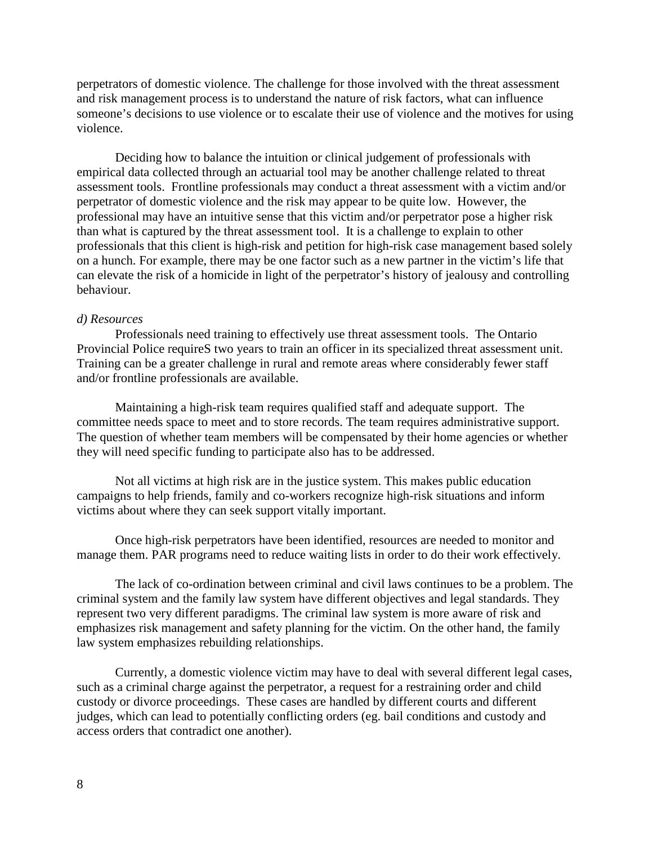perpetrators of domestic violence. The challenge for those involved with the threat assessment and risk management process is to understand the nature of risk factors, what can influence someone's decisions to use violence or to escalate their use of violence and the motives for using violence.

Deciding how to balance the intuition or clinical judgement of professionals with empirical data collected through an actuarial tool may be another challenge related to threat assessment tools. Frontline professionals may conduct a threat assessment with a victim and/or perpetrator of domestic violence and the risk may appear to be quite low. However, the professional may have an intuitive sense that this victim and/or perpetrator pose a higher risk than what is captured by the threat assessment tool. It is a challenge to explain to other professionals that this client is high-risk and petition for high-risk case management based solely on a hunch. For example, there may be one factor such as a new partner in the victim's life that can elevate the risk of a homicide in light of the perpetrator's history of jealousy and controlling behaviour.

#### *d) Resources*

Professionals need training to effectively use threat assessment tools. The Ontario Provincial Police requireS two years to train an officer in its specialized threat assessment unit. Training can be a greater challenge in rural and remote areas where considerably fewer staff and/or frontline professionals are available.

Maintaining a high-risk team requires qualified staff and adequate support. The committee needs space to meet and to store records. The team requires administrative support. The question of whether team members will be compensated by their home agencies or whether they will need specific funding to participate also has to be addressed.

Not all victims at high risk are in the justice system. This makes public education campaigns to help friends, family and co-workers recognize high-risk situations and inform victims about where they can seek support vitally important.

Once high-risk perpetrators have been identified, resources are needed to monitor and manage them. PAR programs need to reduce waiting lists in order to do their work effectively.

The lack of co-ordination between criminal and civil laws continues to be a problem. The criminal system and the family law system have different objectives and legal standards. They represent two very different paradigms. The criminal law system is more aware of risk and emphasizes risk management and safety planning for the victim. On the other hand, the family law system emphasizes rebuilding relationships.

Currently, a domestic violence victim may have to deal with several different legal cases, such as a criminal charge against the perpetrator, a request for a restraining order and child custody or divorce proceedings. These cases are handled by different courts and different judges, which can lead to potentially conflicting orders (eg. bail conditions and custody and access orders that contradict one another).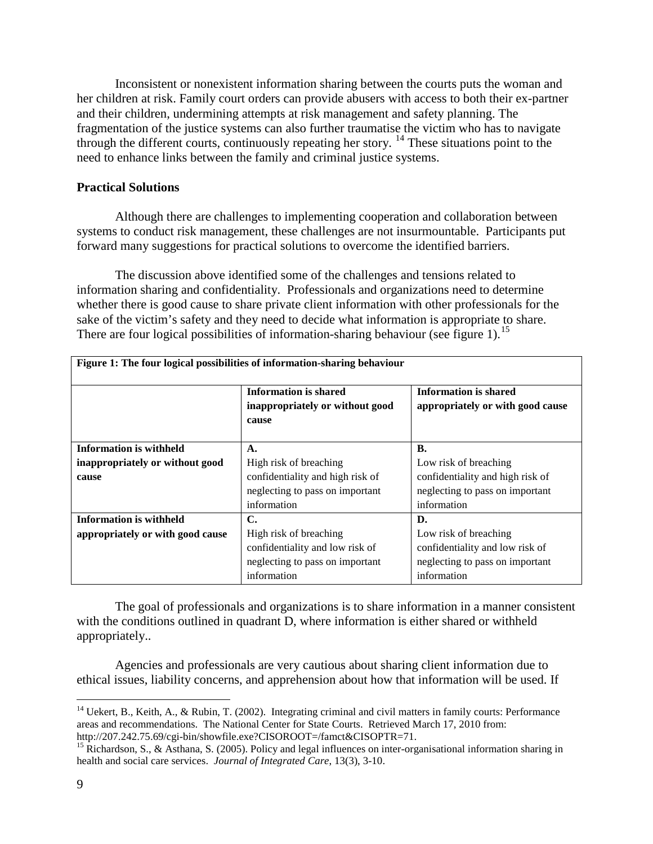Inconsistent or nonexistent information sharing between the courts puts the woman and her children at risk. Family court orders can provide abusers with access to both their ex-partner and their children, undermining attempts at risk management and safety planning. The fragmentation of the justice systems can also further traumatise the victim who has to navigate through the different courts, continuously repeating her story.  $14$  These situations point to the need to enhance links between the family and criminal justice systems.

#### **Practical Solutions**

Although there are challenges to implementing cooperation and collaboration between systems to conduct risk management, these challenges are not insurmountable. Participants put forward many suggestions for practical solutions to overcome the identified barriers.

The discussion above identified some of the challenges and tensions related to information sharing and confidentiality. Professionals and organizations need to determine whether there is good cause to share private client information with other professionals for the sake of the victim's safety and they need to decide what information is appropriate to share. There are four logical possibilities of information-sharing behaviour (see figure 1).<sup>[15](#page-10-1)</sup>

| Figure 1: The four logical possibilities of information-sharing behaviour |                                                                          |                                                           |  |  |  |  |
|---------------------------------------------------------------------------|--------------------------------------------------------------------------|-----------------------------------------------------------|--|--|--|--|
|                                                                           | <b>Information is shared</b><br>inappropriately or without good<br>cause | Information is shared<br>appropriately or with good cause |  |  |  |  |
| <b>Information is withheld</b>                                            | A.                                                                       | В.                                                        |  |  |  |  |
| inappropriately or without good                                           | High risk of breaching                                                   | Low risk of breaching                                     |  |  |  |  |
| cause                                                                     | confidentiality and high risk of                                         | confidentiality and high risk of                          |  |  |  |  |
|                                                                           | neglecting to pass on important                                          | neglecting to pass on important                           |  |  |  |  |
|                                                                           | information                                                              | information                                               |  |  |  |  |
| <b>Information is withheld</b>                                            | C.                                                                       | D.                                                        |  |  |  |  |
| appropriately or with good cause                                          | High risk of breaching                                                   | Low risk of breaching                                     |  |  |  |  |
|                                                                           | confidentiality and low risk of                                          | confidentiality and low risk of                           |  |  |  |  |
|                                                                           | neglecting to pass on important                                          | neglecting to pass on important                           |  |  |  |  |
|                                                                           | information                                                              | information                                               |  |  |  |  |

The goal of professionals and organizations is to share information in a manner consistent with the conditions outlined in quadrant D, where information is either shared or withheld appropriately..

Agencies and professionals are very cautious about sharing client information due to ethical issues, liability concerns, and apprehension about how that information will be used. If

<span id="page-10-0"></span><sup>&</sup>lt;sup>14</sup> Uekert, B., Keith, A., & Rubin, T. (2002). Integrating criminal and civil matters in family courts: Performance areas and recommendations. The National Center for State Courts. Retrieved March 17, 2010 from:

<span id="page-10-1"></span>http://207.242.75.69/cgi-bin/showfile.exe?CISOROOT=/famct&CISOPTR=71.<br><sup>15</sup> Richardson, S., & Asthana, S. (2005). Policy and legal influences on inter-organisational information sharing in health and social care services. *Journal of Integrated Care*, 13(3), 3-10.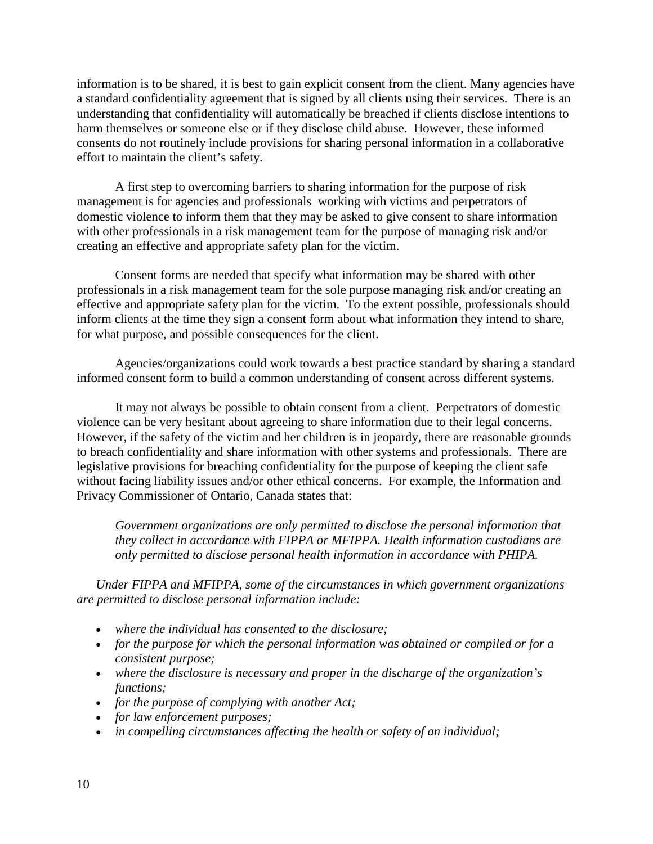information is to be shared, it is best to gain explicit consent from the client. Many agencies have a standard confidentiality agreement that is signed by all clients using their services. There is an understanding that confidentiality will automatically be breached if clients disclose intentions to harm themselves or someone else or if they disclose child abuse. However, these informed consents do not routinely include provisions for sharing personal information in a collaborative effort to maintain the client's safety.

A first step to overcoming barriers to sharing information for the purpose of risk management is for agencies and professionals working with victims and perpetrators of domestic violence to inform them that they may be asked to give consent to share information with other professionals in a risk management team for the purpose of managing risk and/or creating an effective and appropriate safety plan for the victim.

Consent forms are needed that specify what information may be shared with other professionals in a risk management team for the sole purpose managing risk and/or creating an effective and appropriate safety plan for the victim. To the extent possible, professionals should inform clients at the time they sign a consent form about what information they intend to share, for what purpose, and possible consequences for the client.

Agencies/organizations could work towards a best practice standard by sharing a standard informed consent form to build a common understanding of consent across different systems.

It may not always be possible to obtain consent from a client. Perpetrators of domestic violence can be very hesitant about agreeing to share information due to their legal concerns. However, if the safety of the victim and her children is in jeopardy, there are reasonable grounds to breach confidentiality and share information with other systems and professionals. There are legislative provisions for breaching confidentiality for the purpose of keeping the client safe without facing liability issues and/or other ethical concerns. For example, the Information and Privacy Commissioner of Ontario, Canada states that:

*Government organizations are only permitted to disclose the personal information that they collect in accordance with FIPPA or MFIPPA. Health information custodians are only permitted to disclose personal health information in accordance with PHIPA.*

*Under FIPPA and MFIPPA, some of the circumstances in which government organizations are permitted to disclose personal information include:*

- *where the individual has consented to the disclosure;*
- *for the purpose for which the personal information was obtained or compiled or for a consistent purpose;*
- *where the disclosure is necessary and proper in the discharge of the organization's functions;*
- *for the purpose of complying with another Act;*
- *for law enforcement purposes;*
- *in compelling circumstances affecting the health or safety of an individual;*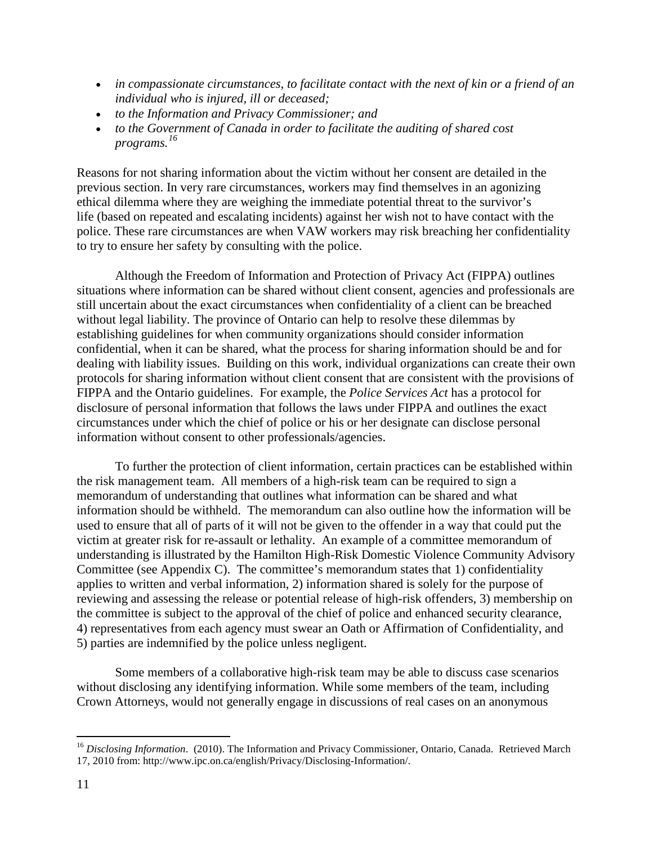- *in compassionate circumstances, to facilitate contact with the next of kin or a friend of an individual who is injured, ill or deceased;*
- *to the Information and Privacy Commissioner; and*
- *to the Government of Canada in order to facilitate the auditing of shared cost programs. [16](#page-12-0)*

Reasons for not sharing information about the victim without her consent are detailed in the previous section. In very rare circumstances, workers may find themselves in an agonizing ethical dilemma where they are weighing the immediate potential threat to the survivor's life (based on repeated and escalating incidents) against her wish not to have contact with the police. These rare circumstances are when VAW workers may risk breaching her confidentiality to try to ensure her safety by consulting with the police.

Although the Freedom of Information and Protection of Privacy Act (FIPPA) outlines situations where information can be shared without client consent, agencies and professionals are still uncertain about the exact circumstances when confidentiality of a client can be breached without legal liability. The province of Ontario can help to resolve these dilemmas by establishing guidelines for when community organizations should consider information confidential, when it can be shared, what the process for sharing information should be and for dealing with liability issues. Building on this work, individual organizations can create their own protocols for sharing information without client consent that are consistent with the provisions of FIPPA and the Ontario guidelines. For example, the *Police Services Act* has a protocol for disclosure of personal information that follows the laws under FIPPA and outlines the exact circumstances under which the chief of police or his or her designate can disclose personal information without consent to other professionals/agencies.

To further the protection of client information, certain practices can be established within the risk management team. All members of a high-risk team can be required to sign a memorandum of understanding that outlines what information can be shared and what information should be withheld. The memorandum can also outline how the information will be used to ensure that all of parts of it will not be given to the offender in a way that could put the victim at greater risk for re-assault or lethality. An example of a committee memorandum of understanding is illustrated by the Hamilton High-Risk Domestic Violence Community Advisory Committee (see Appendix C). The committee's memorandum states that 1) confidentiality applies to written and verbal information, 2) information shared is solely for the purpose of reviewing and assessing the release or potential release of high-risk offenders, 3) membership on the committee is subject to the approval of the chief of police and enhanced security clearance, 4) representatives from each agency must swear an Oath or Affirmation of Confidentiality, and 5) parties are indemnified by the police unless negligent.

Some members of a collaborative high-risk team may be able to discuss case scenarios without disclosing any identifying information. While some members of the team, including Crown Attorneys, would not generally engage in discussions of real cases on an anonymous

<span id="page-12-0"></span><sup>&</sup>lt;sup>16</sup> Disclosing Information. (2010). The Information and Privacy Commissioner, Ontario, Canada. Retrieved March 17, 2010 from: http://www.ipc.on.ca/english/Privacy/Disclosing-Information/.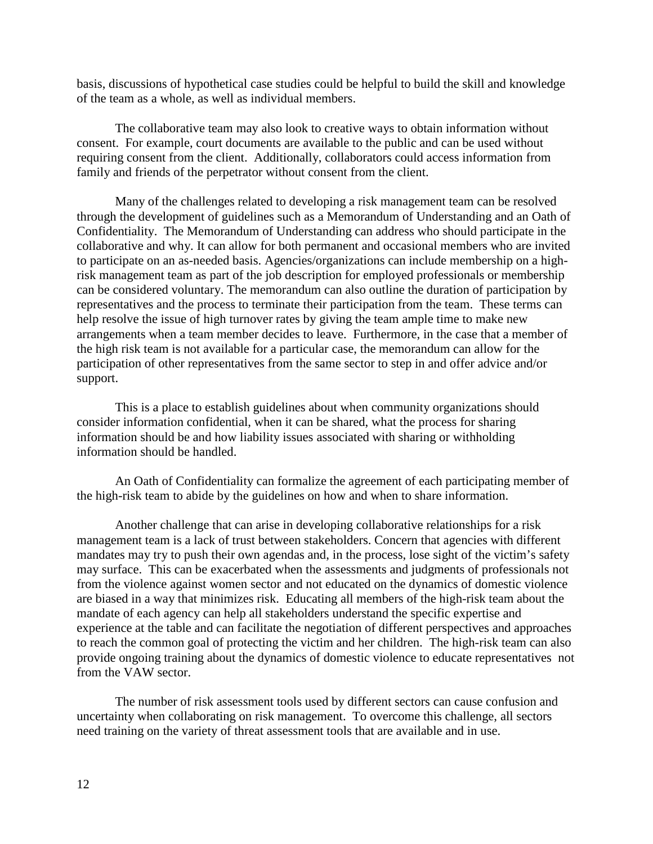basis, discussions of hypothetical case studies could be helpful to build the skill and knowledge of the team as a whole, as well as individual members.

The collaborative team may also look to creative ways to obtain information without consent. For example, court documents are available to the public and can be used without requiring consent from the client. Additionally, collaborators could access information from family and friends of the perpetrator without consent from the client.

Many of the challenges related to developing a risk management team can be resolved through the development of guidelines such as a Memorandum of Understanding and an Oath of Confidentiality. The Memorandum of Understanding can address who should participate in the collaborative and why. It can allow for both permanent and occasional members who are invited to participate on an as-needed basis. Agencies/organizations can include membership on a highrisk management team as part of the job description for employed professionals or membership can be considered voluntary. The memorandum can also outline the duration of participation by representatives and the process to terminate their participation from the team. These terms can help resolve the issue of high turnover rates by giving the team ample time to make new arrangements when a team member decides to leave. Furthermore, in the case that a member of the high risk team is not available for a particular case, the memorandum can allow for the participation of other representatives from the same sector to step in and offer advice and/or support.

This is a place to establish guidelines about when community organizations should consider information confidential, when it can be shared, what the process for sharing information should be and how liability issues associated with sharing or withholding information should be handled.

An Oath of Confidentiality can formalize the agreement of each participating member of the high-risk team to abide by the guidelines on how and when to share information.

Another challenge that can arise in developing collaborative relationships for a risk management team is a lack of trust between stakeholders. Concern that agencies with different mandates may try to push their own agendas and, in the process, lose sight of the victim's safety may surface. This can be exacerbated when the assessments and judgments of professionals not from the violence against women sector and not educated on the dynamics of domestic violence are biased in a way that minimizes risk. Educating all members of the high-risk team about the mandate of each agency can help all stakeholders understand the specific expertise and experience at the table and can facilitate the negotiation of different perspectives and approaches to reach the common goal of protecting the victim and her children. The high-risk team can also provide ongoing training about the dynamics of domestic violence to educate representatives not from the VAW sector.

The number of risk assessment tools used by different sectors can cause confusion and uncertainty when collaborating on risk management. To overcome this challenge, all sectors need training on the variety of threat assessment tools that are available and in use.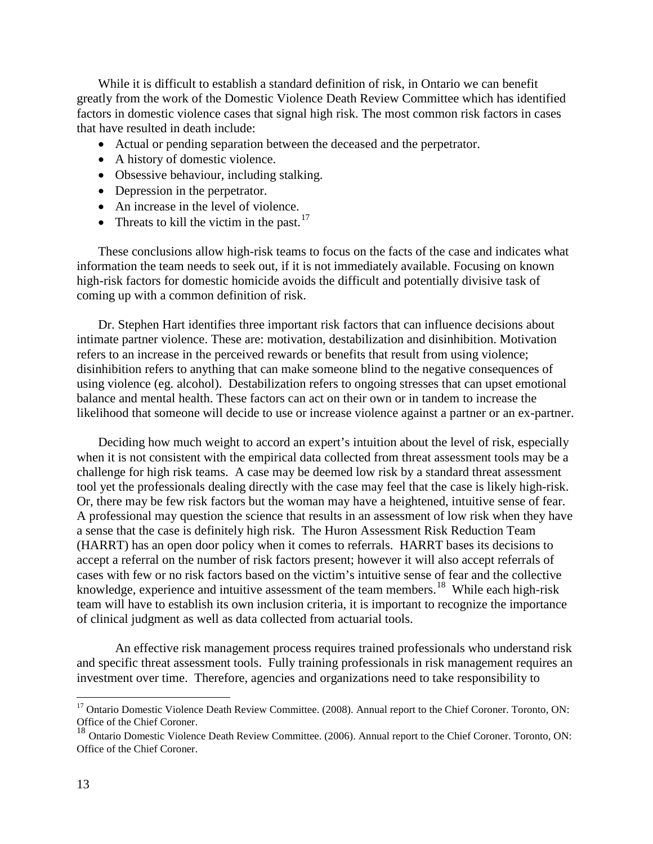While it is difficult to establish a standard definition of risk, in Ontario we can benefit greatly from the work of the Domestic Violence Death Review Committee which has identified factors in domestic violence cases that signal high risk. The most common risk factors in cases that have resulted in death include:

- Actual or pending separation between the deceased and the perpetrator.
- A history of domestic violence.
- Obsessive behaviour, including stalking.
- Depression in the perpetrator.
- An increase in the level of violence.
- Threats to kill the victim in the past. $17$

These conclusions allow high-risk teams to focus on the facts of the case and indicates what information the team needs to seek out, if it is not immediately available. Focusing on known high-risk factors for domestic homicide avoids the difficult and potentially divisive task of coming up with a common definition of risk.

Dr. Stephen Hart identifies three important risk factors that can influence decisions about intimate partner violence. These are: motivation, destabilization and disinhibition. Motivation refers to an increase in the perceived rewards or benefits that result from using violence; disinhibition refers to anything that can make someone blind to the negative consequences of using violence (eg. alcohol). Destabilization refers to ongoing stresses that can upset emotional balance and mental health. These factors can act on their own or in tandem to increase the likelihood that someone will decide to use or increase violence against a partner or an ex-partner.

Deciding how much weight to accord an expert's intuition about the level of risk, especially when it is not consistent with the empirical data collected from threat assessment tools may be a challenge for high risk teams. A case may be deemed low risk by a standard threat assessment tool yet the professionals dealing directly with the case may feel that the case is likely high-risk. Or, there may be few risk factors but the woman may have a heightened, intuitive sense of fear. A professional may question the science that results in an assessment of low risk when they have a sense that the case is definitely high risk. The Huron Assessment Risk Reduction Team (HARRT) has an open door policy when it comes to referrals. HARRT bases its decisions to accept a referral on the number of risk factors present; however it will also accept referrals of cases with few or no risk factors based on the victim's intuitive sense of fear and the collective knowledge, experience and intuitive assessment of the team members.<sup>18</sup> While each high-risk team will have to establish its own inclusion criteria, it is important to recognize the importance of clinical judgment as well as data collected from actuarial tools.

An effective risk management process requires trained professionals who understand risk and specific threat assessment tools. Fully training professionals in risk management requires an investment over time. Therefore, agencies and organizations need to take responsibility to

<span id="page-14-0"></span><sup>&</sup>lt;sup>17</sup> Ontario Domestic Violence Death Review Committee. (2008). Annual report to the Chief Coroner. Toronto, ON: Office of the Chief Coroner.

<span id="page-14-1"></span><sup>&</sup>lt;sup>18</sup> Ontario Domestic Violence Death Review Committee. (2006). Annual report to the Chief Coroner. Toronto, ON: Office of the Chief Coroner.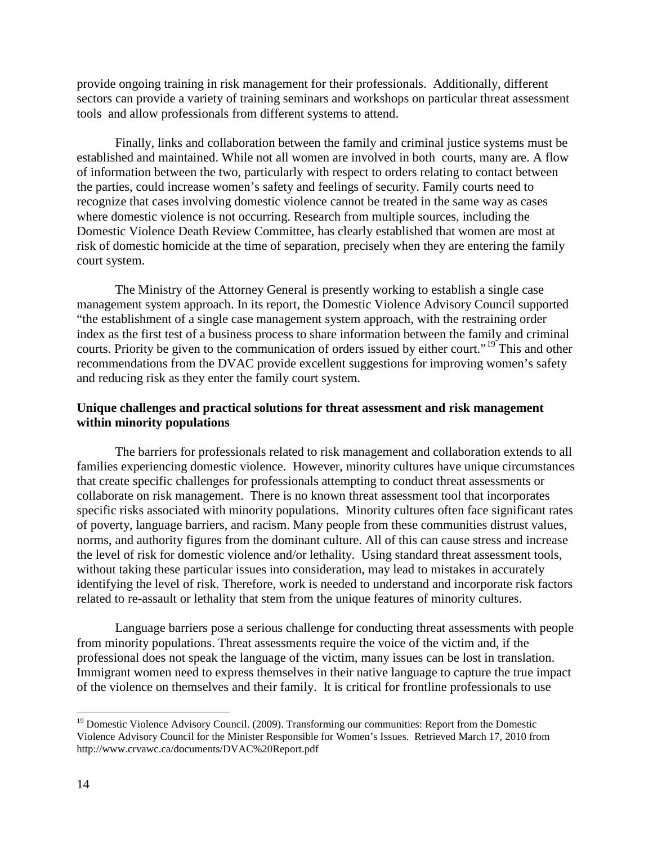provide ongoing training in risk management for their professionals. Additionally, different sectors can provide a variety of training seminars and workshops on particular threat assessment tools and allow professionals from different systems to attend.

Finally, links and collaboration between the family and criminal justice systems must be established and maintained. While not all women are involved in both courts, many are. A flow of information between the two, particularly with respect to orders relating to contact between the parties, could increase women's safety and feelings of security. Family courts need to recognize that cases involving domestic violence cannot be treated in the same way as cases where domestic violence is not occurring. Research from multiple sources, including the Domestic Violence Death Review Committee, has clearly established that women are most at risk of domestic homicide at the time of separation, precisely when they are entering the family court system.

The Ministry of the Attorney General is presently working to establish a single case management system approach. In its report, the Domestic Violence Advisory Council supported "the establishment of a single case management system approach, with the restraining order index as the first test of a business process to share information between the family and criminal courts. Priority be given to the communication of orders issued by either court."<sup>[19](#page-15-0)</sup> This and other recommendations from the DVAC provide excellent suggestions for improving women's safety and reducing risk as they enter the family court system.

#### **Unique challenges and practical solutions for threat assessment and risk management within minority populations**

The barriers for professionals related to risk management and collaboration extends to all families experiencing domestic violence. However, minority cultures have unique circumstances that create specific challenges for professionals attempting to conduct threat assessments or collaborate on risk management. There is no known threat assessment tool that incorporates specific risks associated with minority populations. Minority cultures often face significant rates of poverty, language barriers, and racism. Many people from these communities distrust values, norms, and authority figures from the dominant culture. All of this can cause stress and increase the level of risk for domestic violence and/or lethality. Using standard threat assessment tools, without taking these particular issues into consideration, may lead to mistakes in accurately identifying the level of risk. Therefore, work is needed to understand and incorporate risk factors related to re-assault or lethality that stem from the unique features of minority cultures.

Language barriers pose a serious challenge for conducting threat assessments with people from minority populations. Threat assessments require the voice of the victim and, if the professional does not speak the language of the victim, many issues can be lost in translation. Immigrant women need to express themselves in their native language to capture the true impact of the violence on themselves and their family. It is critical for frontline professionals to use

<span id="page-15-0"></span><sup>&</sup>lt;sup>19</sup> Domestic Violence Advisory Council. (2009). Transforming our communities: Report from the Domestic Violence Advisory Council for the Minister Responsible for Women's Issues. Retrieved March 17, 2010 from http://www.crvawc.ca/documents/DVAC%20Report.pdf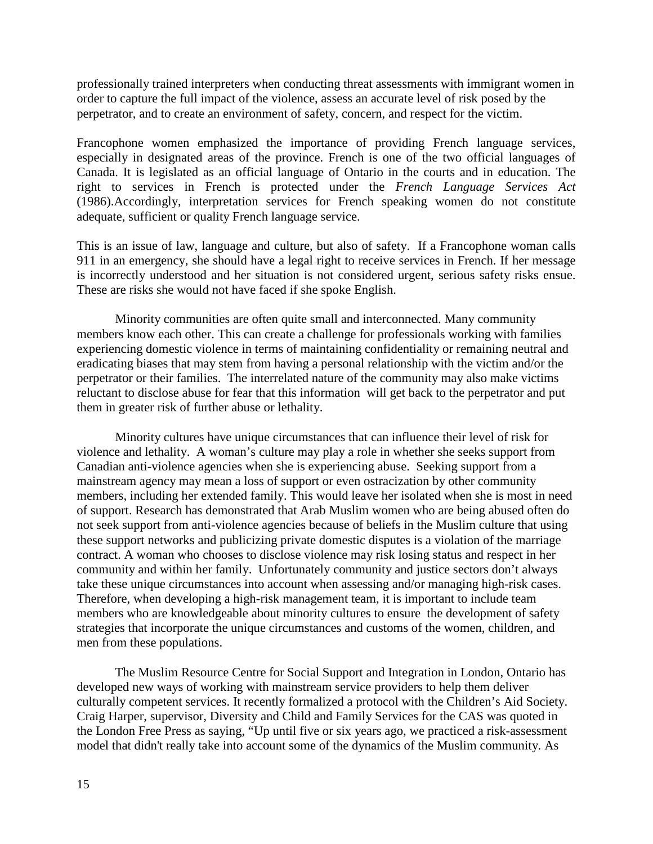professionally trained interpreters when conducting threat assessments with immigrant women in order to capture the full impact of the violence, assess an accurate level of risk posed by the perpetrator, and to create an environment of safety, concern, and respect for the victim.

Francophone women emphasized the importance of providing French language services, especially in designated areas of the province. French is one of the two official languages of Canada. It is legislated as an official language of Ontario in the courts and in education. The right to services in French is protected under the *French Language Services Act* (1986).Accordingly, interpretation services for French speaking women do not constitute adequate, sufficient or quality French language service.

This is an issue of law, language and culture, but also of safety. If a Francophone woman calls 911 in an emergency, she should have a legal right to receive services in French. If her message is incorrectly understood and her situation is not considered urgent, serious safety risks ensue. These are risks she would not have faced if she spoke English.

Minority communities are often quite small and interconnected. Many community members know each other. This can create a challenge for professionals working with families experiencing domestic violence in terms of maintaining confidentiality or remaining neutral and eradicating biases that may stem from having a personal relationship with the victim and/or the perpetrator or their families. The interrelated nature of the community may also make victims reluctant to disclose abuse for fear that this information will get back to the perpetrator and put them in greater risk of further abuse or lethality.

Minority cultures have unique circumstances that can influence their level of risk for violence and lethality. A woman's culture may play a role in whether she seeks support from Canadian anti-violence agencies when she is experiencing abuse. Seeking support from a mainstream agency may mean a loss of support or even ostracization by other community members, including her extended family. This would leave her isolated when she is most in need of support. Research has demonstrated that Arab Muslim women who are being abused often do not seek support from anti-violence agencies because of beliefs in the Muslim culture that using these support networks and publicizing private domestic disputes is a violation of the marriage contract. A woman who chooses to disclose violence may risk losing status and respect in her community and within her family. Unfortunately community and justice sectors don't always take these unique circumstances into account when assessing and/or managing high-risk cases. Therefore, when developing a high-risk management team, it is important to include team members who are knowledgeable about minority cultures to ensure the development of safety strategies that incorporate the unique circumstances and customs of the women, children, and men from these populations.

The Muslim Resource Centre for Social Support and Integration in London, Ontario has developed new ways of working with mainstream service providers to help them deliver culturally competent services. It recently formalized a protocol with the Children's Aid Society. Craig Harper, supervisor, Diversity and Child and Family Services for the CAS was quoted in the London Free Press as saying, "Up until five or six years ago, we practiced a risk-assessment model that didn't really take into account some of the dynamics of the Muslim community. As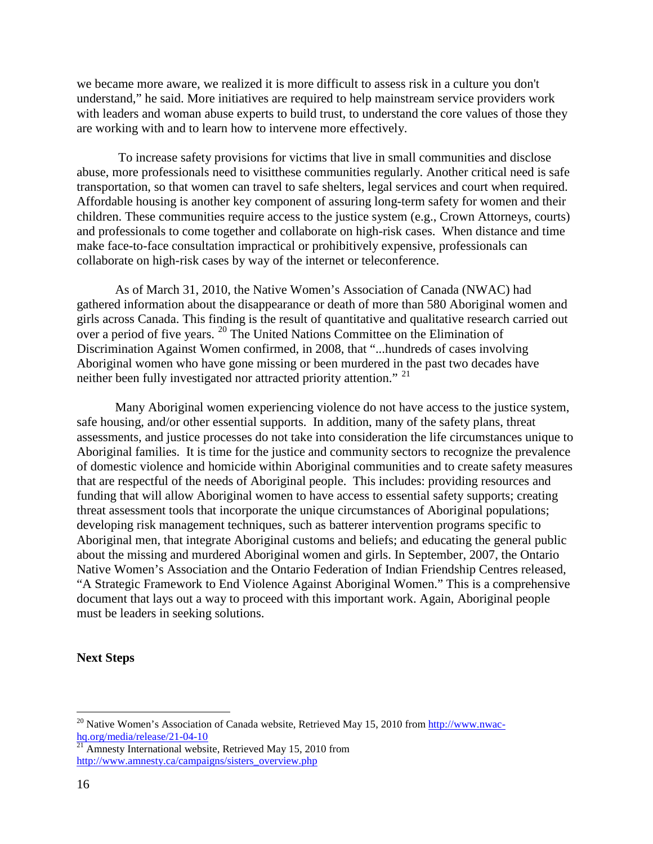we became more aware, we realized it is more difficult to assess risk in a culture you don't understand," he said. More initiatives are required to help mainstream service providers work with leaders and woman abuse experts to build trust, to understand the core values of those they are working with and to learn how to intervene more effectively.

To increase safety provisions for victims that live in small communities and disclose abuse, more professionals need to visitthese communities regularly. Another critical need is safe transportation, so that women can travel to safe shelters, legal services and court when required. Affordable housing is another key component of assuring long-term safety for women and their children. These communities require access to the justice system (e.g., Crown Attorneys, courts) and professionals to come together and collaborate on high-risk cases. When distance and time make face-to-face consultation impractical or prohibitively expensive, professionals can collaborate on high-risk cases by way of the internet or teleconference.

As of March 31, 2010, the Native Women's Association of Canada (NWAC) had gathered information about the disappearance or death of more than 580 Aboriginal women and girls across Canada. This finding is the result of quantitative and qualitative research carried out over a period of five years.  $20$  The United Nations Committee on the Elimination of Discrimination Against Women confirmed, in 2008, that "...hundreds of cases involving Aboriginal women who have gone missing or been murdered in the past two decades have neither been fully investigated nor attracted priority attention." [21](#page-17-1)

Many Aboriginal women experiencing violence do not have access to the justice system, safe housing, and/or other essential supports. In addition, many of the safety plans, threat assessments, and justice processes do not take into consideration the life circumstances unique to Aboriginal families. It is time for the justice and community sectors to recognize the prevalence of domestic violence and homicide within Aboriginal communities and to create safety measures that are respectful of the needs of Aboriginal people. This includes: providing resources and funding that will allow Aboriginal women to have access to essential safety supports; creating threat assessment tools that incorporate the unique circumstances of Aboriginal populations; developing risk management techniques, such as batterer intervention programs specific to Aboriginal men, that integrate Aboriginal customs and beliefs; and educating the general public about the missing and murdered Aboriginal women and girls. In September, 2007, the Ontario Native Women's Association and the Ontario Federation of Indian Friendship Centres released, "A Strategic Framework to End Violence Against Aboriginal Women." This is a comprehensive document that lays out a way to proceed with this important work. Again, Aboriginal people must be leaders in seeking solutions.

#### **Next Steps**

<span id="page-17-0"></span><sup>&</sup>lt;sup>20</sup> Native Women's Association of Canada website, Retrieved May 15, 2010 from [http://www.nwac](http://www.nwac-hq.org/media/release/21-04-10)[hq.org/media/release/21-04-10](http://www.nwac-hq.org/media/release/21-04-10)<br><sup>21</sup> Amnesty International website, Retrieved May 15, 2010 from

<span id="page-17-1"></span>[http://www.amnesty.ca/campaigns/sisters\\_overview.php](http://www.amnesty.ca/campaigns/sisters_overview.php)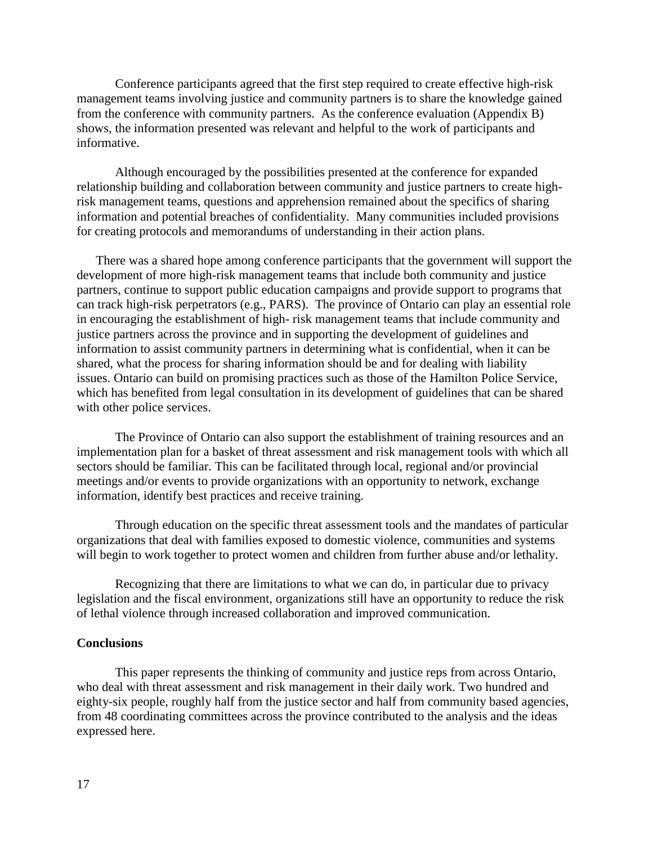Conference participants agreed that the first step required to create effective high-risk management teams involving justice and community partners is to share the knowledge gained from the conference with community partners. As the conference evaluation (Appendix B) shows, the information presented was relevant and helpful to the work of participants and informative.

Although encouraged by the possibilities presented at the conference for expanded relationship building and collaboration between community and justice partners to create highrisk management teams, questions and apprehension remained about the specifics of sharing information and potential breaches of confidentiality. Many communities included provisions for creating protocols and memorandums of understanding in their action plans.

There was a shared hope among conference participants that the government will support the development of more high-risk management teams that include both community and justice partners, continue to support public education campaigns and provide support to programs that can track high-risk perpetrators (e.g., PARS). The province of Ontario can play an essential role in encouraging the establishment of high- risk management teams that include community and justice partners across the province and in supporting the development of guidelines and information to assist community partners in determining what is confidential, when it can be shared, what the process for sharing information should be and for dealing with liability issues. Ontario can build on promising practices such as those of the Hamilton Police Service, which has benefited from legal consultation in its development of guidelines that can be shared with other police services.

The Province of Ontario can also support the establishment of training resources and an implementation plan for a basket of threat assessment and risk management tools with which all sectors should be familiar. This can be facilitated through local, regional and/or provincial meetings and/or events to provide organizations with an opportunity to network, exchange information, identify best practices and receive training.

Through education on the specific threat assessment tools and the mandates of particular organizations that deal with families exposed to domestic violence, communities and systems will begin to work together to protect women and children from further abuse and/or lethality.

Recognizing that there are limitations to what we can do, in particular due to privacy legislation and the fiscal environment, organizations still have an opportunity to reduce the risk of lethal violence through increased collaboration and improved communication.

#### **Conclusions**

This paper represents the thinking of community and justice reps from across Ontario, who deal with threat assessment and risk management in their daily work. Two hundred and eighty-six people, roughly half from the justice sector and half from community based agencies, from 48 coordinating committees across the province contributed to the analysis and the ideas expressed here.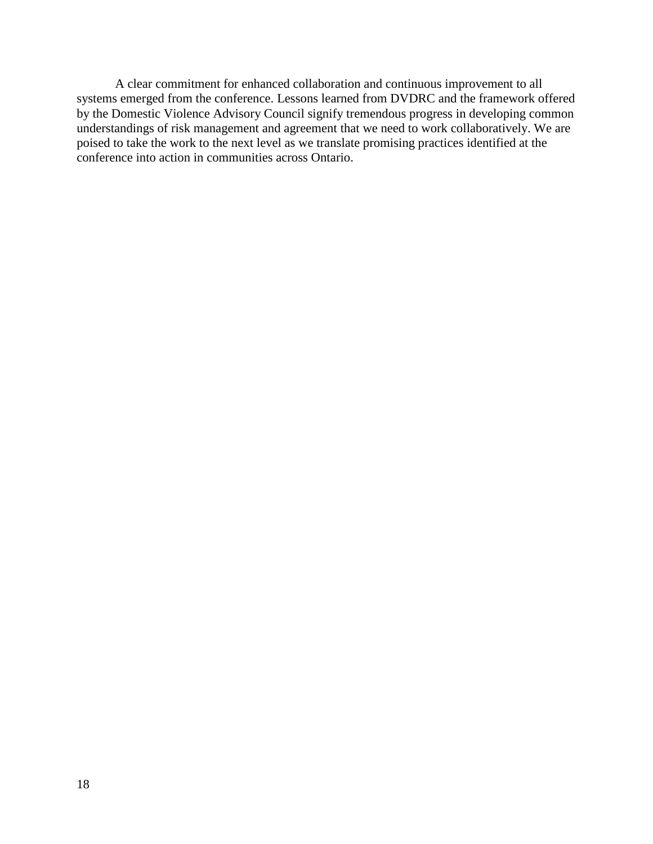A clear commitment for enhanced collaboration and continuous improvement to all systems emerged from the conference. Lessons learned from DVDRC and the framework offered by the Domestic Violence Advisory Council signify tremendous progress in developing common understandings of risk management and agreement that we need to work collaboratively. We are poised to take the work to the next level as we translate promising practices identified at the conference into action in communities across Ontario.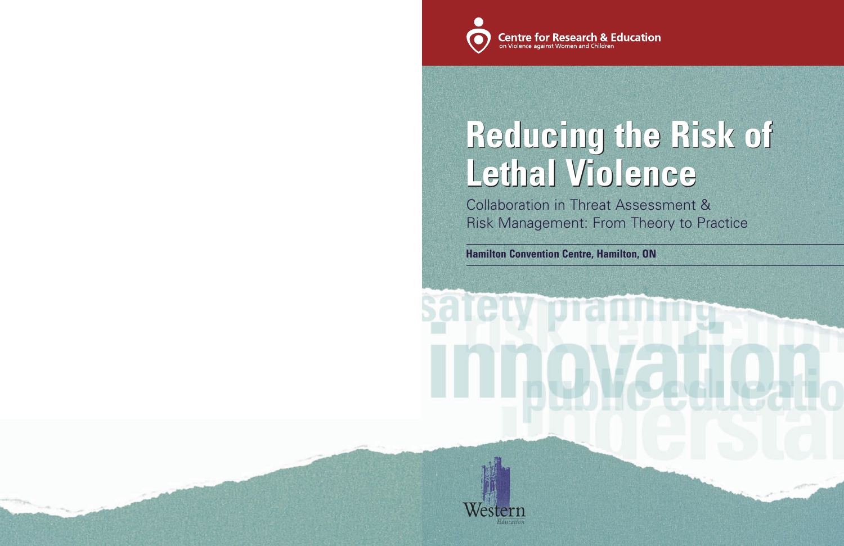Collaboration in Threat Assessment & Risk Management: From Theory to Practice

**Hamilton Convention Centre, Hamilton, ON**





# **Reducing the Risk of Reducing the Risk of Lethal Violence Lethal Violence**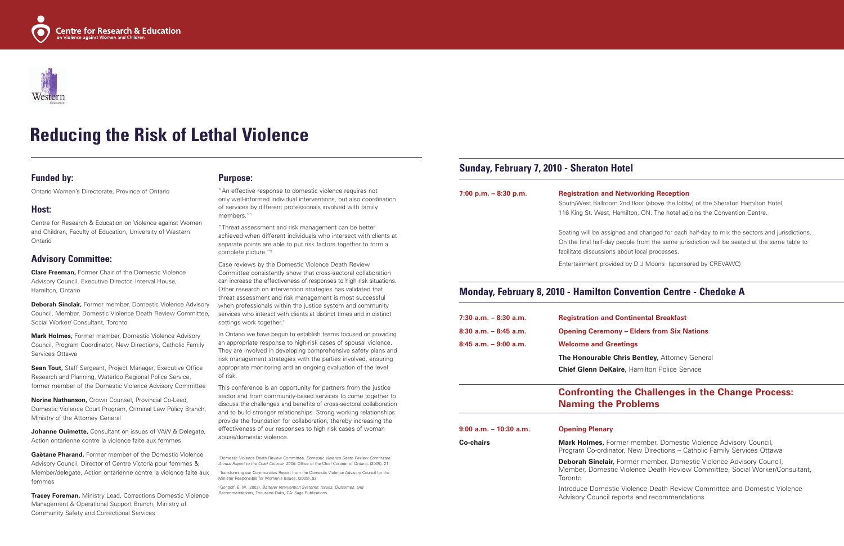#### **Funded by:**

Ontario Women's Directorate, Province of Ontario

#### **Host:**

Centre for Research & Education on Violence against Women and Children, Faculty of Education, University of Western Ontario

#### **Advisory Committee:**

**Clare Freeman,** Former Chair of the Domestic Violence Advisory Council, Executive Director, Interval House, Hamilton, Ontario

**Deborah Sinclair,** Former member, Domestic Violence Advisory Council, Member, Domestic Violence Death Review Committee, Social Worker/ Consultant, Toronto

**Mark Holmes,** Former member, Domestic Violence Advisory Council, Program Coordinator, New Directions, Catholic Family Services Ottawa

"An effective response to domestic violence requires not only well-informed individual interventions, but also coordination of services by different professionals involved with family members."

**Sean Tout,** Staff Sergeant, Project Manager, Executive Office Research and Planning, Waterloo Regional Police Service, former member of the Domestic Violence Advisory Committee

**Norine Nathanson,** Crown Counsel, Provincial Co-Lead, Domestic Violence Court Program, Criminal Law Policy Branch, Ministry of the Attorney General

Case reviews by the Domestic Violence Death Review Committee consistently show that cross-sectoral collaboration can increase the effectiveness of responses to high risk situations. Other research on intervention strategies has validated that threat assessment and risk management is most successful when professionals within the justice system and community services who interact with clients at distinct times and in distinct settings work together.<sup>3</sup>

**Johanne Ouimette,** Consultant on issues of VAW & Delegate, Action ontarienne contre la violence faite aux femmes

**Gaëtane Pharand,** Former member of the Domestic Violence Advisory Council, Director of Centre Victoria pour femmes & Member/delegate, Action ontarienne contre la violence faite aux femmes

**Tracey Foreman,** Ministry Lead, Corrections Domestic Violence Management & Operational Support Branch, Ministry of Community Safety and Correctional Services

#### **Purpose:**

<sup>2</sup> Transforming our Communities Report from the Domestic Violence Advisory Council for the Minister Responsible for Women's Issues, (2009). 92.

"Threat assessment and risk management can be better achieved when different individuals who intersect with clients at separate points are able to put risk factors together to form a complete picture."2

> **Co-chairs Mark Holmes, Former member, Domestic Violence Advisory Council,** Program Co-ordinator, New Directions – Catholic Family Services Ottawa **Deborah Sinclair,** Former member, Domestic Violence Advisory Council, Member, Domestic Violence Death Review Committee, Social Worker/Consultant, Toronto

In Ontario we have begun to establish teams focused on providing an appropriate response to high-risk cases of spousal violence. They are involved in developing comprehensive safety plans and risk management strategies with the parties involved, ensuring appropriate monitoring and an ongoing evaluation of the level of risk.

This conference is an opportunity for partners from the justice sector and from community-based services to come together to discuss the challenges and benefits of cross-sectoral collaboration and to build stronger relationships. Strong working relationships provide the foundation for collaboration, thereby increasing the effectiveness of our responses to high risk cases of woman abuse/domestic violence.

1 Domestic Violence Death Review Committee. *Domestic Violence Death Review Committee Annual Report to the Chief Coroner, 2005*: Office of the Chief Coroner of Ontario. (2005). 21.

3 Gondolf, E. W. (2002). *Batterer Intervention Systems: Issues, Outcomes, and Recommendations,* Thousand Oaks, CA: Sage Publications





## **Reducing the Risk of Lethal Violence**

### **Sunday, February 7, 2010 - Sheraton Hotel**

#### **7:00 p.m. – 8:30 p.m. Registration and Networking Reception**

South/West Ballroom 2nd floor (above the lobby) of the Sheraton Hamilton Hotel, 116 King St. West, Hamilton, ON. The hotel adjoins the Convention Centre.

Seating will be assigned and changed for each half-day to mix the sectors and jurisdictions. On the final half-day people from the same jurisdiction will be seated at the same table to

facilitate discussions about local processes.

Entertainment provided by D J Moons (sponsored by CREVAWC)

### **Monday, February 8, 2010 - Hamilton Convention Centre - Chedoke A**

#### **7:30 a.m. – 8:30 a.m. Registration and Continental Breakfast**

**Tris Bentley, Attorney General** 

| $7:30$ a.m. $-8:30$ a.m. | <b>Registration and Continental Breakfast</b>       |
|--------------------------|-----------------------------------------------------|
| $8:30$ a.m. $-8:45$ a.m. | <b>Opening Ceremony – Elders from Six Nations</b>   |
| $8:45$ a.m. $-9:00$ a.m. | <b>Welcome and Greetings</b>                        |
|                          | <b>The Honourable Chris Bentley, Attorney Gener</b> |
|                          | <b>Chief Glenn DeKaire, Hamilton Police Service</b> |
|                          |                                                     |

### **Confronting the Challenges in the Change Process: Naming the Problems**

**9:00 a.m. – 10:30 a.m. Opening Plenary**

Introduce Domestic Violence Death Review Committee and Domestic Violence Advisory Council reports and recommendations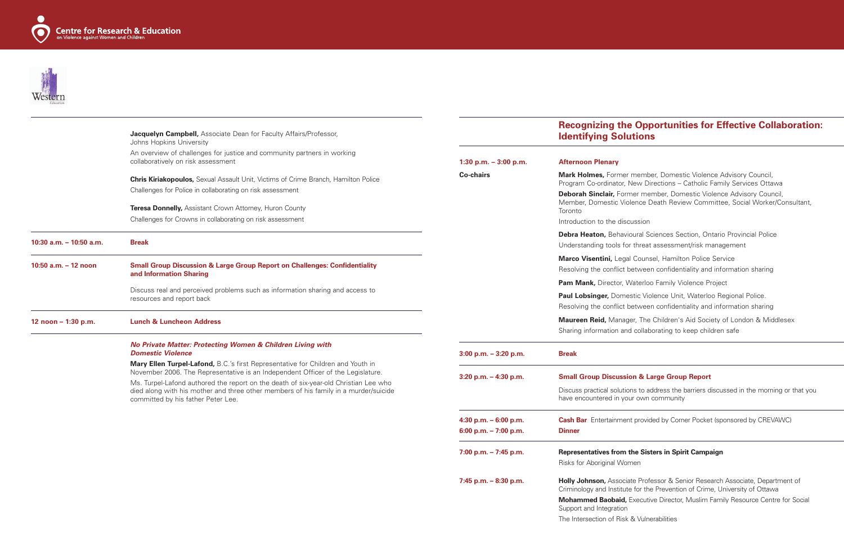



|                           | Jacquelyn Campbell, Associate Dean for Faculty Affairs/Professor,<br>Johns Hopkins University                                                                                                                      |                          | <b>Recognizing t</b><br><b>Identifying So</b>                              |
|---------------------------|--------------------------------------------------------------------------------------------------------------------------------------------------------------------------------------------------------------------|--------------------------|----------------------------------------------------------------------------|
|                           | An overview of challenges for justice and community partners in working<br>collaboratively on risk assessment                                                                                                      | 1:30 p.m. $-3:00$ p.m.   | <b>Afternoon Plenary</b>                                                   |
|                           | <b>Chris Kiriakopoulos, Sexual Assault Unit, Victims of Crime Branch, Hamilton Police</b>                                                                                                                          | <b>Co-chairs</b>         | Mark Holmes, Form<br>Program Co-ordinato                                   |
|                           | Challenges for Police in collaborating on risk assessment<br><b>Teresa Donnelly, Assistant Crown Attorney, Huron County</b>                                                                                        |                          | Deborah Sinclair, Fo<br>Member, Domestic<br>Toronto                        |
|                           | Challenges for Crowns in collaborating on risk assessment                                                                                                                                                          |                          | Introduction to the d                                                      |
| 10:30 a.m. $-$ 10:50 a.m. | <b>Break</b>                                                                                                                                                                                                       |                          | Debra Heaton, Beha<br>Understanding tools                                  |
| 10:50 a.m. - 12 noon      | <b>Small Group Discussion &amp; Large Group Report on Challenges: Confidentiality</b><br>and Information Sharing                                                                                                   |                          | Marco Visentini, Le<br>Resolving the conflic                               |
|                           |                                                                                                                                                                                                                    |                          | Pam Mank, Director                                                         |
|                           | Discuss real and perceived problems such as information sharing and access to<br>resources and report back                                                                                                         |                          | Paul Lobsinger, Dor<br>Resolving the conflic                               |
| 12 noon - 1:30 p.m.       | <b>Lunch &amp; Luncheon Address</b>                                                                                                                                                                                |                          | Maureen Reid, Man<br>Sharing information                                   |
|                           | No Private Matter: Protecting Women & Children Living with<br><b>Domestic Violence</b>                                                                                                                             | $3:00$ p.m. $-3:20$ p.m. | <b>Break</b>                                                               |
|                           | Mary Ellen Turpel-Lafond, B.C.'s first Representative for Children and Youth in<br>November 2006. The Representative is an Independent Officer of the Legislature.                                                 |                          |                                                                            |
|                           | Ms. Turpel-Lafond authored the report on the death of six-year-old Christian Lee who<br>died along with his mother and three other members of his family in a murder/suicide<br>committed by his father Peter Lee. | 3:20 p.m. $-$ 4:30 p.m.  | <b>Small Group Discus</b><br>Discuss practical solu<br>have encountered in |
|                           |                                                                                                                                                                                                                    | 4:30 p.m. $-6:00$ p.m.   | <b>Cash Bar</b> Entertainm                                                 |
|                           |                                                                                                                                                                                                                    | 6:00 p.m. $- 7:00$ p.m.  | <b>Dinner</b>                                                              |
|                           |                                                                                                                                                                                                                    | 7:00 p.m. $- 7:45$ p.m.  | <b>Representatives from</b><br>Risks for Aboriginal V                      |
|                           |                                                                                                                                                                                                                    | 7:45 p.m. $-8:30$ p.m.   | Holly Johnson, Asso<br>Criminology and Instit                              |
|                           |                                                                                                                                                                                                                    |                          | <b>Mohammed Baobai</b><br>Support and Integratio                           |
|                           |                                                                                                                                                                                                                    |                          | The Intersection of Ri                                                     |

### **Reading Opportunities for Effective Collaboration: I**utions

**Parath Mark Momestic Violence Advisory Council,** or, New Directions – Catholic Family Services Ottawa *<u>Cormer</u>* member, Domestic Violence Advisory Council, Violence Death Review Committee, Social Worker/Consultant,

#### liscussion

- avioural Sciences Section, Ontario Provincial Police
- for threat assessment/risk management
- **Marco Visentia** Police Service
- ct between confidentiality and information sharing
- r, Waterloo Family Violence Project
- **Paul Loopsing Comestic Violence Unit, Waterloo Regional Police.**
- ct between confidentiality and information sharing
- hager, The Children's Aid Society of London & Middlesex and collaborating to keep children safe

- **7:45 p.m. 8:30 p.m. Holly Johnson,** Associate Professor & Senior Research Associate, Department of tute for the Prevention of Crime, University of Ottawa
- **id,** Executive Director, Muslim Family Resource Centre for Social ion
- isk & Vulnerabilities

#### **3:20 p.m. – 4:30 p.m. Small Group Discussion & Large Group Report**

ations to address the barriers discussed in the morning or that you your own community

 $4.4$  and the provided by Corner Pocket (sponsored by CREVAWC)

#### **7:00 p.m. – 7:45 p.m. Representatives from the Sisters in Spirit Campaign**

Vomen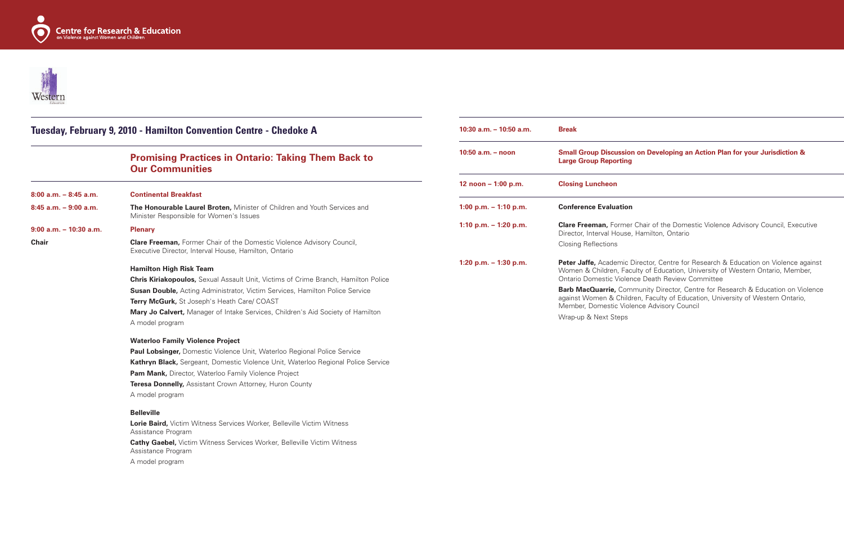#### **10:50 a.m. – noon Small Group Discussion on Developing an Action Plan for your Jurisdiction &**  ing

**1:10 p.m. – 1:20 p.m. Clare Freeman,** Former Chair of the Domestic Violence Advisory Council, Executive use, Hamilton, Ontario

**1ic Director, Centre for Research & Education on Violence against** Faculty of Education, University of Western Ontario, Member, olence Death Review Committee

**Barb MacAurie, Barb MacAurie, Centre for Research & Education on Violence** hildren, Faculty of Education, University of Western Ontario, **Violence Advisory Council** 





|                           | Tuesday, February 9, 2010 - Hamilton Convention Centre - Chedoke A                                                                     | $10:30$ a.m. $-10:50$ a.m. | <b>Break</b>                                                                |
|---------------------------|----------------------------------------------------------------------------------------------------------------------------------------|----------------------------|-----------------------------------------------------------------------------|
|                           | <b>Promising Practices in Ontario: Taking Them Back to</b><br><b>Our Communities</b>                                                   | $10:50$ a.m. $-$ noon      | <b>Small Group Discussion</b><br><b>Large Group Reporting</b>               |
|                           |                                                                                                                                        | 12 noon $-1:00$ p.m.       | <b>Closing Luncheon</b>                                                     |
| $8:00$ a.m. $-8:45$ a.m.  | <b>Continental Breakfast</b>                                                                                                           |                            |                                                                             |
| $8:45$ a.m. $-9:00$ a.m.  | The Honourable Laurel Broten, Minister of Children and Youth Services and<br>Minister Responsible for Women's Issues                   | 1:00 p.m. $-$ 1:10 p.m.    | <b>Conference Evaluation</b>                                                |
| $9:00$ a.m. $-10:30$ a.m. | <b>Plenary</b>                                                                                                                         | 1:10 p.m. $-$ 1:20 p.m.    | <b>Clare Freeman, Former</b><br>Director, Interval House,                   |
| <b>Chair</b>              | <b>Clare Freeman, Former Chair of the Domestic Violence Advisory Council,</b><br>Executive Director, Interval House, Hamilton, Ontario |                            | <b>Closing Reflections</b>                                                  |
|                           | <b>Hamilton High Risk Team</b><br><b>Chris Kiriakopoulos, Sexual Assault Unit, Victims of Crime Branch, Hamilton Police</b>            | 1:20 p.m. $-$ 1:30 p.m.    | Peter Jaffe, Academic [<br>Women & Children, Fac<br>Ontario Domestic Violer |
|                           | <b>Susan Double,</b> Acting Administrator, Victim Services, Hamilton Police Service<br>Terry McGurk, St Joseph's Heath Care/ COAST     |                            | Barb MacQuarrie, Com<br>against Women & Child                               |
|                           | <b>Mary Jo Calvert, Manager of Intake Services, Children's Aid Society of Hamilton</b>                                                 |                            | Member, Domestic Viole                                                      |
|                           | A model program                                                                                                                        |                            | Wrap-up & Next Steps                                                        |
|                           | <b>Waterloo Family Violence Project</b>                                                                                                |                            |                                                                             |
|                           | <b>Paul Lobsinger, Domestic Violence Unit, Waterloo Regional Police Service</b>                                                        |                            |                                                                             |
|                           | Kathryn Black, Sergeant, Domestic Violence Unit, Waterloo Regional Police Service                                                      |                            |                                                                             |
|                           | Pam Mank, Director, Waterloo Family Violence Project                                                                                   |                            |                                                                             |
|                           | Teresa Donnelly, Assistant Crown Attorney, Huron County                                                                                |                            |                                                                             |
|                           | A model program                                                                                                                        |                            |                                                                             |
|                           | <b>Belleville</b>                                                                                                                      |                            |                                                                             |
|                           | Lorie Baird, Victim Witness Services Worker, Belleville Victim Witness<br>Assistance Program                                           |                            |                                                                             |
|                           | <b>Cathy Gaebel, Victim Witness Services Worker, Belleville Victim Witness</b><br>Assistance Program                                   |                            |                                                                             |
|                           | A model program                                                                                                                        |                            |                                                                             |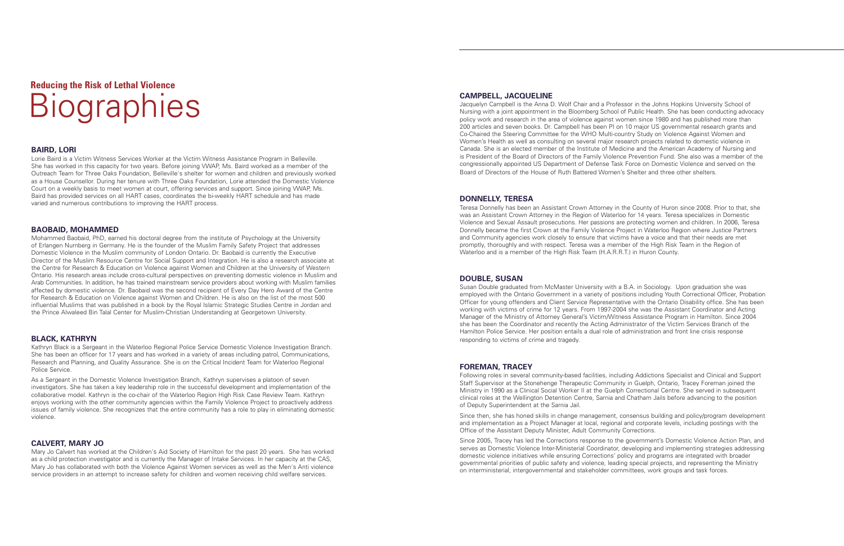## **Reducing the Risk of Lethal Violence Biographies**

#### **BAIRD, LORI**

Lorie Baird is a Victim Witness Services Worker at the Victim Witness Assistance Program in Belleville. She has worked in this capacity for two years. Before joining VWAP, Ms. Baird worked as a member of the Outreach Team for Three Oaks Foundation, Belleville's shelter for women and children and previously worked as a House Counsellor. During her tenure with Three Oaks Foundation, Lorie attended the Domestic Violence Court on a weekly basis to meet women at court, offering services and support. Since joining VWAP, Ms. Baird has provided services on all HART cases, coordinates the bi-weekly HART schedule and has made varied and numerous contributions to improving the HART process.

#### **BAOBAID, MOHAMMED**

Mohammed Baobaid, PhD, earned his doctoral degree from the institute of Psychology at the University of Erlangen Nurnberg in Germany. He is the founder of the Muslim Family Safety Project that addresses Domestic Violence in the Muslim community of London Ontario. Dr. Baobaid is currently the Executive Director of the Muslim Resource Centre for Social Support and Integration. He is also a research associate at the Centre for Research & Education on Violence against Women and Children at the University of Western Ontario. His research areas include cross-cultural perspectives on preventing domestic violence in Muslim and Arab Communities. In addition, he has trained mainstream service providers about working with Muslim families affected by domestic violence. Dr. Baobaid was the second recipient of Every Day Hero Award of the Centre for Research & Education on Violence against Women and Children. He is also on the list of the most 500 influential Muslims that was published in a book by the Royal Islamic Strategic Studies Centre in Jordan and the Prince Alwaleed Bin Talal Center for Muslim-Christian Understanding at Georgetown University.

#### **BLACK, KATHRYN**

Kathryn Black is a Sergeant in the Waterloo Regional Police Service Domestic Violence Investigation Branch. She has been an officer for 17 years and has worked in a variety of areas including patrol, Communications, Research and Planning, and Quality Assurance. She is on the Critical Incident Team for Waterloo Regional Police Service.

As a Sergeant in the Domestic Violence Investigation Branch, Kathryn supervises a platoon of seven investigators. She has taken a key leadership role in the successful development and implementation of the collaborative model. Kathryn is the co-chair of the Waterloo Region High Risk Case Review Team. Kathryn enjoys working with the other community agencies within the Family Violence Project to proactively address issues of family violence. She recognizes that the entire community has a role to play in eliminating domestic violence.

#### **CALVERT, MARY JO**

Mary Jo Calvert has worked at the Children's Aid Society of Hamilton for the past 20 years. She has worked as a child protection investigator and is currently the Manager of Intake Services. In her capacity at the CAS, Mary Jo has collaborated with both the Violence Against Women services as well as the Men's Anti violence service providers in an attempt to increase safety for children and women receiving child welfare services.

#### **CAMPBELL, JACQUELINE**

Jacquelyn Campbell is the Anna D. Wolf Chair and a Professor in the Johns Hopkins University School of Nursing with a joint appointment in the Bloomberg School of Public Health. She has been conducting advocacy policy work and research in the area of violence against women since 1980 and has published more than 200 articles and seven books. Dr. Campbell has been PI on 10 major US governmental research grants and Co-Chaired the Steering Committee for the WHO Multi-country Study on Violence Against Women and Women's Health as well as consulting on several major research projects related to domestic violence in Canada. She is an elected member of the Institute of Medicine and the American Academy of Nursing and is President of the Board of Directors of the Family Violence Prevention Fund. She also was a member of the congressionally appointed US Department of Defense Task Force on Domestic Violence and served on the Board of Directors of the House of Ruth Battered Women's Shelter and three other shelters.

#### **DONNELLY, TERESA**

Teresa Donnelly has been an Assistant Crown Attorney in the County of Huron since 2008. Prior to that, she was an Assistant Crown Attorney in the Region of Waterloo for 14 years. Teresa specializes in Domestic Violence and Sexual Assault prosecutions. Her passions are protecting women and children. In 2006, Teresa Donnelly became the first Crown at the Family Violence Project in Waterloo Region where Justice Partners and Community agencies work closely to ensure that victims have a voice and that their needs are met promptly, thoroughly and with respect. Teresa was a member of the High Risk Team in the Region of Waterloo and is a member of the High Risk Team (H.A.R.R.T.) in Huron County.

#### **DOUBLE, SUSAN**

Susan Double graduated from McMaster University with a B.A. in Sociology. Upon graduation she was employed with the Ontario Government in a variety of positions including Youth Correctional Officer, Probation Officer for young offenders and Client Service Representative with the Ontario Disability office. She has been working with victims of crime for 12 years. From 1997-2004 she was the Assistant Coordinator and Acting Manager of the Ministry of Attorney General's Victim/Witness Assistance Program in Hamilton. Since 2004 she has been the Coordinator and recently the Acting Administrator of the Victim Services Branch of the Hamilton Police Service. Her position entails a dual role of administration and front line crisis response responding to victims of crime and tragedy.

#### **FOREMAN, TRACEY**

Following roles in several community-based facilities, including Addictions Specialist and Clinical and Support Staff Supervisor at the Stonehenge Therapeutic Community in Guelph, Ontario, Tracey Foreman joined the Ministry in 1990 as a Clinical Social Worker II at the Guelph Correctional Centre. She served in subsequent clinical roles at the Wellington Detention Centre, Sarnia and Chatham Jails before advancing to the position of Deputy Superintendent at the Sarnia Jail.

Since then, she has honed skills in change management, consensus building and policy/program development and implementation as a Project Manager at local, regional and corporate levels, including postings with the Office of the Assistant Deputy Minister, Adult Community Corrections.

Since 2005, Tracey has led the Corrections response to the government's Domestic Violence Action Plan, and serves as Domestic Violence Inter-Ministerial Coordinator, developing and implementing strategies addressing domestic violence initiatives while ensuring Corrections' policy and programs are integrated with broader governmental priorities of public safety and violence, leading special projects, and representing the Ministry on interministerial, intergovernmental and stakeholder committees, work groups and task forces.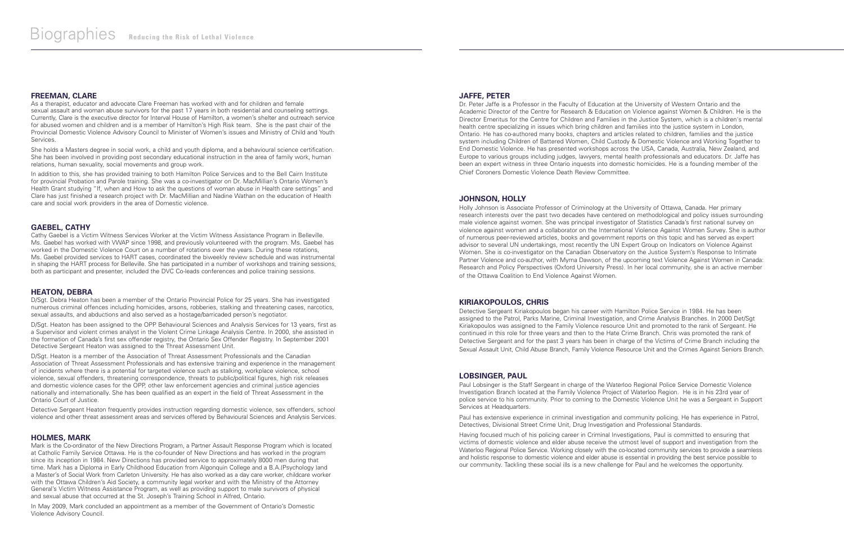#### **FREEMAN, CLARE**

As a therapist, educator and advocate Clare Freeman has worked with and for children and female sexual assault and woman abuse survivors for the past 17 years in both residential and counseling settings. Currently, Clare is the executive director for Interval House of Hamilton, a women's shelter and outreach service for abused women and children and is a member of Hamilton's High Risk team. She is the past chair of the Provincial Domestic Violence Advisory Council to Minister of Women's issues and Ministry of Child and Youth Services.

She holds a Masters degree in social work, a child and youth diploma, and a behavioural science certification. She has been involved in providing post secondary educational instruction in the area of family work, human relations, human sexuality, social movements and group work.

In addition to this, she has provided training to both Hamilton Police Services and to the Bell Cairn Institute for provincial Probation and Parole training. She was a co-investigator on Dr. MacMillian's Ontario Women's Health Grant studying "If, when and How to ask the questions of woman abuse in Health care settings" and Clare has just finished a research project with Dr. MacMillian and Nadine Wathan on the education of Health care and social work providers in the area of Domestic violence.

#### **GAEBEL, CATHY**

Cathy Gaebel is a Victim Witness Services Worker at the Victim Witness Assistance Program in Belleville. Ms. Gaebel has worked with VWAP since 1998, and previously volunteered with the program. Ms. Gaebel has worked in the Domestic Violence Court on a number of rotations over the years. During these rotations, Ms. Gaebel provided services to HART cases, coordinated the biweekly review schedule and was instrumental in shaping the HART process for Belleville. She has participated in a number of workshops and training sessions, both as participant and presenter, included the DVC Co-leads conferences and police training sessions.

#### **HEATON, DEBRA**

D/Sgt. Debra Heaton has been a member of the Ontario Provincial Police for 25 years. She has investigated numerous criminal offences including homicides, arsons, robberies, stalking and threatening cases, narcotics, sexual assaults, and abductions and also served as a hostage/barricaded person's negotiator.

D/Sgt. Heaton has been assigned to the OPP Behavioural Sciences and Analysis Services for 13 years, first as a Supervisor and violent crimes analyst in the Violent Crime Linkage Analysis Centre. In 2000, she assisted in the formation of Canada's first sex offender registry, the Ontario Sex Offender Registry. In September 2001 Detective Sergeant Heaton was assigned to the Threat Assessment Unit.

D/Sgt. Heaton is a member of the Association of Threat Assessment Professionals and the Canadian Association of Threat Assessment Professionals and has extensive training and experience in the management of incidents where there is a potential for targeted violence such as stalking, workplace violence, school violence, sexual offenders, threatening correspondence, threats to public/political figures, high risk releases and domestic violence cases for the OPP, other law enforcement agencies and criminal justice agencies nationally and internationally. She has been qualified as an expert in the field of Threat Assessment in the Ontario Court of Justice.

Detective Sergeant Heaton frequently provides instruction regarding domestic violence, sex offenders, school violence and other threat assessment areas and services offered by Behavioural Sciences and Analysis Services.

#### **HOLMES, MARK**

Paul Lobsinger is the Staff Sergeant in charge of the Waterloo Regional Police Service Domestic Violence Investigation Branch located at the Family Violence Project of Waterloo Region. He is in his 23rd year of police service to his community. Prior to coming to the Domestic Violence Unit he was a Sergeant in Support Services at Headquarters.

Mark is the Co-ordinator of the New Directions Program, a Partner Assault Response Program which is located at Catholic Family Service Ottawa. He is the co-founder of New Directions and has worked in the program since its inception in 1984. New Directions has provided service to approximately 8000 men during that time. Mark has a Diploma in Early Childhood Education from Algonquin College and a B.A.(Psychology )and a Master's of Social Work from Carleton University. He has also worked as a day care worker, childcare worker with the Ottawa Children's Aid Society, a community legal worker and with the Ministry of the Attorney General's Victim Witness Assistance Program, as well as providing support to male survivors of physical and sexual abuse that occurred at the St. Joseph's Training School in Alfred, Ontario.

In May 2009, Mark concluded an appointment as a member of the Government of Ontario's Domestic Violence Advisory Council.

#### **JAFFE, PETER**

Dr. Peter Jaffe is a Professor in the Faculty of Education at the University of Western Ontario and the Academic Director of the Centre for Research & Education on Violence against Women & Children. He is the Director Emeritus for the Centre for Children and Families in the Justice System, which is a children's mental health centre specializing in issues which bring children and families into the justice system in London, Ontario. He has co-authored many books, chapters and articles related to children, families and the justice system including Children of Battered Women, Child Custody & Domestic Violence and Working Together to End Domestic Violence. He has presented workshops across the USA, Canada, Australia, New Zealand, and Europe to various groups including judges, lawyers, mental health professionals and educators. Dr. Jaffe has been an expert witness in three Ontario inquests into domestic homicides. He is a founding member of the Chief Coroners Domestic Violence Death Review Committee.

#### **JOHNSON, HOLLY**

Holly Johnson is Associate Professor of Criminology at the University of Ottawa, Canada. Her primary research interests over the past two decades have centered on methodological and policy issues surrounding male violence against women. She was principal investigator of Statistics Canada's first national survey on violence against women and a collaborator on the International Violence Against Women Survey. She is author of numerous peer-reviewed articles, books and government reports on this topic and has served as expert advisor to several UN undertakings, most recently the UN Expert Group on Indicators on Violence Against Women. She is co-investigator on the Canadian Observatory on the Justice System's Response to Intimate Partner Violence and co-author, with Myrna Dawson, of the upcoming text Violence Against Women in Canada: Research and Policy Perspectives (Oxford University Press). In her local community, she is an active member of the Ottawa Coalition to End Violence Against Women.

#### **KIRIAKOPOULOS, CHRIS**

Detective Sergeant Kiriakopoulos began his career with Hamilton Police Service in 1984. He has been assigned to the Patrol, Parks Marine, Criminal Investigation, and Crime Analysis Branches. In 2000 Det/Sgt Kiriakopoulos was assigned to the Family Violence resource Unit and promoted to the rank of Sergeant. He continued in this role for three years and then to the Hate Crime Branch. Chris was promoted the rank of Detective Sergeant and for the past 3 years has been in charge of the Victims of Crime Branch including the Sexual Assault Unit, Child Abuse Branch, Family Violence Resource Unit and the Crimes Against Seniors Branch.

#### **LOBSINGER, PAUL**

Paul has extensive experience in criminal investigation and community policing. He has experience in Patrol, Detectives, Divisional Street Crime Unit, Drug Investigation and Professional Standards.

Having focused much of his policing career in Criminal Investigations, Paul is committed to ensuring that victims of domestic violence and elder abuse receive the utmost level of support and investigation from the Waterloo Regional Police Service. Working closely with the co-located community services to provide a seamless and holistic response to domestic violence and elder abuse is essential in providing the best service possible to our community. Tackling these social ills is a new challenge for Paul and he welcomes the opportunity.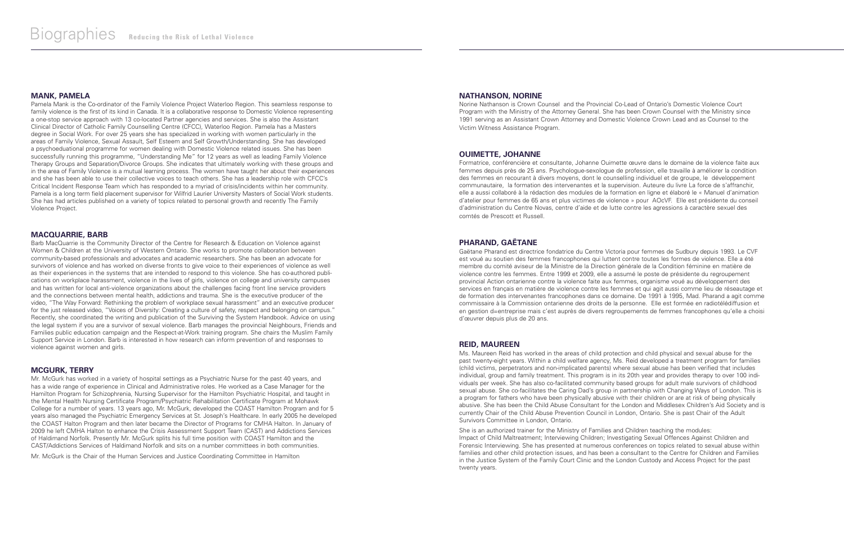#### **MANK, PAMELA**

Pamela Mank is the Co-ordinator of the Family Violence Project Waterloo Region. This seamless response to family violence is the first of its kind in Canada. It is a collaborative response to Domestic Violence representing a one-stop service approach with 13 co-located Partner agencies and services. She is also the Assistant Clinical Director of Catholic Family Counselling Centre (CFCC), Waterloo Region. Pamela has a Masters degree in Social Work. For over 25 years she has specialized in working with women particularly in the areas of Family Violence, Sexual Assault, Self Esteem and Self Growth/Understanding. She has developed a psychoeduational programme for women dealing with Domestic Violence related issues. She has been successfully running this programme, "Understanding Me" for 12 years as well as leading Family Violence Therapy Groups and Separation/Divorce Groups. She indicates that ultimately working with these groups and in the area of Family Violence is a mutual learning process. The women have taught her about their experiences and she has been able to use their collective voices to teach others. She has a leadership role with CFCC's Critical Incident Response Team which has responded to a myriad of crisis/incidents within her community. Pamela is a long term field placement supervisor for Wilfrid Laurier University Masters of Social Work students. She has had articles published on a variety of topics related to personal growth and recently The Family Violence Project.

#### **MACQUARRIE, BARB**

Barb MacQuarrie is the Community Director of the Centre for Research & Education on Violence against Women & Children at the University of Western Ontario. She works to promote collaboration between community-based professionals and advocates and academic researchers. She has been an advocate for survivors of violence and has worked on diverse fronts to give voice to their experiences of violence as well as their experiences in the systems that are intended to respond to this violence. She has co-authored publications on workplace harassment, violence in the lives of girls, violence on college and university campuses and has written for local anti-violence organizations about the challenges facing front line service providers and the connections between mental health, addictions and trauma. She is the executive producer of the video, "The Way Forward: Rethinking the problem of workplace sexual harassment" and an executive producer for the just released video, "Voices of Diversity: Creating a culture of safety, respect and belonging on campus." Recently, she coordinated the writing and publication of the Surviving the System Handbook. Advice on using the legal system if you are a survivor of sexual violence. Barb manages the provincial Neighbours, Friends and Families public education campaign and the Respect-at-Work training program. She chairs the Muslim Family Support Service in London. Barb is interested in how research can inform prevention of and responses to violence against women and girls.

#### **MCGURK, TERRY**

Mr. McGurk has worked in a variety of hospital settings as a Psychiatric Nurse for the past 40 years, and has a wide range of experience in Clinical and Administrative roles. He worked as a Case Manager for the Hamilton Program for Schizophrenia, Nursing Supervisor for the Hamilton Psychiatric Hospital, and taught in the Mental Health Nursing Certificate Program/Psychiatric Rehabilitation Certificate Program at Mohawk College for a number of years. 13 years ago, Mr. McGurk, developed the COAST Hamilton Program and for 5 years also managed the Psychiatric Emergency Services at St. Joseph's Healthcare. In early 2005 he developed the COAST Halton Program and then later became the Director of Programs for CMHA Halton. In January of 2009 he left CMHA Halton to enhance the Crisis Assessment Support Team (CAST) and Addictions Services of Haldimand Norfolk. Presently Mr. McGurk splits his full time position with COAST Hamilton and the CAST/Addictions Services of Haldimand Norfolk and sits on a number committees in both communities.

She is an authorized trainer for the Ministry of Families and Children teaching the modules: Impact of Child Maltreatment; Interviewing Children; Investigating Sexual Offences Against Children and Forensic Interviewing. She has presented at numerous conferences on topics related to sexual abuse within families and other child protection issues, and has been a consultant to the Centre for Children and Families in the Justice System of the Family Court Clinic and the London Custody and Access Project for the past twenty years.

Mr. McGurk is the Chair of the Human Services and Justice Coordinating Committee in Hamilton

#### **NATHANSON, NORINE**

Norine Nathanson is Crown Counsel and the Provincial Co-Lead of Ontario's Domestic Violence Court Program with the Ministry of the Attorney General. She has been Crown Counsel with the Ministry since 1991 serving as an Assistant Crown Attorney and Domestic Violence Crown Lead and as Counsel to the Victim Witness Assistance Program.

#### **OUIMETTE, JOHANNE**

Formatrice, conférencière et consultante, Johanne Ouimette œuvre dans le domaine de la violence faite aux femmes depuis près de 25 ans. Psychologue-sexologue de profession, elle travaille à améliorer la condition des femmes en recourant à divers moyens, dont le counselling individuel et de groupe, le développement communautaire, la formation des intervenantes et la supervision. Auteure du livre La force de s'affranchir, elle a aussi collaboré à la rédaction des modules de la formation en ligne et élaboré le « Manuel d'animation d'atelier pour femmes de 65 ans et plus victimes de violence » pour AOcVF. Elle est présidente du conseil d'administration du Centre Novas, centre d'aide et de lutte contre les agressions à caractère sexuel des comtés de Prescott et Russell.

#### **PHARAND, GAËTANE**

Gaëtane Pharand est directrice fondatrice du Centre Victoria pour femmes de Sudbury depuis 1993. Le CVF est voué au soutien des femmes francophones qui luttent contre toutes les formes de violence. Elle a été membre du comité aviseur de la Ministre de la Direction générale de la Condition féminine en matière de violence contre les femmes. Entre 1999 et 2009, elle a assumé le poste de présidente du regroupement provincial Action ontarienne contre la violence faite aux femmes, organisme voué au développement des services en français en matière de violence contre les femmes et qui agit aussi comme lieu de réseautage et de formation des intervenantes francophones dans ce domaine. De 1991 à 1995, Mad. Pharand a agit comme commissaire à la Commission ontarienne des droits de la personne. Elle est formée en radiotélédiffusion et en gestion d=entreprise mais c'est auprès de divers regroupements de femmes francophones qu'elle a choisi d'œuvrer depuis plus de 20 ans.

#### **REID, MAUREEN**

Ms. Maureen Reid has worked in the areas of child protection and child physical and sexual abuse for the past twenty-eight years. Within a child welfare agency, Ms. Reid developed a treatment program for families (child victims, perpetrators and non-implicated parents) where sexual abuse has been verified that includes individual, group and family treatment. This program is in its 20th year and provides therapy to over 100 individuals per week. She has also co-facilitated community based groups for adult male survivors of childhood sexual abuse. She co-facilitates the Caring Dad's group in partnership with Changing Ways of London. This is a program for fathers who have been physically abusive with their children or are at risk of being physically abusive. She has been the Child Abuse Consultant for the London and Middlesex Children's Aid Society and is currently Chair of the Child Abuse Prevention Council in London, Ontario. She is past Chair of the Adult Survivors Committee in London, Ontario.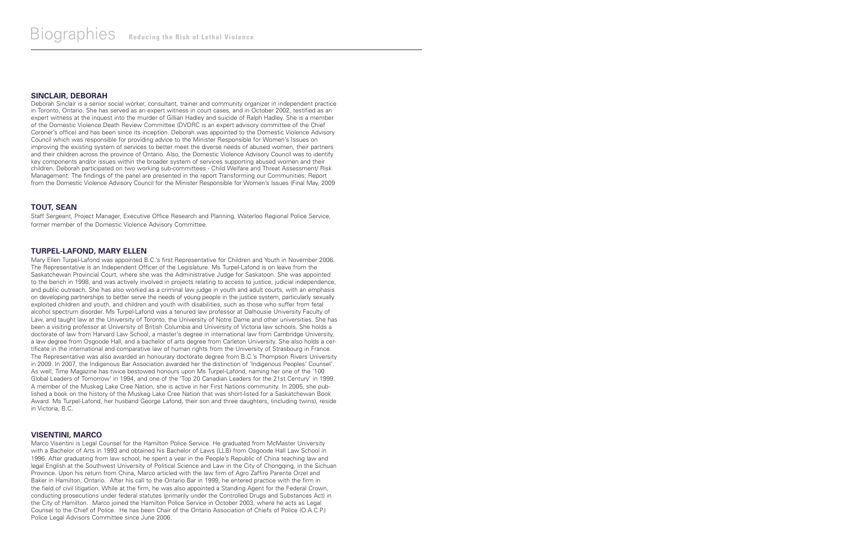#### **SINCLAIR, DEBORAH**

Deborah Sinclair is a senior social worker, consultant, trainer and community organizer in independent practice in Toronto, Ontario. She has served as an expert witness in court cases, and in October 2002, testified as an expert witness at the inquest into the murder of Gillian Hadley and suicide of Ralph Hadley. She is a member of the Domestic Violence Death Review Committee (DVDRC is an expert advisory committee of the Chief Coroner's office) and has been since its inception. Deborah was appointed to the Domestic Violence Advisory Council which was responsible for providing advice to the Minister Responsible for Women's Issues on improving the existing system of services to better meet the diverse needs of abused women, their partners and their children across the province of Ontario. Also, the Domestic Violence Advisory Council was to identify key components and/or issues within the broader system of services supporting abused women and their children. Deborah participated on two working sub-committees - Child Welfare and Threat Assessment/ Risk Management. The findings of the panel are presented in the report Transforming our Communities: Report from the Domestic Violence Advisory Council for the Minister Responsible for Women's Issues (Final May, 2009

#### **TOUT, SEAN**

Staff Sergeant, Project Manager, Executive Office Research and Planning, Waterloo Regional Police Service, former member of the Domestic Violence Advisory Committee.

#### **TURPEL-LAFOND, MARY ELLEN**

Mary Ellen Turpel-Lafond was appointed B.C.'s first Representative for Children and Youth in November 2006. The Representative is an Independent Officer of the Legislature. Ms Turpel-Lafond is on leave from the Saskatchewan Provincial Court, where she was the Administrative Judge for Saskatoon. She was appointed to the bench in 1998, and was actively involved in projects relating to access to justice, judicial independence, and public outreach. She has also worked as a criminal law judge in youth and adult courts, with an emphasis on developing partnerships to better serve the needs of young people in the justice system, particularly sexually exploited children and youth, and children and youth with disabilities, such as those who suffer from fetal alcohol spectrum disorder. Ms Turpel-Lafond was a tenured law professor at Dalhousie University Faculty of Law, and taught law at the University of Toronto, the University of Notre Dame and other universities. She has been a visiting professor at University of British Columbia and University of Victoria law schools. She holds a doctorate of law from Harvard Law School, a master's degree in international law from Cambridge University, a law degree from Osgoode Hall, and a bachelor of arts degree from Carleton University. She also holds a certificate in the international and comparative law of human rights from the University of Strasbourg in France. The Representative was also awarded an honourary doctorate degree from B.C.'s Thompson Rivers University in 2009. In 2007, the Indigenous Bar Association awarded her the distinction of 'Indigenous Peoples' Counsel'. As well, Time Magazine has twice bestowed honours upon Ms Turpel-Lafond, naming her one of the '100 Global Leaders of Tomorrow' in 1994, and one of the 'Top 20 Canadian Leaders for the 21st Century' in 1999. A member of the Muskeg Lake Cree Nation, she is active in her First Nations community. In 2005, she published a book on the history of the Muskeg Lake Cree Nation that was short-listed for a Saskatchewan Book Award. Ms Turpel-Lafond, her husband George Lafond, their son and three daughters, (including twins), reside in Victoria, B.C.

#### **VISENTINI, MARCO**

Marco Visentini is Legal Counsel for the Hamilton Police Service. He graduated from McMaster University with a Bachelor of Arts in 1993 and obtained his Bachelor of Laws (LLB) from Osgoode Hall Law School in 1996. After graduating from law school, he spent a year in the People's Republic of China teaching law and legal English at the Southwest University of Political Science and Law in the City of Chongqing, in the Sichuan Province. Upon his return from China, Marco articled with the law firm of Agro Zaffiro Parente Orzel and Baker in Hamilton, Ontario. After his call to the Ontario Bar in 1999, he entered practice with the firm in the field of civil litigation. While at the firm, he was also appointed a Standing Agent for the Federal Crown, conducting prosecutions under federal statutes (primarily under the Controlled Drugs and Substances Act) in the City of Hamilton. Marco joined the Hamilton Police Service in October 2003, where he acts as Legal Counsel to the Chief of Police. He has been Chair of the Ontario Association of Chiefs of Police (O.A.C.P.) Police Legal Advisors Committee since June 2006.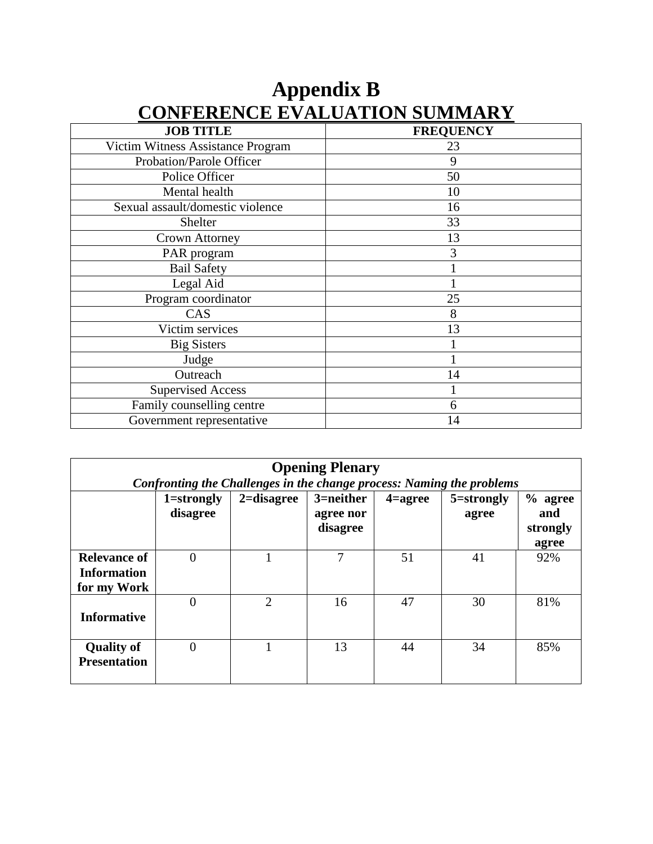| <b>JOB TITLE</b>                  | <b>FREQUENCY</b> |
|-----------------------------------|------------------|
| Victim Witness Assistance Program | 23               |
| Probation/Parole Officer          | 9                |
| Police Officer                    | 50               |
| Mental health                     | 10               |
| Sexual assault/domestic violence  | 16               |
| Shelter                           | 33               |
| Crown Attorney                    | 13               |
| PAR program                       | 3                |
| <b>Bail Safety</b>                |                  |
| Legal Aid                         |                  |
| Program coordinator               | 25               |
| CAS                               | 8                |
| Victim services                   | 13               |
| <b>Big Sisters</b>                |                  |
| Judge                             |                  |
| Outreach                          | 14               |
| <b>Supervised Access</b>          |                  |
| Family counselling centre         | 6                |
| Government representative         | 14               |

## **Appendix B CONFERENCE EVALUATION SUMMARY**

| <b>Opening Plenary</b>                                   |                            |                                                                       |                                    |                    |                     |                                       |  |  |
|----------------------------------------------------------|----------------------------|-----------------------------------------------------------------------|------------------------------------|--------------------|---------------------|---------------------------------------|--|--|
|                                                          |                            | Confronting the Challenges in the change process: Naming the problems |                                    |                    |                     |                                       |  |  |
|                                                          | $1 =$ strongly<br>disagree | $2 =$ disagree                                                        | 3=neither<br>agree nor<br>disagree | $4 = \text{agree}$ | 5=strongly<br>agree | $%$ agree<br>and<br>strongly<br>agree |  |  |
| <b>Relevance of</b><br><b>Information</b><br>for my Work | $\Omega$                   |                                                                       |                                    | 51                 | 41                  | 92%                                   |  |  |
| <b>Informative</b>                                       | $\Omega$                   | $\overline{2}$                                                        | 16                                 | 47                 | 30                  | 81%                                   |  |  |
| <b>Quality of</b><br><b>Presentation</b>                 | $\Omega$                   |                                                                       | 13                                 | 44                 | 34                  | 85%                                   |  |  |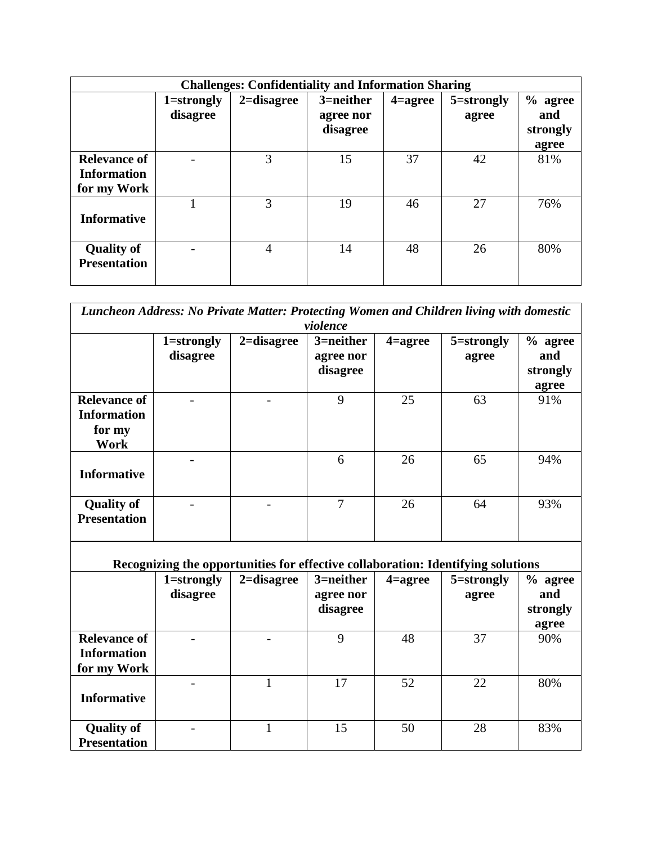| <b>Challenges: Confidentiality and Information Sharing</b> |                        |                |                                    |                    |                     |                                       |  |
|------------------------------------------------------------|------------------------|----------------|------------------------------------|--------------------|---------------------|---------------------------------------|--|
|                                                            | 1=strongly<br>disagree | $2 =$ disagree | 3=neither<br>agree nor<br>disagree | $4 = \text{agree}$ | 5=strongly<br>agree | $%$ agree<br>and<br>strongly<br>agree |  |
| Relevance of<br><b>Information</b><br>for my Work          |                        | 3              | 15                                 | 37                 | 42                  | 81%                                   |  |
| <b>Informative</b>                                         |                        | 3              | 19                                 | 46                 | 27                  | 76%                                   |  |
| <b>Quality of</b><br><b>Presentation</b>                   |                        | 4              | 14                                 | 48                 | 26                  | 80%                                   |  |

| Luncheon Address: No Private Matter: Protecting Women and Children living with domestic |            |                |                |                    |                                                                                  |          |  |  |
|-----------------------------------------------------------------------------------------|------------|----------------|----------------|--------------------|----------------------------------------------------------------------------------|----------|--|--|
| violence                                                                                |            |                |                |                    |                                                                                  |          |  |  |
|                                                                                         | 1=strongly | $2 =$ disagree | 3=neither      | $4 = \text{agree}$ | 5=strongly                                                                       | % agree  |  |  |
|                                                                                         | disagree   |                | agree nor      |                    | agree                                                                            | and      |  |  |
|                                                                                         |            |                | disagree       |                    |                                                                                  | strongly |  |  |
|                                                                                         |            |                |                |                    |                                                                                  | agree    |  |  |
| <b>Relevance of</b>                                                                     |            |                | 9              | 25                 | 63                                                                               | 91%      |  |  |
| <b>Information</b>                                                                      |            |                |                |                    |                                                                                  |          |  |  |
| for my                                                                                  |            |                |                |                    |                                                                                  |          |  |  |
| <b>Work</b>                                                                             |            |                |                |                    |                                                                                  |          |  |  |
|                                                                                         |            |                | 6              | 26                 | 65                                                                               |          |  |  |
|                                                                                         |            |                |                |                    |                                                                                  | 94%      |  |  |
| <b>Informative</b>                                                                      |            |                |                |                    |                                                                                  |          |  |  |
|                                                                                         |            |                |                |                    |                                                                                  |          |  |  |
| <b>Quality of</b>                                                                       |            |                | $\overline{7}$ | 26                 | 64                                                                               | 93%      |  |  |
| <b>Presentation</b>                                                                     |            |                |                |                    |                                                                                  |          |  |  |
|                                                                                         |            |                |                |                    |                                                                                  |          |  |  |
|                                                                                         |            |                |                |                    |                                                                                  |          |  |  |
|                                                                                         |            |                |                |                    | Recognizing the opportunities for effective collaboration: Identifying solutions |          |  |  |
|                                                                                         | 1=strongly | $2 =$ disagree | 3=neither      | 4=agree            | 5=strongly                                                                       | % agree  |  |  |
|                                                                                         | disagree   |                | agree nor      |                    | agree                                                                            | and      |  |  |
|                                                                                         |            |                | disagree       |                    |                                                                                  | strongly |  |  |
|                                                                                         |            |                |                |                    |                                                                                  | agree    |  |  |
| <b>Relevance of</b>                                                                     |            |                | 9              | 48                 | 37                                                                               | 90%      |  |  |
| <b>Information</b>                                                                      |            |                |                |                    |                                                                                  |          |  |  |
|                                                                                         |            |                |                |                    |                                                                                  |          |  |  |
| for my Work                                                                             |            |                | 17             | 52                 | 22                                                                               |          |  |  |
|                                                                                         |            | 1              |                |                    |                                                                                  | 80%      |  |  |
| <b>Informative</b>                                                                      |            |                |                |                    |                                                                                  |          |  |  |
|                                                                                         |            |                |                |                    |                                                                                  |          |  |  |
| <b>Quality of</b>                                                                       |            | 1              | 15             | 50                 | 28                                                                               | 83%      |  |  |
| <b>Presentation</b>                                                                     |            |                |                |                    |                                                                                  |          |  |  |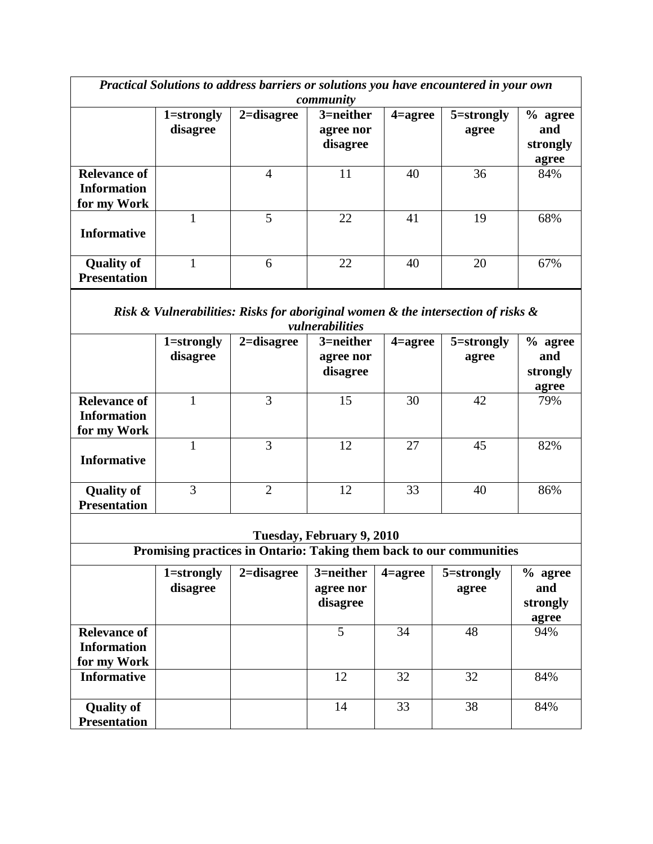| Practical Solutions to address barriers or solutions you have encountered in your own<br>community |                            |                                                                                  |                                    |                    |                     |                                     |  |
|----------------------------------------------------------------------------------------------------|----------------------------|----------------------------------------------------------------------------------|------------------------------------|--------------------|---------------------|-------------------------------------|--|
|                                                                                                    | $1 =$ strongly<br>disagree | $2 =$ disagree                                                                   | 3=neither<br>agree nor<br>disagree | $4 = \text{agree}$ | 5=strongly<br>agree | % agree<br>and<br>strongly<br>agree |  |
| <b>Relevance of</b><br><b>Information</b><br>for my Work                                           |                            | $\overline{4}$                                                                   | 11                                 | 40                 | 36                  | 84%                                 |  |
| <b>Informative</b>                                                                                 | $\mathbf{1}$               | $\overline{5}$                                                                   | 22                                 | 41                 | 19                  | 68%                                 |  |
| <b>Quality of</b><br><b>Presentation</b>                                                           | $\mathbf{1}$               | 6                                                                                | 22                                 | 40                 | 20                  | 67%                                 |  |
|                                                                                                    |                            | Risk & Vulnerabilities: Risks for aboriginal women & the intersection of risks & | vulnerabilities                    |                    |                     |                                     |  |
|                                                                                                    | $1 =$ strongly<br>disagree | $2 =$ disagree                                                                   | 3=neither<br>agree nor<br>disagree | $4 = \text{agree}$ | 5=strongly<br>agree | % agree<br>and<br>strongly<br>agree |  |
| <b>Relevance of</b><br><b>Information</b><br>for my Work                                           | 1                          | 3                                                                                | 15                                 | 30                 | 42                  | 79%                                 |  |
| <b>Informative</b>                                                                                 | $\mathbf{1}$               | $\overline{3}$                                                                   | 12                                 | 27                 | 45                  | 82%                                 |  |
| <b>Quality of</b><br><b>Presentation</b>                                                           | 3                          | $\overline{2}$                                                                   | 12                                 | 33                 | 40                  | 86%                                 |  |
|                                                                                                    |                            | Promising practices in Ontario: Taking them back to our communities              | Tuesday, February 9, 2010          |                    |                     |                                     |  |
|                                                                                                    |                            |                                                                                  |                                    |                    |                     |                                     |  |
|                                                                                                    | $1 =$ strongly<br>disagree | $2 =$ disagree                                                                   | 3=neither<br>agree nor<br>disagree | $4 = \text{agree}$ | 5=strongly<br>agree | % agree<br>and<br>strongly<br>agree |  |
| <b>Relevance of</b><br><b>Information</b><br>for my Work                                           |                            |                                                                                  | 5                                  | 34                 | 48                  | 94%                                 |  |
| <b>Informative</b>                                                                                 |                            |                                                                                  | 12                                 | 32                 | 32                  | 84%                                 |  |
| <b>Quality of</b><br><b>Presentation</b>                                                           |                            |                                                                                  | 14                                 | 33                 | 38                  | 84%                                 |  |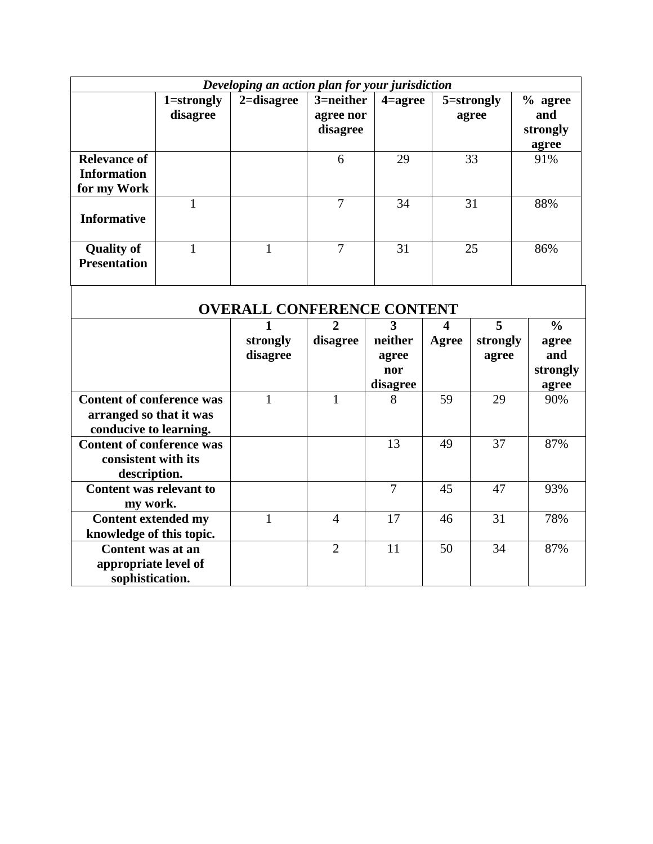| Developing an action plan for your jurisdiction          |                            |                |                                       |                    |                     |                                       |  |
|----------------------------------------------------------|----------------------------|----------------|---------------------------------------|--------------------|---------------------|---------------------------------------|--|
|                                                          | $1 =$ strongly<br>disagree | $2 =$ disagree | $3$ =neither<br>agree nor<br>disagree | $4 = \text{agree}$ | 5=strongly<br>agree | $%$ agree<br>and<br>strongly<br>agree |  |
| <b>Relevance of</b><br><b>Information</b><br>for my Work |                            |                | 6                                     | 29                 | 33                  | 91%                                   |  |
| <b>Informative</b>                                       |                            |                | 7                                     | 34                 | 31                  | 88%                                   |  |
| <b>Quality of</b><br><b>Presentation</b>                 |                            |                | 7                                     | 31                 | 25                  | 86%                                   |  |

| <b>OVERALL CONFERENCE CONTENT</b> |          |                |          |       |          |               |  |  |
|-----------------------------------|----------|----------------|----------|-------|----------|---------------|--|--|
|                                   |          | 2              | 3        | 4     | 5        | $\frac{0}{0}$ |  |  |
|                                   | strongly | disagree       | neither  | Agree | strongly | agree         |  |  |
|                                   | disagree |                | agree    |       | agree    | and           |  |  |
|                                   |          |                | nor      |       |          | strongly      |  |  |
|                                   |          |                | disagree |       |          | agree         |  |  |
| <b>Content of conference was</b>  |          |                | 8        | 59    | 29       | 90%           |  |  |
| arranged so that it was           |          |                |          |       |          |               |  |  |
| conducive to learning.            |          |                |          |       |          |               |  |  |
| <b>Content of conference was</b>  |          |                | 13       | 49    | 37       | 87%           |  |  |
| consistent with its               |          |                |          |       |          |               |  |  |
| description.                      |          |                |          |       |          |               |  |  |
| <b>Content was relevant to</b>    |          |                | 7        | 45    | 47       | 93%           |  |  |
| my work.                          |          |                |          |       |          |               |  |  |
| <b>Content extended my</b>        |          | $\overline{4}$ | 17       | 46    | 31       | 78%           |  |  |
| knowledge of this topic.          |          |                |          |       |          |               |  |  |
| Content was at an                 |          | $\overline{2}$ | 11       | 50    | 34       | 87%           |  |  |
| appropriate level of              |          |                |          |       |          |               |  |  |
| sophistication.                   |          |                |          |       |          |               |  |  |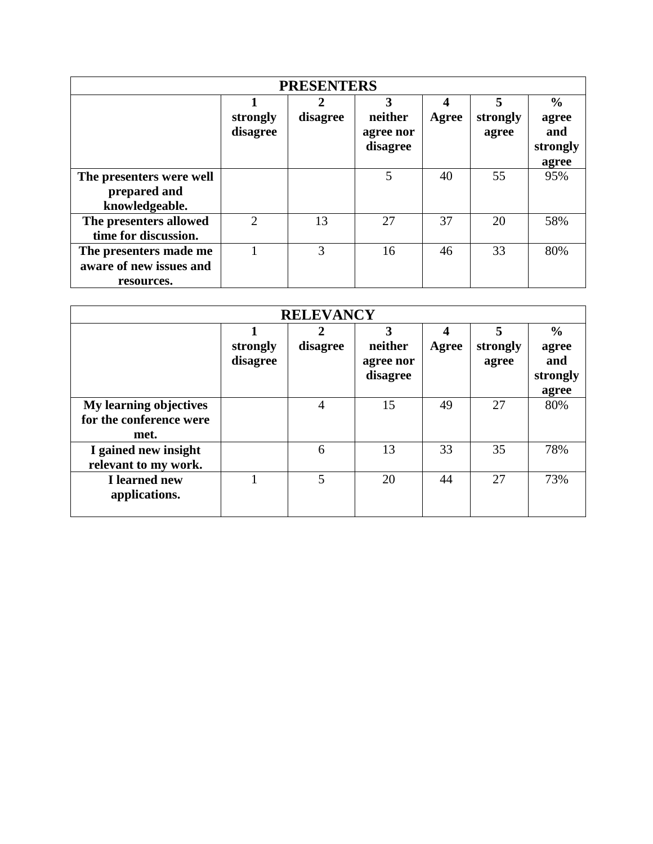| <b>PRESENTERS</b>                                               |                             |               |                                       |            |                        |                                                    |  |  |  |
|-----------------------------------------------------------------|-----------------------------|---------------|---------------------------------------|------------|------------------------|----------------------------------------------------|--|--|--|
|                                                                 | strongly<br>disagree        | 2<br>disagree | 3<br>neither<br>agree nor<br>disagree | 4<br>Agree | 5<br>strongly<br>agree | $\frac{6}{9}$<br>agree<br>and<br>strongly<br>agree |  |  |  |
| The presenters were well<br>prepared and<br>knowledgeable.      |                             |               | 5                                     | 40         | 55                     | 95%                                                |  |  |  |
| The presenters allowed<br>time for discussion.                  | $\mathcal{D}_{\mathcal{L}}$ | 13            | 27                                    | 37         | 20                     | 58%                                                |  |  |  |
| The presenters made me<br>aware of new issues and<br>resources. |                             | 3             | 16                                    | 46         | 33                     | 80%                                                |  |  |  |

| <b>RELEVANCY</b>                                                 |                      |                |                                       |            |                        |                                                    |  |
|------------------------------------------------------------------|----------------------|----------------|---------------------------------------|------------|------------------------|----------------------------------------------------|--|
|                                                                  | strongly<br>disagree | 2<br>disagree  | 3<br>neither<br>agree nor<br>disagree | 4<br>Agree | 5<br>strongly<br>agree | $\frac{0}{0}$<br>agree<br>and<br>strongly<br>agree |  |
| <b>My learning objectives</b><br>for the conference were<br>met. |                      | $\overline{4}$ | 15                                    | 49         | 27                     | 80%                                                |  |
| I gained new insight<br>relevant to my work.                     |                      | 6              | 13                                    | 33         | 35                     | 78%                                                |  |
| I learned new<br>applications.                                   |                      | 5              | 20                                    | 44         | 27                     | 73%                                                |  |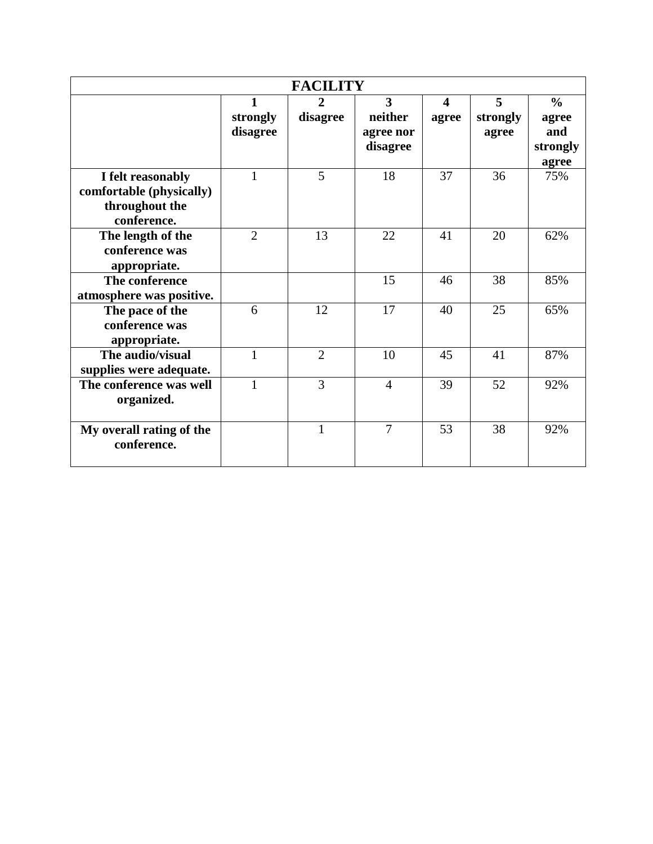| <b>FACILITY</b>                                                                |                |                |                                    |                                  |               |                          |  |
|--------------------------------------------------------------------------------|----------------|----------------|------------------------------------|----------------------------------|---------------|--------------------------|--|
|                                                                                | 1<br>strongly  | 2<br>disagree  | $\overline{\mathbf{3}}$<br>neither | $\overline{\mathbf{4}}$<br>agree | 5<br>strongly | $\frac{6}{6}$<br>agree   |  |
|                                                                                | disagree       |                | agree nor<br>disagree              |                                  | agree         | and<br>strongly<br>agree |  |
| I felt reasonably<br>comfortable (physically)<br>throughout the<br>conference. | 1              | 5              | 18                                 | 37                               | 36            | 75%                      |  |
| The length of the<br>conference was<br>appropriate.                            | $\overline{2}$ | 13             | 22                                 | 41                               | 20            | 62%                      |  |
| The conference<br>atmosphere was positive.                                     |                |                | 15                                 | 46                               | 38            | 85%                      |  |
| The pace of the<br>conference was<br>appropriate.                              | 6              | 12             | 17                                 | 40                               | 25            | 65%                      |  |
| The audio/visual<br>supplies were adequate.                                    | 1              | $\overline{2}$ | 10                                 | 45                               | 41            | 87%                      |  |
| The conference was well<br>organized.                                          | 1              | $\overline{3}$ | $\overline{4}$                     | 39                               | 52            | 92%                      |  |
| My overall rating of the<br>conference.                                        |                | $\mathbf{1}$   | $\overline{7}$                     | 53                               | 38            | 92%                      |  |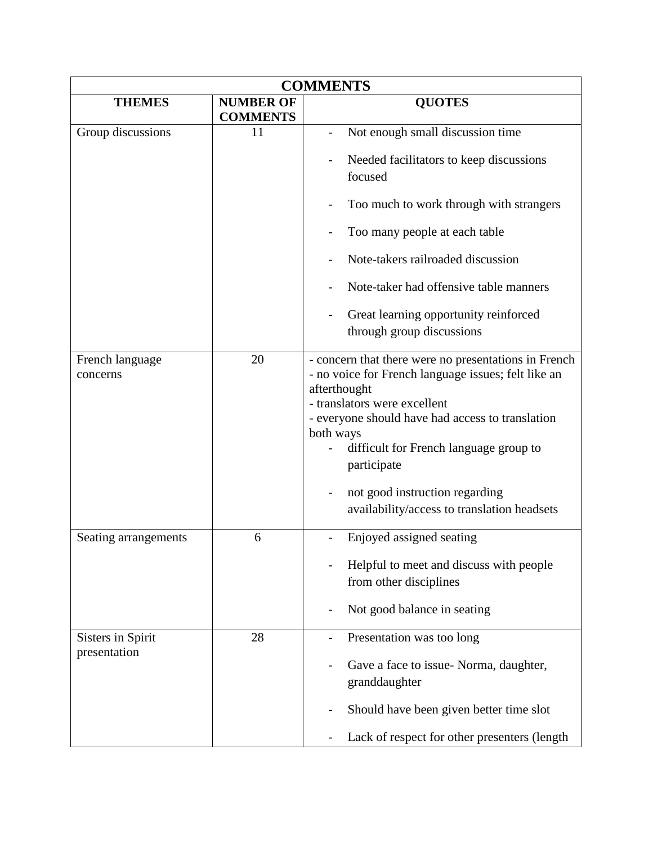| <b>COMMENTS</b>             |                                     |                                                                                                                                                                                                                                                                                                                                                                        |  |  |
|-----------------------------|-------------------------------------|------------------------------------------------------------------------------------------------------------------------------------------------------------------------------------------------------------------------------------------------------------------------------------------------------------------------------------------------------------------------|--|--|
| <b>THEMES</b>               | <b>NUMBER OF</b><br><b>COMMENTS</b> | <b>QUOTES</b>                                                                                                                                                                                                                                                                                                                                                          |  |  |
| Group discussions           | 11                                  | Not enough small discussion time                                                                                                                                                                                                                                                                                                                                       |  |  |
|                             |                                     | Needed facilitators to keep discussions<br>focused                                                                                                                                                                                                                                                                                                                     |  |  |
|                             |                                     | Too much to work through with strangers                                                                                                                                                                                                                                                                                                                                |  |  |
|                             |                                     | Too many people at each table                                                                                                                                                                                                                                                                                                                                          |  |  |
|                             |                                     | Note-takers railroaded discussion                                                                                                                                                                                                                                                                                                                                      |  |  |
|                             |                                     | Note-taker had offensive table manners                                                                                                                                                                                                                                                                                                                                 |  |  |
|                             |                                     | Great learning opportunity reinforced<br>through group discussions                                                                                                                                                                                                                                                                                                     |  |  |
| French language<br>concerns | 20                                  | - concern that there were no presentations in French<br>- no voice for French language issues; felt like an<br>afterthought<br>- translators were excellent<br>- everyone should have had access to translation<br>both ways<br>difficult for French language group to<br>participate<br>not good instruction regarding<br>availability/access to translation headsets |  |  |
| Seating arrangements        | 6                                   | Enjoyed assigned seating                                                                                                                                                                                                                                                                                                                                               |  |  |
|                             |                                     | Helpful to meet and discuss with people<br>from other disciplines                                                                                                                                                                                                                                                                                                      |  |  |
|                             |                                     | Not good balance in seating                                                                                                                                                                                                                                                                                                                                            |  |  |
| Sisters in Spirit           | 28                                  | Presentation was too long                                                                                                                                                                                                                                                                                                                                              |  |  |
| presentation                |                                     | Gave a face to issue- Norma, daughter,<br>granddaughter                                                                                                                                                                                                                                                                                                                |  |  |
|                             |                                     | Should have been given better time slot                                                                                                                                                                                                                                                                                                                                |  |  |
|                             |                                     | Lack of respect for other presenters (length                                                                                                                                                                                                                                                                                                                           |  |  |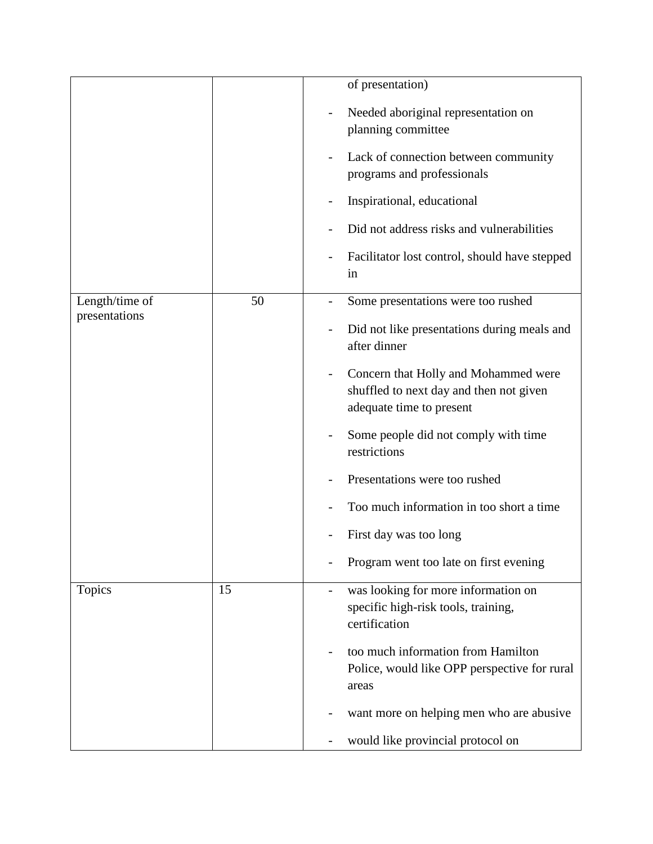|                |    | of presentation)                                                                                            |
|----------------|----|-------------------------------------------------------------------------------------------------------------|
|                |    | Needed aboriginal representation on<br>planning committee                                                   |
|                |    | Lack of connection between community<br>programs and professionals                                          |
|                |    | Inspirational, educational                                                                                  |
|                |    | Did not address risks and vulnerabilities                                                                   |
|                |    | Facilitator lost control, should have stepped<br>in                                                         |
| Length/time of | 50 | Some presentations were too rushed                                                                          |
| presentations  |    | Did not like presentations during meals and<br>after dinner                                                 |
|                |    | Concern that Holly and Mohammed were<br>shuffled to next day and then not given<br>adequate time to present |
|                |    | Some people did not comply with time<br>restrictions                                                        |
|                |    | Presentations were too rushed                                                                               |
|                |    | Too much information in too short a time                                                                    |
|                |    | First day was too long                                                                                      |
|                |    | Program went too late on first evening                                                                      |
| <b>Topics</b>  | 15 | was looking for more information on<br>specific high-risk tools, training,<br>certification                 |
|                |    | too much information from Hamilton<br>Police, would like OPP perspective for rural<br>areas                 |
|                |    | want more on helping men who are abusive                                                                    |
|                |    | would like provincial protocol on                                                                           |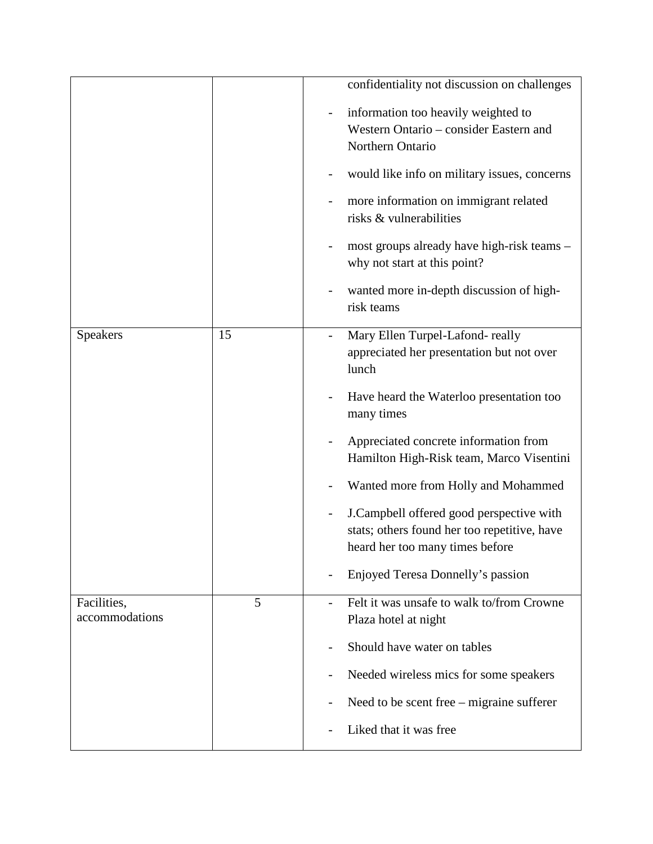|                               |    | confidentiality not discussion on challenges                                                                                |
|-------------------------------|----|-----------------------------------------------------------------------------------------------------------------------------|
|                               |    | information too heavily weighted to<br>Western Ontario - consider Eastern and<br>Northern Ontario                           |
|                               |    | would like info on military issues, concerns                                                                                |
|                               |    | more information on immigrant related<br>risks & vulnerabilities                                                            |
|                               |    | most groups already have high-risk teams -<br>why not start at this point?                                                  |
|                               |    | wanted more in-depth discussion of high-<br>risk teams                                                                      |
| Speakers                      | 15 | Mary Ellen Turpel-Lafond-really<br>appreciated her presentation but not over<br>lunch                                       |
|                               |    | Have heard the Waterloo presentation too<br>many times                                                                      |
|                               |    | Appreciated concrete information from<br>Hamilton High-Risk team, Marco Visentini                                           |
|                               |    | Wanted more from Holly and Mohammed                                                                                         |
|                               |    | J.Campbell offered good perspective with<br>stats; others found her too repetitive, have<br>heard her too many times before |
|                               |    | Enjoyed Teresa Donnelly's passion                                                                                           |
| Facilities,<br>accommodations | 5  | Felt it was unsafe to walk to/from Crowne<br>Plaza hotel at night                                                           |
|                               |    | Should have water on tables                                                                                                 |
|                               |    | Needed wireless mics for some speakers                                                                                      |
|                               |    | Need to be scent free $-$ migraine sufferer                                                                                 |
|                               |    | Liked that it was free                                                                                                      |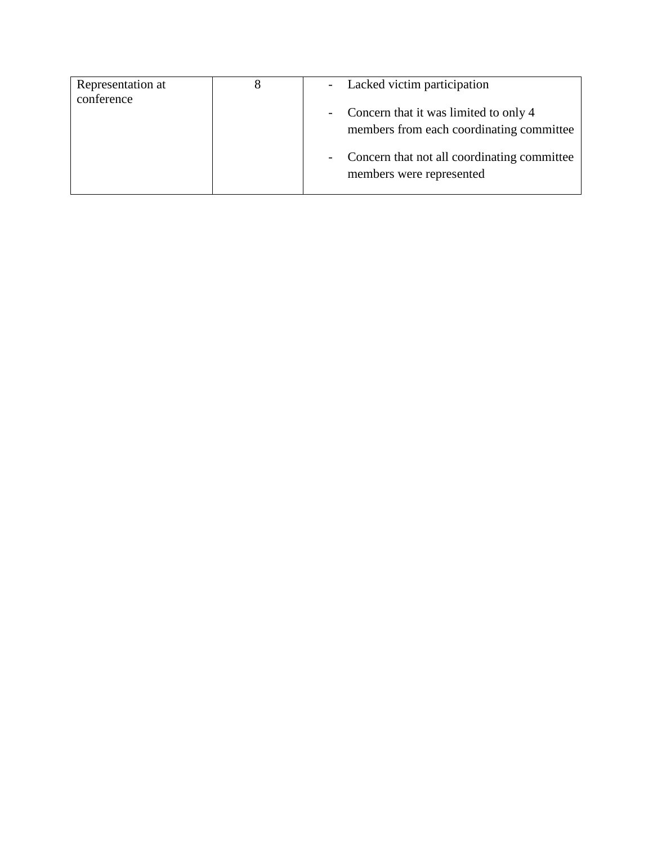| Representation at | - Lacked victim participation                 |
|-------------------|-----------------------------------------------|
| conference        |                                               |
|                   | - Concern that it was limited to only 4       |
|                   | members from each coordinating committee      |
|                   | - Concern that not all coordinating committee |
|                   | members were represented                      |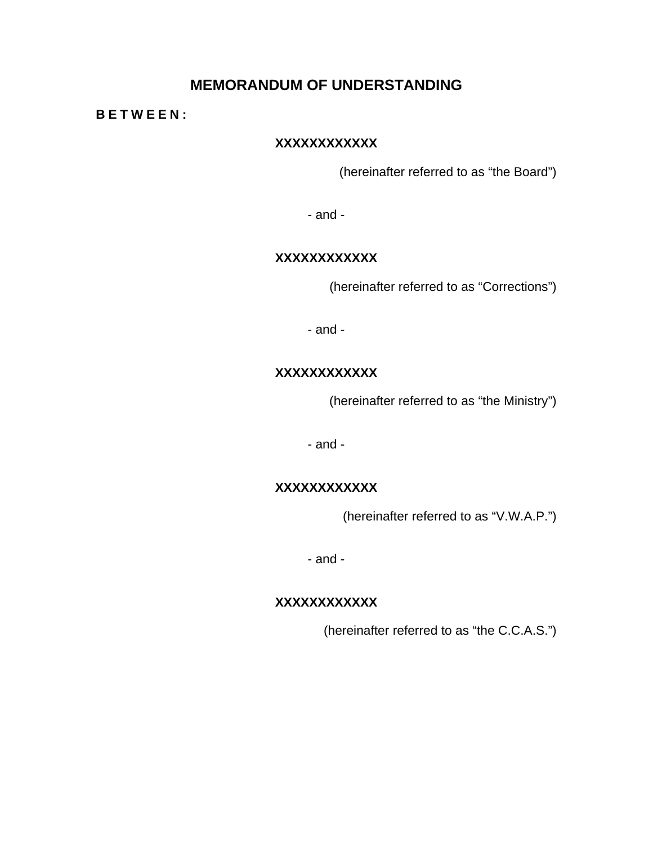#### **MEMORANDUM OF UNDERSTANDING**

#### **BETWEEN:**

#### **XXXXXXXXXXXX**

(hereinafter referred to as "the Board")

- and -

#### **XXXXXXXXXXXX**

(hereinafter referred to as "Corrections")

- and -

#### **XXXXXXXXXXXX**

(hereinafter referred to as "the Ministry")

- and -

#### **XXXXXXXXXXXX**

(hereinafter referred to as "V.W.A.P.")

- and -

#### **XXXXXXXXXXXX**

(hereinafter referred to as "the C.C.A.S.")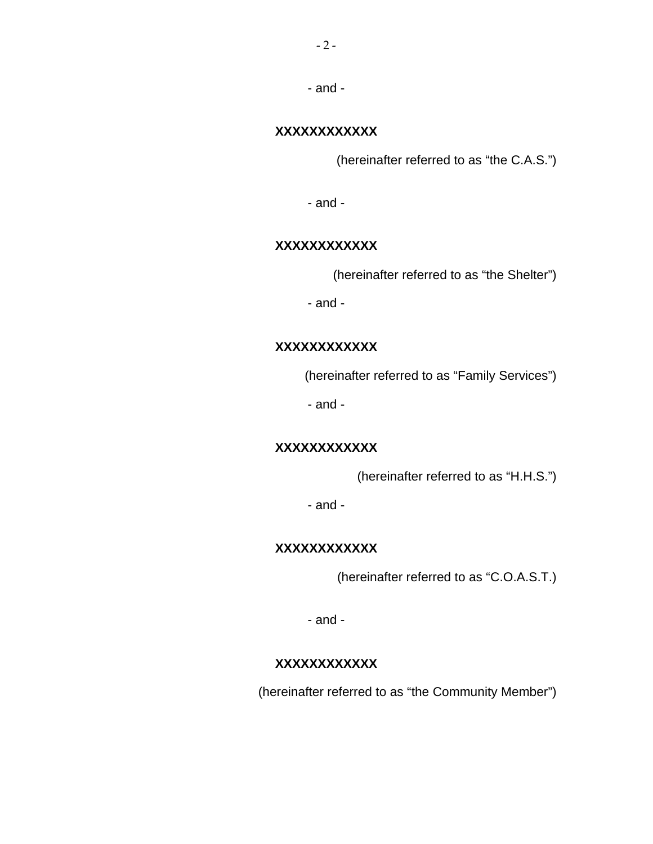#### **XXXXXXXXXXXX**

(hereinafter referred to as "the C.A.S.")

- and -

#### **XXXXXXXXXXXX**

(hereinafter referred to as "the Shelter")

- and -

#### **XXXXXXXXXXXX**

(hereinafter referred to as "Family Services")

- and -

#### **XXXXXXXXXXXX**

(hereinafter referred to as "H.H.S.")

- and -

#### **XXXXXXXXXXXX**

(hereinafter referred to as "C.O.A.S.T.)

- and -

#### **XXXXXXXXXXXX**

(hereinafter referred to as "the Community Member")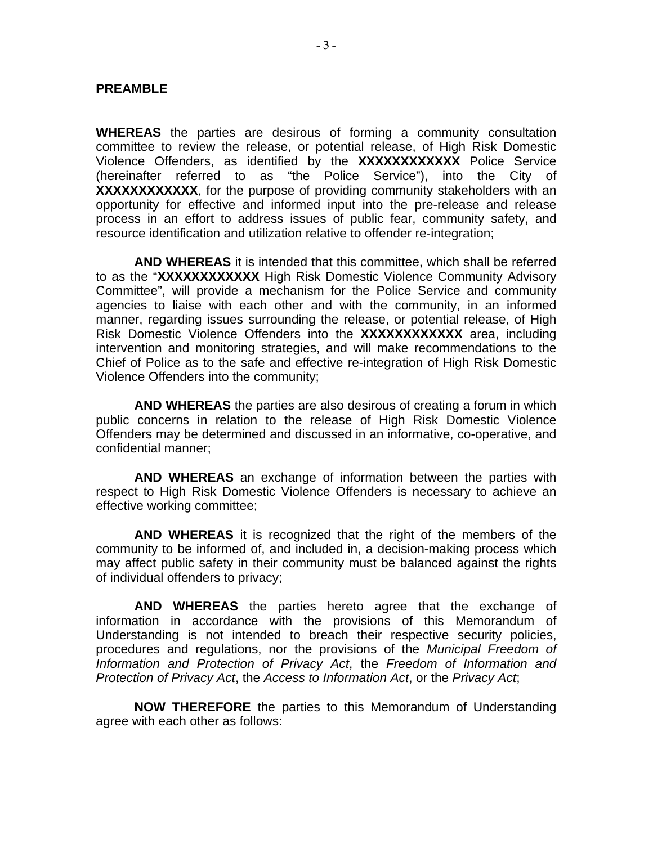#### **PREAMBLE**

**WHEREAS** the parties are desirous of forming a community consultation committee to review the release, or potential release, of High Risk Domestic Violence Offenders, as identified by the **XXXXXXXXXXXX** Police Service (hereinafter referred to as "the Police Service"), into the City of **XXXXXXXXXXXX**, for the purpose of providing community stakeholders with an opportunity for effective and informed input into the pre-release and release process in an effort to address issues of public fear, community safety, and resource identification and utilization relative to offender re-integration;

 **AND WHEREAS** it is intended that this committee, which shall be referred to as the "**XXXXXXXXXXXX** High Risk Domestic Violence Community Advisory Committee", will provide a mechanism for the Police Service and community agencies to liaise with each other and with the community, in an informed manner, regarding issues surrounding the release, or potential release, of High Risk Domestic Violence Offenders into the **XXXXXXXXXXXX** area, including intervention and monitoring strategies, and will make recommendations to the Chief of Police as to the safe and effective re-integration of High Risk Domestic Violence Offenders into the community;

 **AND WHEREAS** the parties are also desirous of creating a forum in which public concerns in relation to the release of High Risk Domestic Violence Offenders may be determined and discussed in an informative, co-operative, and confidential manner;

 **AND WHEREAS** an exchange of information between the parties with respect to High Risk Domestic Violence Offenders is necessary to achieve an effective working committee;

 **AND WHEREAS** it is recognized that the right of the members of the community to be informed of, and included in, a decision-making process which may affect public safety in their community must be balanced against the rights of individual offenders to privacy;

 **AND WHEREAS** the parties hereto agree that the exchange of information in accordance with the provisions of this Memorandum of Understanding is not intended to breach their respective security policies, procedures and regulations, nor the provisions of the *Municipal Freedom of Information and Protection of Privacy Act*, the *Freedom of Information and Protection of Privacy Act*, the *Access to Information Act*, or the *Privacy Act*;

**NOW THEREFORE** the parties to this Memorandum of Understanding agree with each other as follows: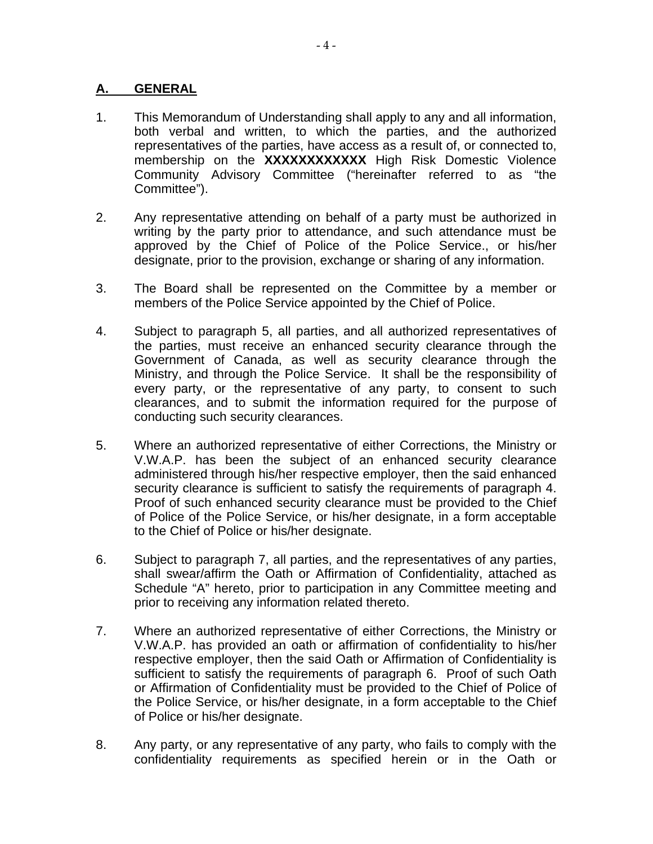#### **A. GENERAL**

- 1. This Memorandum of Understanding shall apply to any and all information, both verbal and written, to which the parties, and the authorized representatives of the parties, have access as a result of, or connected to, membership on the **XXXXXXXXXXXX** High Risk Domestic Violence Community Advisory Committee ("hereinafter referred to as "the Committee").
- 2. Any representative attending on behalf of a party must be authorized in writing by the party prior to attendance, and such attendance must be approved by the Chief of Police of the Police Service., or his/her designate, prior to the provision, exchange or sharing of any information.
- 3. The Board shall be represented on the Committee by a member or members of the Police Service appointed by the Chief of Police.
- 4. Subject to paragraph 5, all parties, and all authorized representatives of the parties, must receive an enhanced security clearance through the Government of Canada, as well as security clearance through the Ministry, and through the Police Service. It shall be the responsibility of every party, or the representative of any party, to consent to such clearances, and to submit the information required for the purpose of conducting such security clearances.
- 5. Where an authorized representative of either Corrections, the Ministry or V.W.A.P. has been the subject of an enhanced security clearance administered through his/her respective employer, then the said enhanced security clearance is sufficient to satisfy the requirements of paragraph 4. Proof of such enhanced security clearance must be provided to the Chief of Police of the Police Service, or his/her designate, in a form acceptable to the Chief of Police or his/her designate.
- 6. Subject to paragraph 7, all parties, and the representatives of any parties, shall swear/affirm the Oath or Affirmation of Confidentiality, attached as Schedule "A" hereto, prior to participation in any Committee meeting and prior to receiving any information related thereto.
- 7. Where an authorized representative of either Corrections, the Ministry or V.W.A.P. has provided an oath or affirmation of confidentiality to his/her respective employer, then the said Oath or Affirmation of Confidentiality is sufficient to satisfy the requirements of paragraph 6. Proof of such Oath or Affirmation of Confidentiality must be provided to the Chief of Police of the Police Service, or his/her designate, in a form acceptable to the Chief of Police or his/her designate.
- 8. Any party, or any representative of any party, who fails to comply with the confidentiality requirements as specified herein or in the Oath or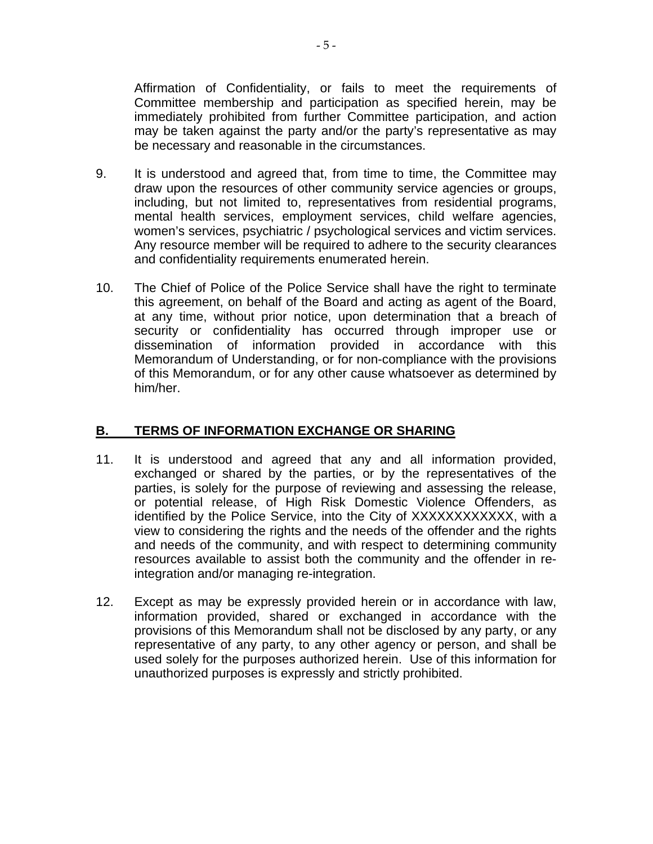Affirmation of Confidentiality, or fails to meet the requirements of Committee membership and participation as specified herein, may be immediately prohibited from further Committee participation, and action may be taken against the party and/or the party's representative as may be necessary and reasonable in the circumstances.

- 9. It is understood and agreed that, from time to time, the Committee may draw upon the resources of other community service agencies or groups, including, but not limited to, representatives from residential programs, mental health services, employment services, child welfare agencies, women's services, psychiatric / psychological services and victim services. Any resource member will be required to adhere to the security clearances and confidentiality requirements enumerated herein.
- 10. The Chief of Police of the Police Service shall have the right to terminate this agreement, on behalf of the Board and acting as agent of the Board, at any time, without prior notice, upon determination that a breach of security or confidentiality has occurred through improper use or dissemination of information provided in accordance with this Memorandum of Understanding, or for non-compliance with the provisions of this Memorandum, or for any other cause whatsoever as determined by him/her.

#### **B. TERMS OF INFORMATION EXCHANGE OR SHARING**

- 11. It is understood and agreed that any and all information provided, exchanged or shared by the parties, or by the representatives of the parties, is solely for the purpose of reviewing and assessing the release, or potential release, of High Risk Domestic Violence Offenders, as identified by the Police Service, into the City of XXXXXXXXXXXX, with a view to considering the rights and the needs of the offender and the rights and needs of the community, and with respect to determining community resources available to assist both the community and the offender in reintegration and/or managing re-integration.
- 12. Except as may be expressly provided herein or in accordance with law, information provided, shared or exchanged in accordance with the provisions of this Memorandum shall not be disclosed by any party, or any representative of any party, to any other agency or person, and shall be used solely for the purposes authorized herein. Use of this information for unauthorized purposes is expressly and strictly prohibited.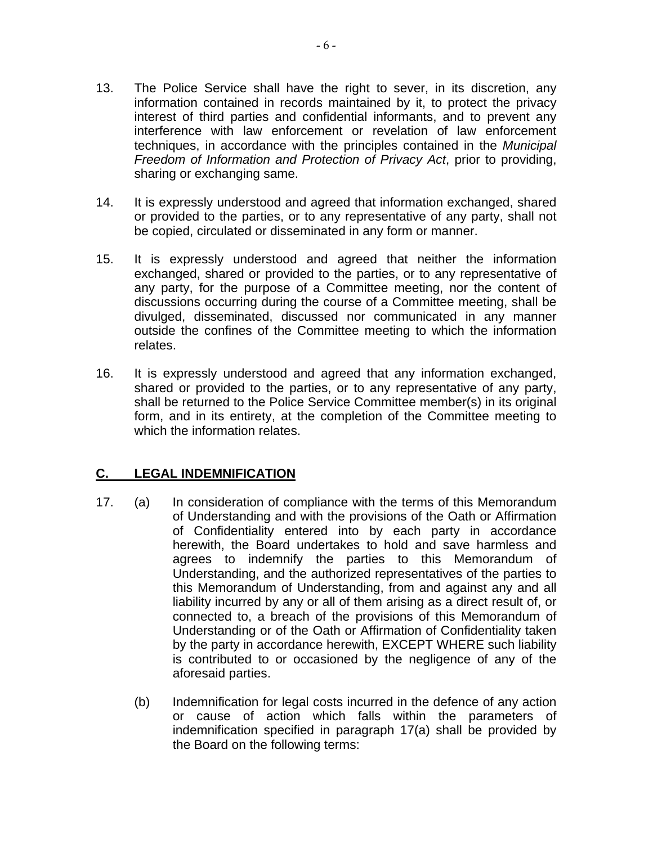- 13. The Police Service shall have the right to sever, in its discretion, any information contained in records maintained by it, to protect the privacy interest of third parties and confidential informants, and to prevent any interference with law enforcement or revelation of law enforcement techniques, in accordance with the principles contained in the *Municipal Freedom of Information and Protection of Privacy Act*, prior to providing, sharing or exchanging same.
- 14. It is expressly understood and agreed that information exchanged, shared or provided to the parties, or to any representative of any party, shall not be copied, circulated or disseminated in any form or manner.
- 15. It is expressly understood and agreed that neither the information exchanged, shared or provided to the parties, or to any representative of any party, for the purpose of a Committee meeting, nor the content of discussions occurring during the course of a Committee meeting, shall be divulged, disseminated, discussed nor communicated in any manner outside the confines of the Committee meeting to which the information relates.
- 16. It is expressly understood and agreed that any information exchanged, shared or provided to the parties, or to any representative of any party, shall be returned to the Police Service Committee member(s) in its original form, and in its entirety, at the completion of the Committee meeting to which the information relates.

#### **C. LEGAL INDEMNIFICATION**

- 17. (a) In consideration of compliance with the terms of this Memorandum of Understanding and with the provisions of the Oath or Affirmation of Confidentiality entered into by each party in accordance herewith, the Board undertakes to hold and save harmless and agrees to indemnify the parties to this Memorandum of Understanding, and the authorized representatives of the parties to this Memorandum of Understanding, from and against any and all liability incurred by any or all of them arising as a direct result of, or connected to, a breach of the provisions of this Memorandum of Understanding or of the Oath or Affirmation of Confidentiality taken by the party in accordance herewith, EXCEPT WHERE such liability is contributed to or occasioned by the negligence of any of the aforesaid parties.
	- (b) Indemnification for legal costs incurred in the defence of any action or cause of action which falls within the parameters of indemnification specified in paragraph 17(a) shall be provided by the Board on the following terms: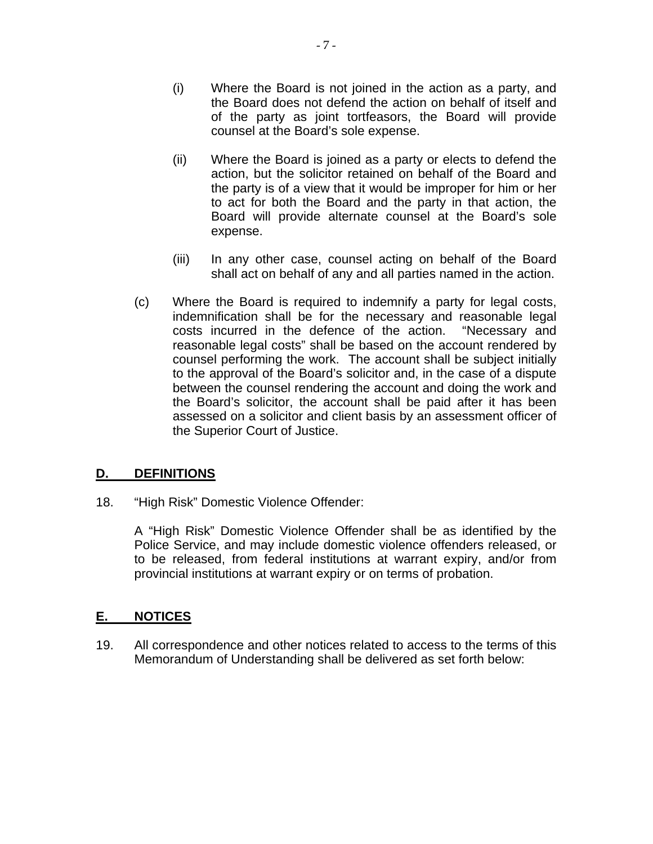- (i) Where the Board is not joined in the action as a party, and the Board does not defend the action on behalf of itself and of the party as joint tortfeasors, the Board will provide counsel at the Board's sole expense.
- (ii) Where the Board is joined as a party or elects to defend the action, but the solicitor retained on behalf of the Board and the party is of a view that it would be improper for him or her to act for both the Board and the party in that action, the Board will provide alternate counsel at the Board's sole expense.
- (iii) In any other case, counsel acting on behalf of the Board shall act on behalf of any and all parties named in the action.
- (c) Where the Board is required to indemnify a party for legal costs, indemnification shall be for the necessary and reasonable legal costs incurred in the defence of the action. "Necessary and reasonable legal costs" shall be based on the account rendered by counsel performing the work. The account shall be subject initially to the approval of the Board's solicitor and, in the case of a dispute between the counsel rendering the account and doing the work and the Board's solicitor, the account shall be paid after it has been assessed on a solicitor and client basis by an assessment officer of the Superior Court of Justice.

#### **D. DEFINITIONS**

18. "High Risk" Domestic Violence Offender:

A "High Risk" Domestic Violence Offender shall be as identified by the Police Service, and may include domestic violence offenders released, or to be released, from federal institutions at warrant expiry, and/or from provincial institutions at warrant expiry or on terms of probation.

#### **E. NOTICES**

19. All correspondence and other notices related to access to the terms of this Memorandum of Understanding shall be delivered as set forth below: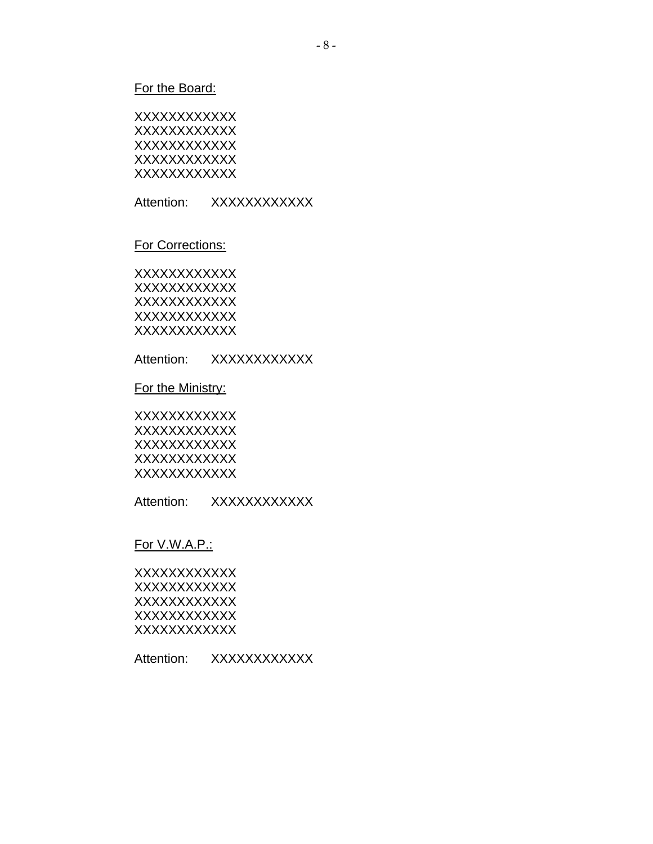#### For the Board:

| xxxxxxxxxxxx |  |
|--------------|--|
| xxxxxxxxxxxx |  |
| xxxxxxxxxxxx |  |
| xxxxxxxxxxxx |  |
| xxxxxxxxxxxx |  |

Attention: XXXXXXXXXXX

#### For Corrections:

**XXXXXXXXXXX** XXXXXXXXXXXX **XXXXXXXXXXX XXXXXXXXXXX** XXXXXXXXXXXX

Attention: XXXXXXXXXXX

For the Ministry:

**XXXXXXXXXXX** XXXXXXXXXXXX **XXXXXXXXXXX** XXXXXXXXXXXX **XXXXXXXXXXX** 

Attention: XXXXXXXXXXX

#### For V.W.A.P.:

XXXXXXXXXXXX XXXXXXXXXXXX **XXXXXXXXXXX XXXXXXXXXXX XXXXXXXXXXX** 

Attention: XXXXXXXXXXX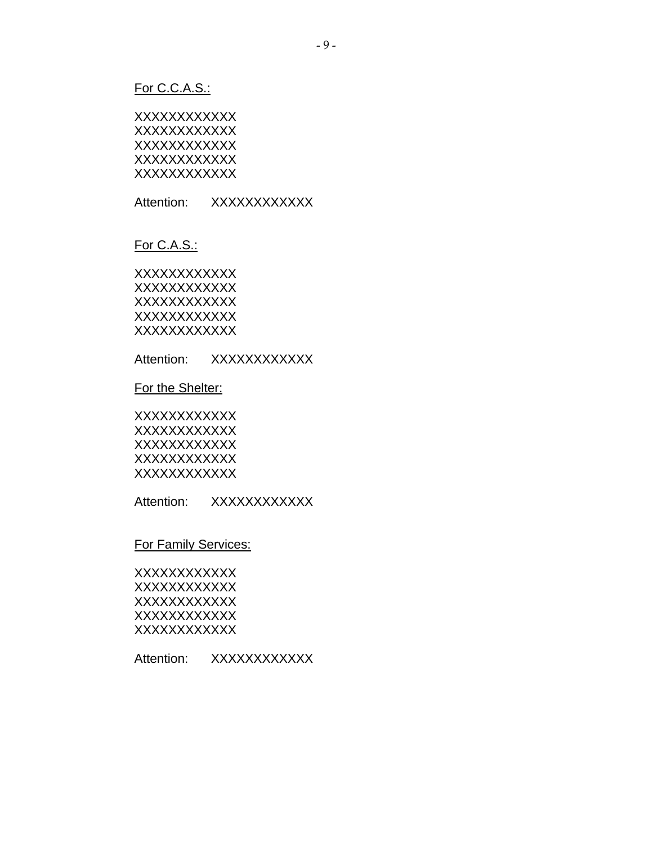#### For C.C.A.S.:

| xxxxxxxxxxxx |  |
|--------------|--|
| xxxxxxxxxxxx |  |
| xxxxxxxxxxxx |  |
| xxxxxxxxxxxx |  |
| xxxxxxxxxxxx |  |

Attention: XXXXXXXXXXX

#### For C.A.S.:

**XXXXXXXXXXX** XXXXXXXXXXXX **XXXXXXXXXXX XXXXXXXXXXX** XXXXXXXXXXXX

Attention: XXXXXXXXXXX

For the Shelter:

**XXXXXXXXXXX** XXXXXXXXXXXX **XXXXXXXXXXX** XXXXXXXXXXXX **XXXXXXXXXXX** 

Attention: XXXXXXXXXXX

#### For Family Services:

XXXXXXXXXXXX XXXXXXXXXXXX XXXXXXXXXXXX **XXXXXXXXXXX XXXXXXXXXXX** 

Attention: XXXXXXXXXXX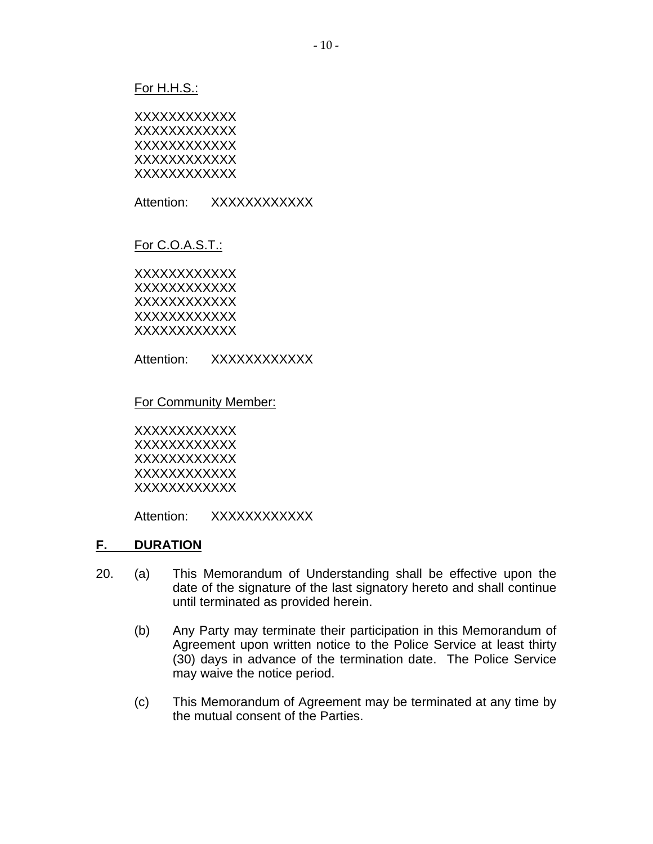#### For H.H.S.:

| xxxxxxxxxxxx |  |
|--------------|--|
| xxxxxxxxxxxx |  |
| xxxxxxxxxxxx |  |
| xxxxxxxxxxxx |  |
| xxxxxxxxxxxx |  |

Attention: XXXXXXXXXXX

#### For C.O.A.S.T.:

XXXXXXXXXXXX XXXXXXXXXXXX XXXXXXXXXXXX **XXXXXXXXXX** XXXXXXXXXXXX

Attention: XXXXXXXXXXX

#### For Community Member:

XXXXXXXXXXXX XXXXXXXXXXXX XXXXXXXXXXXX XXXXXXXXXXXX XXXXXXXXXXXX

Attention: XXXXXXXXXXX

#### **F. DURATION**

- 20. (a) This Memorandum of Understanding shall be effective upon the date of the signature of the last signatory hereto and shall continue until terminated as provided herein.
	- (b) Any Party may terminate their participation in this Memorandum of Agreement upon written notice to the Police Service at least thirty (30) days in advance of the termination date. The Police Service may waive the notice period.
	- (c) This Memorandum of Agreement may be terminated at any time by the mutual consent of the Parties.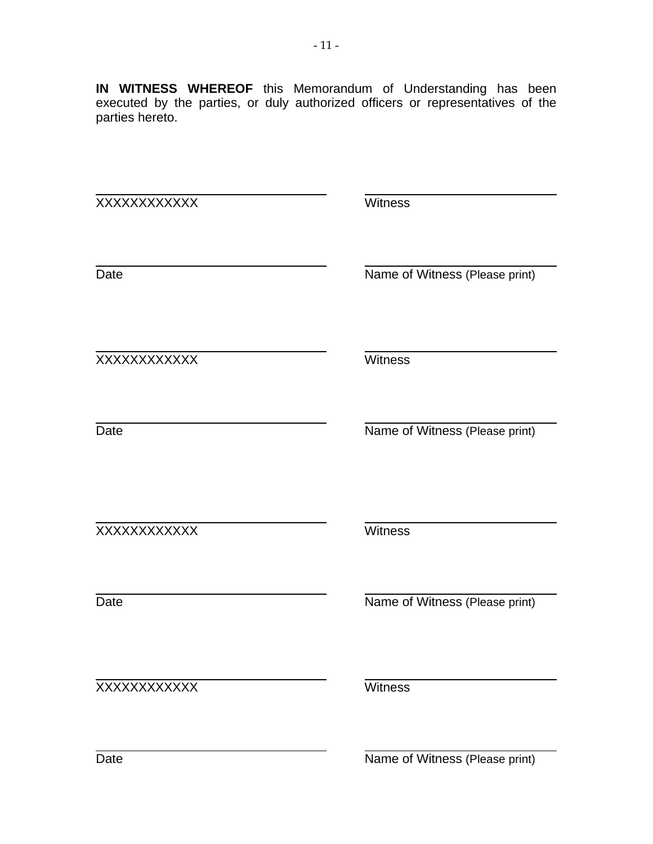**IN WITNESS WHEREOF** this Memorandum of Understanding has been executed by the parties, or duly authorized officers or representatives of the parties hereto.

| XXXXXXXXXXX | Witness                        |
|-------------|--------------------------------|
| Date        | Name of Witness (Please print) |
| XXXXXXXXXXX | Witness                        |
| Date        | Name of Witness (Please print) |
| XXXXXXXXXXX | Witness                        |
| Date        | Name of Witness (Please print) |
| XXXXXXXXXXX | Witness                        |
|             |                                |

Date Name of Witness (Please print)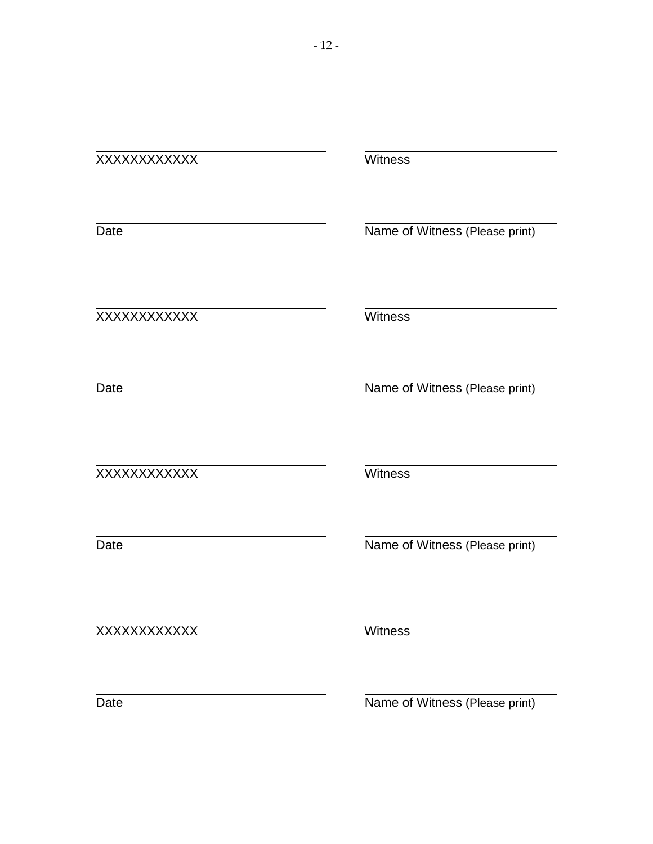#### XXXXXXXXXXXXWitness

Date

Date

l

Name of Witness (Please print)

l XXXXXXXXXXXXWitness

Name of Witness (Please print)

l XXXXXXXXXXXX Witness

Date

Name of Witness (Please print)

l XXXXXXXXXXXXWitness

Date

Name of Witness (Please print)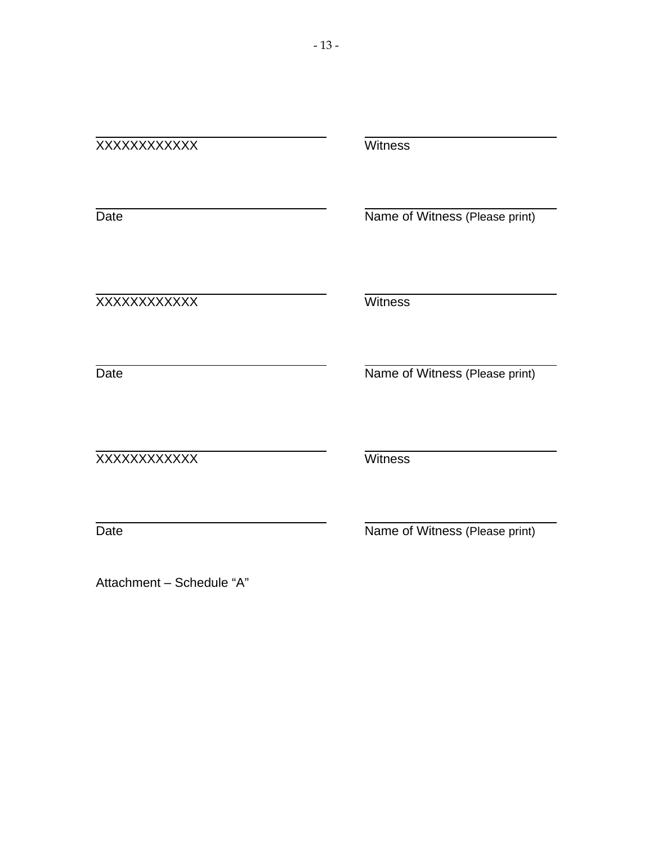| XXXXXXXXXXX               | Witness                        |
|---------------------------|--------------------------------|
| Date                      | Name of Witness (Please print) |
| XXXXXXXXXXXX              | Witness                        |
| Date                      | Name of Witness (Please print) |
| XXXXXXXXXXX               | <b>Witness</b>                 |
| Date                      | Name of Witness (Please print) |
| Attachment - Schedule "A" |                                |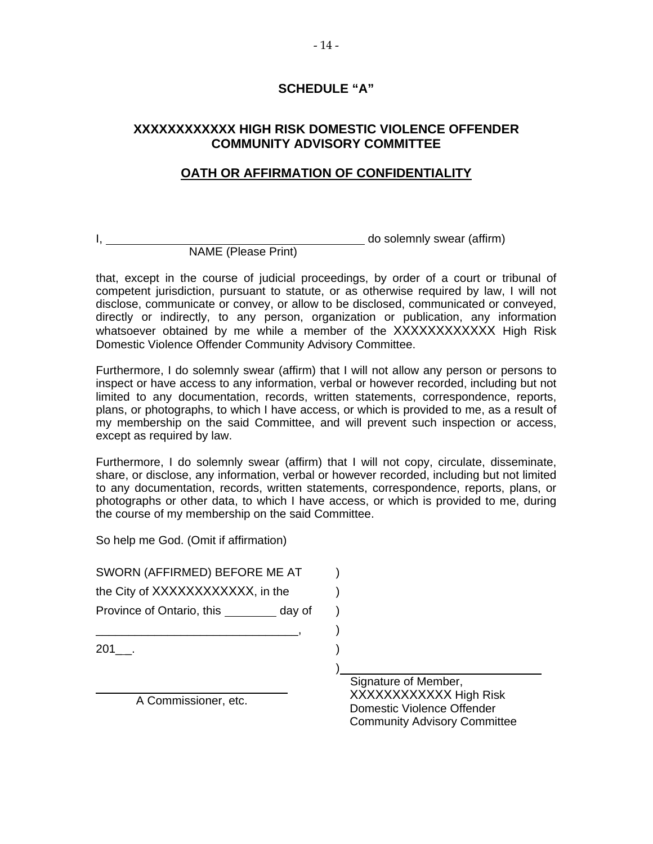#### **SCHEDULE "A"**

#### **XXXXXXXXXXXX HIGH RISK DOMESTIC VIOLENCE OFFENDER COMMUNITY ADVISORY COMMITTEE**

#### **OATH OR AFFIRMATION OF CONFIDENTIALITY**

I, do solemnly swear (affirm) NAME (Please Print)

that, except in the course of judicial proceedings, by order of a court or tribunal of competent jurisdiction, pursuant to statute, or as otherwise required by law, I will not disclose, communicate or convey, or allow to be disclosed, communicated or conveyed, directly or indirectly, to any person, organization or publication, any information whatsoever obtained by me while a member of the XXXXXXXXXXXX High Risk

Domestic Violence Offender Community Advisory Committee.

Furthermore, I do solemnly swear (affirm) that I will not allow any person or persons to inspect or have access to any information, verbal or however recorded, including but not limited to any documentation, records, written statements, correspondence, reports, plans, or photographs, to which I have access, or which is provided to me, as a result of my membership on the said Committee, and will prevent such inspection or access, except as required by law.

Furthermore, I do solemnly swear (affirm) that I will not copy, circulate, disseminate, share, or disclose, any information, verbal or however recorded, including but not limited to any documentation, records, written statements, correspondence, reports, plans, or photographs or other data, to which I have access, or which is provided to me, during the course of my membership on the said Committee.

So help me God. (Omit if affirmation)

| SWORN (AFFIRMED) BEFORE ME AT       |  |
|-------------------------------------|--|
| the City of XXXXXXXXXXX, in the     |  |
| Province of Ontario, this<br>day of |  |
|                                     |  |
| 201                                 |  |
|                                     |  |
|                                     |  |
| A Commissioner, etc.                |  |

Signature of Member, XXXXXXXXXXXX High Risk Domestic Violence Offender Community Advisory Committee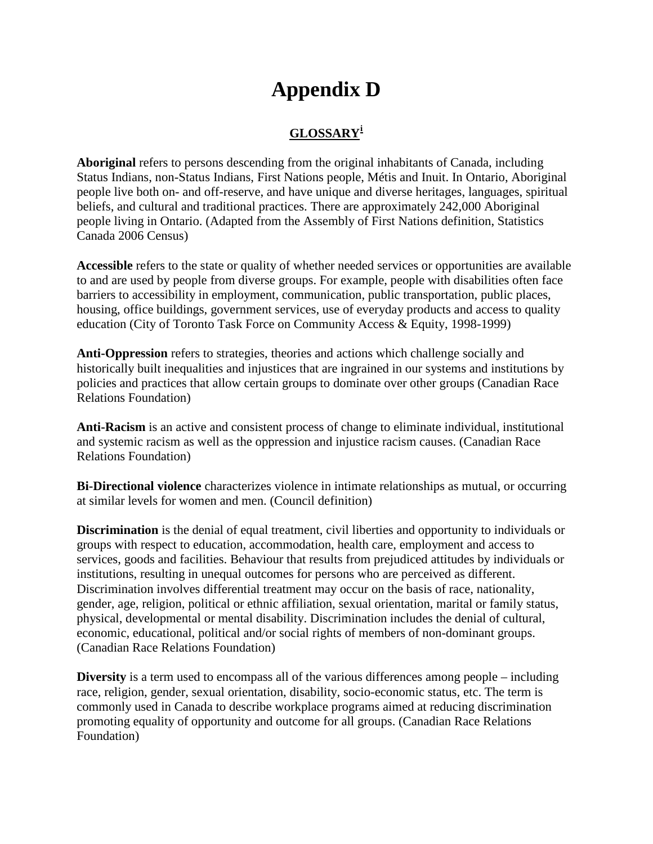## **Appendix D**

#### **GLOSSARY[i](#page-55-0)**

**Aboriginal** refers to persons descending from the original inhabitants of Canada, including Status Indians, non-Status Indians, First Nations people, Métis and Inuit. In Ontario, Aboriginal people live both on- and off-reserve, and have unique and diverse heritages, languages, spiritual beliefs, and cultural and traditional practices. There are approximately 242,000 Aboriginal people living in Ontario. (Adapted from the Assembly of First Nations definition, Statistics Canada 2006 Census)

**Accessible** refers to the state or quality of whether needed services or opportunities are available to and are used by people from diverse groups. For example, people with disabilities often face barriers to accessibility in employment, communication, public transportation, public places, housing, office buildings, government services, use of everyday products and access to quality education (City of Toronto Task Force on Community Access & Equity, 1998-1999)

**Anti-Oppression** refers to strategies, theories and actions which challenge socially and historically built inequalities and injustices that are ingrained in our systems and institutions by policies and practices that allow certain groups to dominate over other groups (Canadian Race Relations Foundation)

**Anti-Racism** is an active and consistent process of change to eliminate individual, institutional and systemic racism as well as the oppression and injustice racism causes. (Canadian Race Relations Foundation)

**Bi-Directional violence** characterizes violence in intimate relationships as mutual, or occurring at similar levels for women and men. (Council definition)

**Discrimination** is the denial of equal treatment, civil liberties and opportunity to individuals or groups with respect to education, accommodation, health care, employment and access to services, goods and facilities. Behaviour that results from prejudiced attitudes by individuals or institutions, resulting in unequal outcomes for persons who are perceived as different. Discrimination involves differential treatment may occur on the basis of race, nationality, gender, age, religion, political or ethnic affiliation, sexual orientation, marital or family status, physical, developmental or mental disability. Discrimination includes the denial of cultural, economic, educational, political and/or social rights of members of non-dominant groups. (Canadian Race Relations Foundation)

**Diversity** is a term used to encompass all of the various differences among people – including race, religion, gender, sexual orientation, disability, socio-economic status, etc. The term is commonly used in Canada to describe workplace programs aimed at reducing discrimination promoting equality of opportunity and outcome for all groups. (Canadian Race Relations Foundation)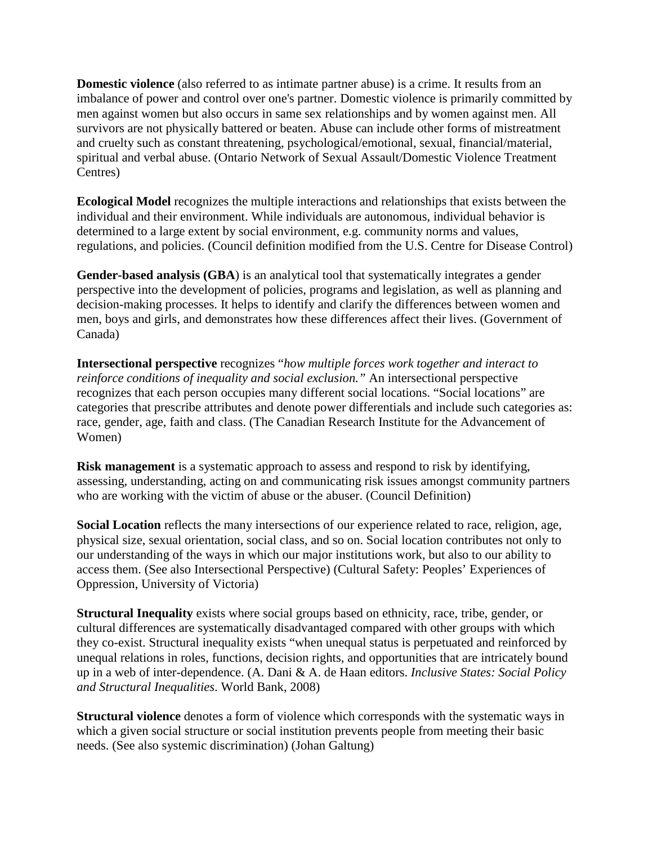**Domestic violence** (also referred to as intimate partner abuse) is a crime. It results from an imbalance of power and control over one's partner. Domestic violence is primarily committed by men against women but also occurs in same sex relationships and by women against men. All survivors are not physically battered or beaten. Abuse can include other forms of mistreatment and cruelty such as constant threatening, psychological/emotional, sexual, financial/material, spiritual and verbal abuse. (Ontario Network of Sexual Assault/Domestic Violence Treatment Centres)

**Ecological Model** recognizes the multiple interactions and relationships that exists between the individual and their environment. While individuals are autonomous, individual behavior is determined to a large extent by social environment, e.g. community norms and values, regulations, and policies. (Council definition modified from the U.S. Centre for Disease Control)

**Gender-based analysis (GBA**) is an analytical tool that systematically integrates a gender perspective into the development of policies, programs and legislation, as well as planning and decision-making processes. It helps to identify and clarify the differences between women and men, boys and girls, and demonstrates how these differences affect their lives. (Government of Canada)

**Intersectional perspective** recognizes "*how multiple forces work together and interact to reinforce conditions of inequality and social exclusion.*" An intersectional perspective recognizes that each person occupies many different social locations. "Social locations" are categories that prescribe attributes and denote power differentials and include such categories as: race, gender, age, faith and class. (The Canadian Research Institute for the Advancement of Women)

**Risk management** is a systematic approach to assess and respond to risk by identifying, assessing, understanding, acting on and communicating risk issues amongst community partners who are working with the victim of abuse or the abuser. (Council Definition)

**Social Location** reflects the many intersections of our experience related to race, religion, age, physical size, sexual orientation, social class, and so on. Social location contributes not only to our understanding of the ways in which our major institutions work, but also to our ability to access them. (See also Intersectional Perspective) (Cultural Safety: Peoples' Experiences of Oppression, University of Victoria)

**Structural Inequality** exists where social groups based on ethnicity, race, tribe, gender, or cultural differences are systematically disadvantaged compared with other groups with which they co-exist. Structural inequality exists "when unequal status is perpetuated and reinforced by unequal relations in roles, functions, decision rights, and opportunities that are intricately bound up in a web of inter-dependence. (A. Dani & A. de Haan editors. *Inclusive States: Social Policy and Structural Inequalities*. World Bank, 2008)

**Structural violence** denotes a form of violence which corresponds with the systematic ways in which a given social structure or social institution prevents people from meeting their basic needs. (See also systemic discrimination) (Johan Galtung)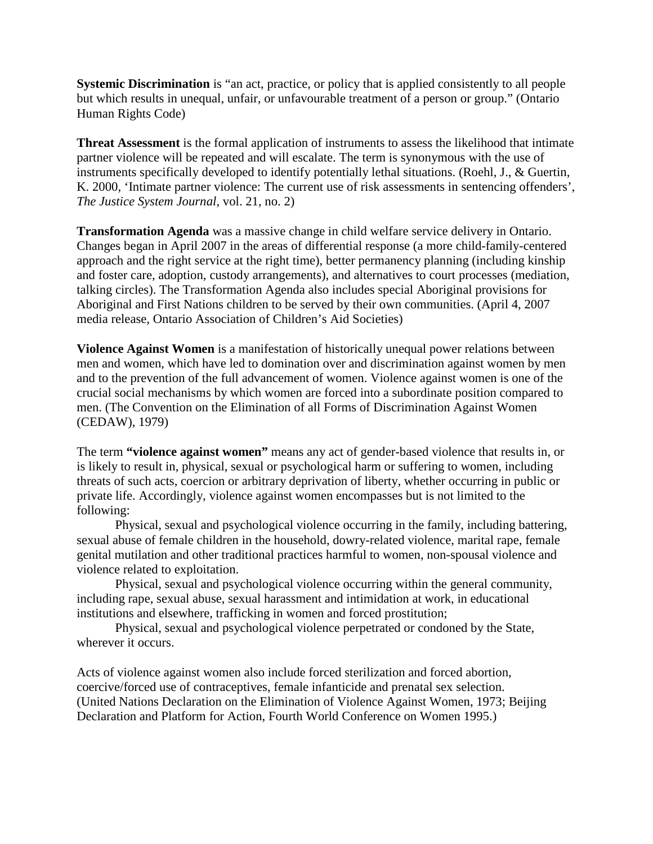**Systemic Discrimination** is "an act, practice, or policy that is applied consistently to all people but which results in unequal, unfair, or unfavourable treatment of a person or group." (Ontario Human Rights Code)

**Threat Assessment** is the formal application of instruments to assess the likelihood that intimate partner violence will be repeated and will escalate. The term is synonymous with the use of instruments specifically developed to identify potentially lethal situations. (Roehl, J., & Guertin, K. 2000, 'Intimate partner violence: The current use of risk assessments in sentencing offenders', *The Justice System Journal*, vol. 21, no. 2)

**Transformation Agenda** was a massive change in child welfare service delivery in Ontario. Changes began in April 2007 in the areas of differential response (a more child-family-centered approach and the right service at the right time), better permanency planning (including kinship and foster care, adoption, custody arrangements), and alternatives to court processes (mediation, talking circles). The Transformation Agenda also includes special Aboriginal provisions for Aboriginal and First Nations children to be served by their own communities. (April 4, 2007 media release, Ontario Association of Children's Aid Societies)

**Violence Against Women** is a manifestation of historically unequal power relations between men and women, which have led to domination over and discrimination against women by men and to the prevention of the full advancement of women. Violence against women is one of the crucial social mechanisms by which women are forced into a subordinate position compared to men. (The Convention on the Elimination of all Forms of Discrimination Against Women (CEDAW), 1979)

The term **"violence against women"** means any act of gender-based violence that results in, or is likely to result in, physical, sexual or psychological harm or suffering to women, including threats of such acts, coercion or arbitrary deprivation of liberty, whether occurring in public or private life. Accordingly, violence against women encompasses but is not limited to the following:

Physical, sexual and psychological violence occurring in the family, including battering, sexual abuse of female children in the household, dowry-related violence, marital rape, female genital mutilation and other traditional practices harmful to women, non-spousal violence and violence related to exploitation.

Physical, sexual and psychological violence occurring within the general community, including rape, sexual abuse, sexual harassment and intimidation at work, in educational institutions and elsewhere, trafficking in women and forced prostitution;

Physical, sexual and psychological violence perpetrated or condoned by the State, wherever it occurs.

Acts of violence against women also include forced sterilization and forced abortion, coercive/forced use of contraceptives, female infanticide and prenatal sex selection. (United Nations Declaration on the Elimination of Violence Against Women, 1973; Beijing Declaration and Platform for Action, Fourth World Conference on Women 1995.)